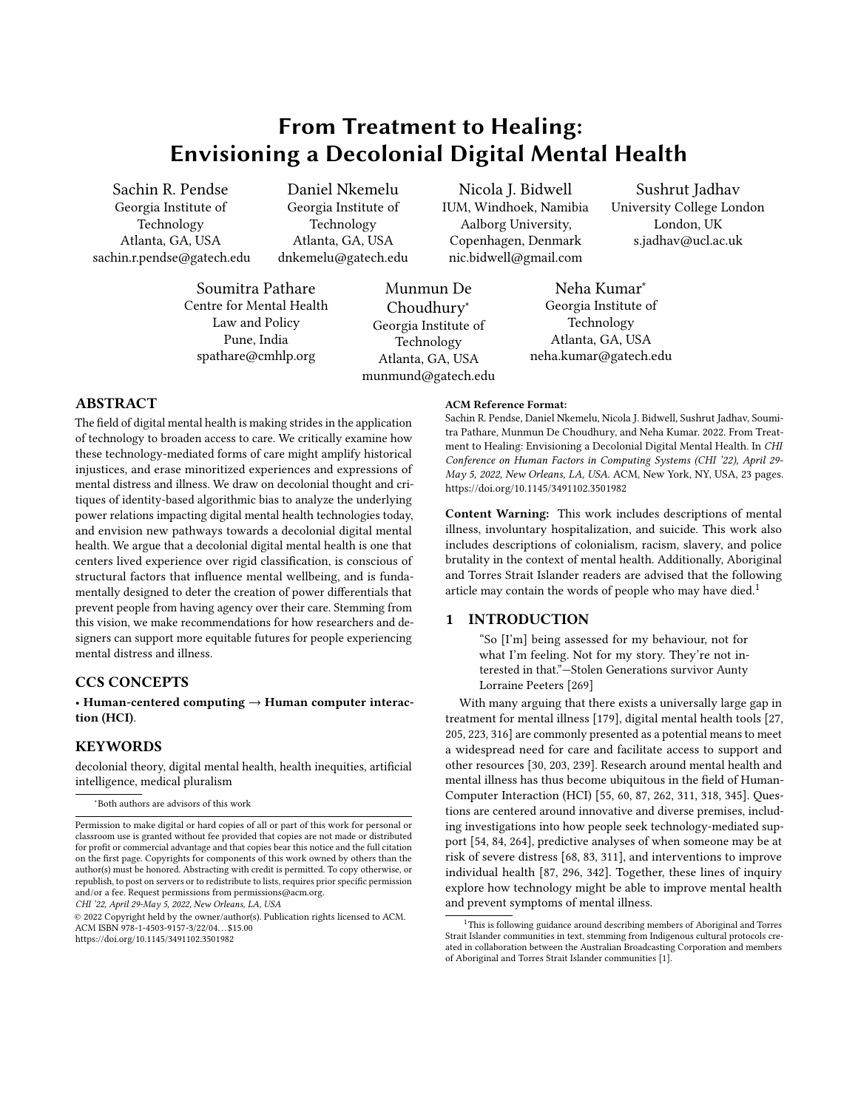## From Treatment to Healing: Envisioning a Decolonial Digital Mental Health

<span id="page-0-0"></span>sachin.r.pendse@gatech.edu dnkemelu@gatech.edu nic.bidwell@gmail.com

Centre for Mental Health Choudhury<sup>∗</sup> Georgia Institute of Law and Policy Georgia Institute of Technology Pune, India Technology Atlanta, GA, USA<br>spathare@cmhlp.org Atlanta GA IISA neha.kumar@gatech.

Soumitra Pathare Munmun De Neha Kumar<sup>∗</sup> aw and Policy Georgia Institute of<br>Pune, India Georgia Institute of [munmund@gatech.edu](mailto:munmund@gatech.edu)

Sachin R. Pendse Daniel Nkemelu Nicola J. Bidwell Sushrut Jadhav<br>Georgia Institute of Georgia Institute of IUM, Windhoek, Namibia University College Lon Technology Technology Aalborg University, London, UK Atlanta, GA, USA Atlanta, GA, USA Copenhagen, Denmark s.jadhav@ucl.ac.uk

University College London

Atlanta, GA, USA [neha.kumar@gatech.edu](mailto:neha.kumar@gatech.edu)

## ABSTRACT

The feld of digital mental health is making strides in the application of technology to broaden access to care. We critically examine how these technology-mediated forms of care might amplify historical injustices, and erase minoritized experiences and expressions of mental distress and illness. We draw on decolonial thought and critiques of identity-based algorithmic bias to analyze the underlying power relations impacting digital mental health technologies today, and envision new pathways towards a decolonial digital mental health. We argue that a decolonial digital mental health is one that centers lived experience over rigid classifcation, is conscious of structural factors that infuence mental wellbeing, and is fundamentally designed to deter the creation of power diferentials that prevent people from having agency over their care. Stemming from this vision, we make recommendations for how researchers and designers can support more equitable futures for people experiencing mental distress and illness.

### CCS CONCEPTS

• Human-centered computing  $\rightarrow$  Human computer interaction (HCI).

## **KEYWORDS**

decolonial theory, digital mental health, health inequities, artifcial intelligence, medical pluralism

∗ Both authors are advisors of this work

CHI '22, April 29-May 5, 2022, New Orleans, LA, USA

© 2022 Copyright held by the owner/author(s). Publication rights licensed to ACM. ACM ISBN 978-1-4503-9157-3/22/04. . . \$15.00 <https://doi.org/10.1145/3491102.3501982>

#### ACM Reference Format:

Sachin R. Pendse, Daniel Nkemelu, Nicola J. Bidwell, Sushrut Jadhav, Soumitra Pathare, Munmun De Choudhury, and Neha Kumar. 2022. From Treatment to Healing: Envisioning a Decolonial Digital Mental Health. In CHI Conference on Human Factors in Computing Systems (CHI '22), April 29- May 5, 2022, New Orleans, LA, USA. ACM, New York, NY, USA, [23](#page-22-0) pages. <https://doi.org/10.1145/3491102.3501982>

Content Warning: This work includes descriptions of mental illness, involuntary hospitalization, and suicide. This work also includes descriptions of colonialism, racism, slavery, and police brutality in the context of mental health. Additionally, Aboriginal and Torres Strait Islander readers are advised that the following article may contain the words of people who may have died.<sup>1</sup>

## 1 INTRODUCTION

"So [I'm] being assessed for my behaviour, not for what I'm feeling. Not for my story. They're not interested in that."—Stolen Generations survivor Aunty Lorraine Peeters [\[269\]](#page-20-0)

With many arguing that there exists a universally large gap in treatment for mental illness [\[179\]](#page-18-0), digital mental health tools [\[27,](#page-16-0) [205,](#page-19-0) [223,](#page-19-1) [316\]](#page-21-0) are commonly presented as a potential means to meet a widespread need for care and facilitate access to support and other resources [\[30,](#page-16-1) [203,](#page-19-2) [239\]](#page-20-1). Research around mental health and mental illness has thus become ubiquitous in the feld of Human-Computer Interaction (HCI) [\[55,](#page-16-2) [60,](#page-16-3) [87,](#page-17-0) [262,](#page-20-2) [311,](#page-21-1) [318,](#page-21-2) [345\]](#page-22-1). Questions are centered around innovative and diverse premises, including investigations into how people seek technology-mediated support [\[54,](#page-16-4) [84,](#page-17-1) [264\]](#page-20-3), predictive analyses of when someone may be at risk of severe distress [\[68,](#page-16-5) [83,](#page-17-2) [311\]](#page-21-1), and interventions to improve individual health [\[87,](#page-17-0) [296,](#page-21-3) [342\]](#page-22-2). Together, these lines of inquiry explore how technology might be able to improve mental health and prevent symptoms of mental illness.

Permission to make digital or hard copies of all or part of this work for personal or classroom use is granted without fee provided that copies are not made or distributed for proft or commercial advantage and that copies bear this notice and the full citation on the frst page. Copyrights for components of this work owned by others than the author(s) must be honored. Abstracting with credit is permitted. To copy otherwise, or republish, to post on servers or to redistribute to lists, requires prior specifc permission and/or a fee. Request permissions from [permissions@acm.org](mailto:permissions@acm.org).

<sup>1</sup>This is following guidance around describing members of Aboriginal and Torres Strait Islander communities in text, stemming from Indigenous cultural protocols created in collaboration between the Australian Broadcasting Corporation and members of Aboriginal and Torres Strait Islander communities [\[1\]](#page-15-0).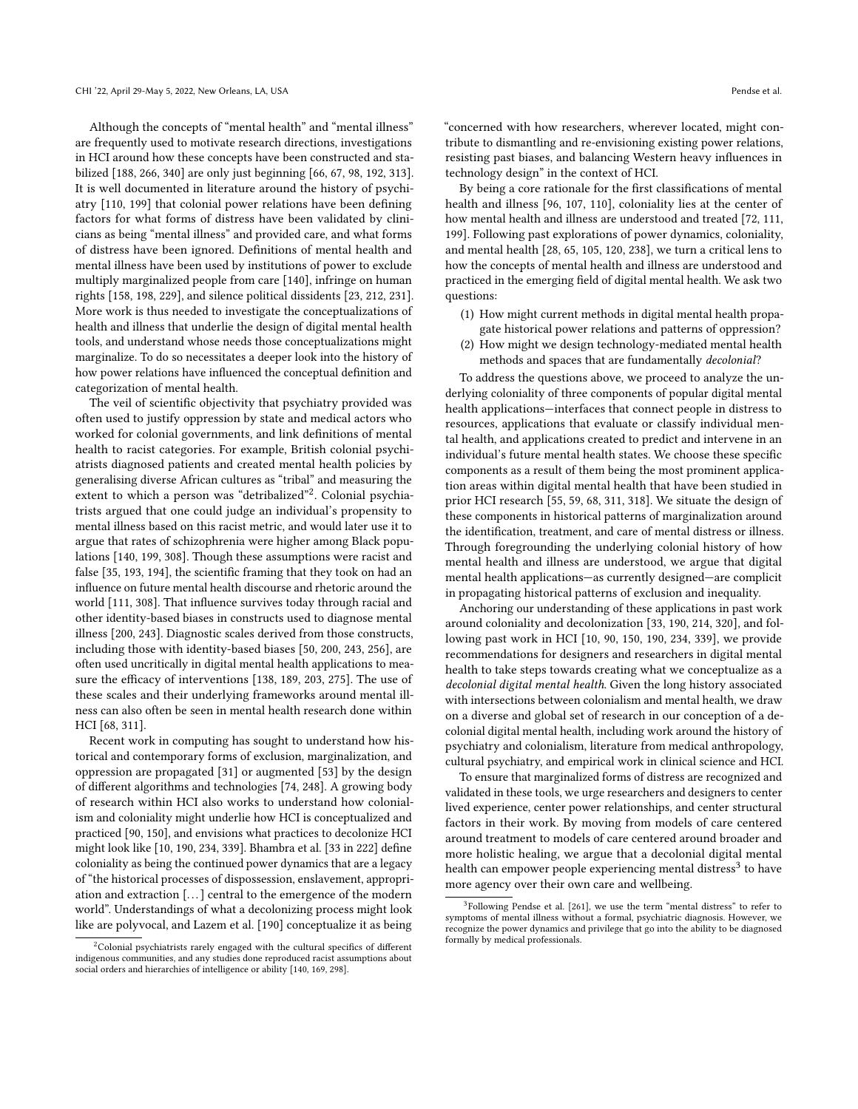Although the concepts of "mental health" and "mental illness" are frequently used to motivate research directions, investigations in HCI around how these concepts have been constructed and stabilized [\[188,](#page-19-3) [266,](#page-20-4) [340\]](#page-22-3) are only just beginning [\[66,](#page-16-6) [67,](#page-16-7) [98,](#page-17-3) [192,](#page-19-4) [313\]](#page-21-4). It is well documented in literature around the history of psychiatry [\[110,](#page-17-4) [199\]](#page-19-5) that colonial power relations have been defning factors for what forms of distress have been validated by clinicians as being "mental illness" and provided care, and what forms of distress have been ignored. Defnitions of mental health and mental illness have been used by institutions of power to exclude multiply marginalized people from care [\[140\]](#page-18-1), infringe on human rights [\[158,](#page-18-2) [198,](#page-19-6) [229\]](#page-19-7), and silence political dissidents [\[23,](#page-16-8) [212,](#page-19-8) [231\]](#page-19-9). More work is thus needed to investigate the conceptualizations of health and illness that underlie the design of digital mental health tools, and understand whose needs those conceptualizations might marginalize. To do so necessitates a deeper look into the history of how power relations have infuenced the conceptual defnition and categorization of mental health.

The veil of scientifc objectivity that psychiatry provided was often used to justify oppression by state and medical actors who worked for colonial governments, and link defnitions of mental health to racist categories. For example, British colonial psychiatrists diagnosed patients and created mental health policies by generalising diverse African cultures as "tribal" and measuring the extent to which a person was "detribalized"<sup>2</sup>. Colonial psychiatrists argued that one could judge an individual's propensity to mental illness based on this racist metric, and would later use it to argue that rates of schizophrenia were higher among Black populations [\[140,](#page-18-1) [199,](#page-19-5) [308\]](#page-21-5). Though these assumptions were racist and false [\[35,](#page-16-9) [193,](#page-19-10) [194\]](#page-19-11), the scientifc framing that they took on had an infuence on future mental health discourse and rhetoric around the world [\[111,](#page-17-5) [308\]](#page-21-5). That infuence survives today through racial and other identity-based biases in constructs used to diagnose mental illness [\[200,](#page-19-12) [243\]](#page-20-5). Diagnostic scales derived from those constructs, including those with identity-based biases [\[50,](#page-16-10) [200,](#page-19-12) [243,](#page-20-5) [256\]](#page-20-6), are often used uncritically in digital mental health applications to mea-sure the efficacy of interventions [\[138,](#page-18-3) [189,](#page-19-13) [203,](#page-19-2) [275\]](#page-20-7). The use of these scales and their underlying frameworks around mental illness can also often be seen in mental health research done within HCI [\[68,](#page-16-5) [311\]](#page-21-1).

Recent work in computing has sought to understand how historical and contemporary forms of exclusion, marginalization, and oppression are propagated [\[31\]](#page-16-11) or augmented [\[53\]](#page-16-12) by the design of diferent algorithms and technologies [\[74,](#page-17-6) [248\]](#page-20-8). A growing body of research within HCI also works to understand how colonialism and coloniality might underlie how HCI is conceptualized and practiced [\[90,](#page-17-7) [150\]](#page-18-4), and envisions what practices to decolonize HCI might look like [\[10,](#page-15-1) [190,](#page-19-14) [234,](#page-19-15) [339\]](#page-21-6). Bhambra et al. [\[33](#page-16-13) in [222\]](#page-19-16) defne coloniality as being the continued power dynamics that are a legacy of "the historical processes of dispossession, enslavement, appropriation and extraction [. . .] central to the emergence of the modern world". Understandings of what a decolonizing process might look like are polyvocal, and Lazem et al. [\[190\]](#page-19-14) conceptualize it as being

"concerned with how researchers, wherever located, might contribute to dismantling and re-envisioning existing power relations, resisting past biases, and balancing Western heavy infuences in technology design" in the context of HCI.

By being a core rationale for the frst classifcations of mental health and illness [\[96,](#page-17-8) [107,](#page-17-9) [110\]](#page-17-4), coloniality lies at the center of how mental health and illness are understood and treated [\[72,](#page-17-10) [111,](#page-17-5) [199\]](#page-19-5). Following past explorations of power dynamics, coloniality, and mental health [\[28,](#page-16-14) [65,](#page-16-15) [105,](#page-17-11) [120,](#page-17-12) [238\]](#page-20-9), we turn a critical lens to how the concepts of mental health and illness are understood and practiced in the emerging feld of digital mental health. We ask two questions:

- (1) How might current methods in digital mental health propagate historical power relations and patterns of oppression?
- (2) How might we design technology-mediated mental health methods and spaces that are fundamentally decolonial?

To address the questions above, we proceed to analyze the underlying coloniality of three components of popular digital mental health applications—interfaces that connect people in distress to resources, applications that evaluate or classify individual mental health, and applications created to predict and intervene in an individual's future mental health states. We choose these specifc components as a result of them being the most prominent application areas within digital mental health that have been studied in prior HCI research [\[55,](#page-16-2) [59,](#page-16-16) [68,](#page-16-5) [311,](#page-21-1) [318\]](#page-21-2). We situate the design of these components in historical patterns of marginalization around the identifcation, treatment, and care of mental distress or illness. Through foregrounding the underlying colonial history of how mental health and illness are understood, we argue that digital mental health applications—as currently designed—are complicit in propagating historical patterns of exclusion and inequality.

Anchoring our understanding of these applications in past work around coloniality and decolonization [\[33,](#page-16-13) [190,](#page-19-14) [214,](#page-19-17) [320\]](#page-21-8), and following past work in HCI [\[10,](#page-15-1) [90,](#page-17-7) [150,](#page-18-4) [190,](#page-19-14) [234,](#page-19-15) [339\]](#page-21-6), we provide recommendations for designers and researchers in digital mental health to take steps towards creating what we conceptualize as a decolonial digital mental health. Given the long history associated with intersections between colonialism and mental health, we draw on a diverse and global set of research in our conception of a decolonial digital mental health, including work around the history of psychiatry and colonialism, literature from medical anthropology, cultural psychiatry, and empirical work in clinical science and HCI.

To ensure that marginalized forms of distress are recognized and validated in these tools, we urge researchers and designers to center lived experience, center power relationships, and center structural factors in their work. By moving from models of care centered around treatment to models of care centered around broader and more holistic healing, we argue that a decolonial digital mental health can empower people experiencing mental distress<sup>3</sup> to have more agency over their own care and wellbeing.

<sup>&</sup>lt;sup>2</sup>Colonial psychiatrists rarely engaged with the cultural specifics of different indigenous communities, and any studies done reproduced racist assumptions about social orders and hierarchies of intelligence or ability [\[140,](#page-18-1) [169,](#page-18-5) [298\]](#page-21-7).

<sup>3</sup>Following Pendse et al. [\[261\]](#page-20-10), we use the term "mental distress" to refer to symptoms of mental illness without a formal, psychiatric diagnosis. However, we recognize the power dynamics and privilege that go into the ability to be diagnosed formally by medical professionals.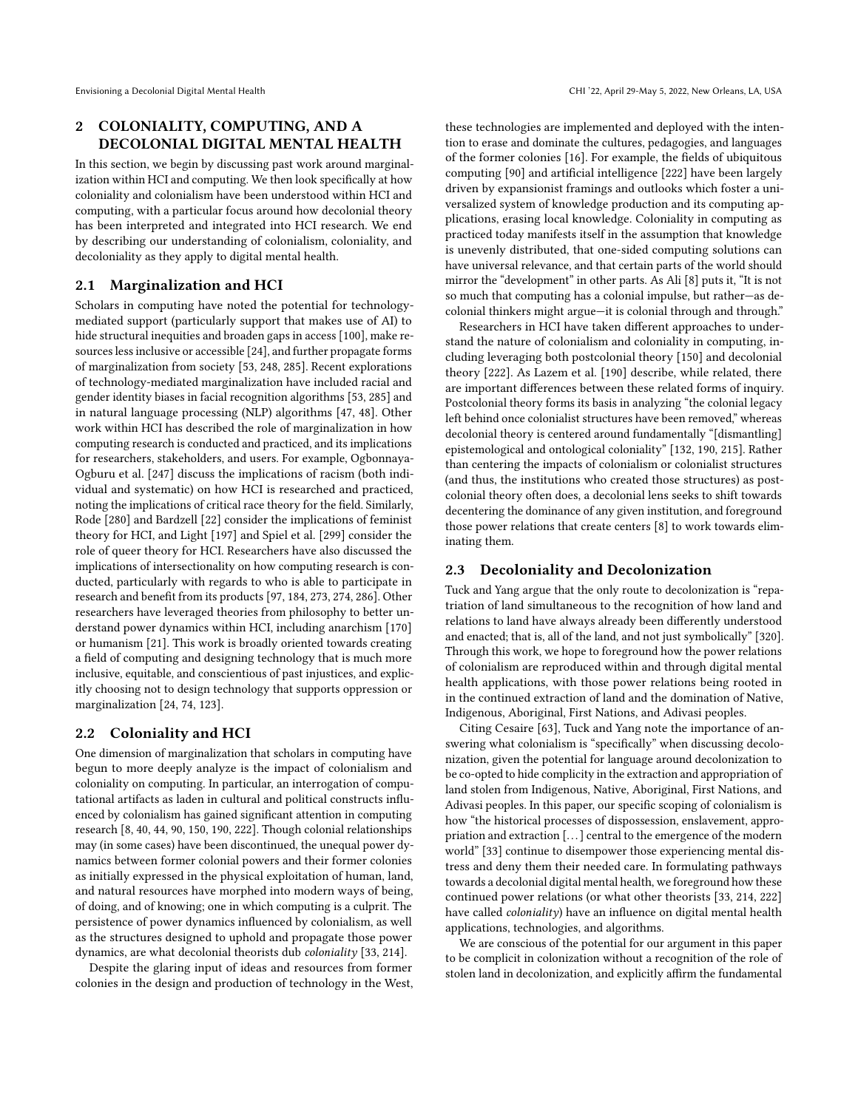## 2 COLONIALITY, COMPUTING, AND A DECOLONIAL DIGITAL MENTAL HEALTH

In this section, we begin by discussing past work around marginalization within HCI and computing. We then look specifcally at how coloniality and colonialism have been understood within HCI and computing, with a particular focus around how decolonial theory has been interpreted and integrated into HCI research. We end by describing our understanding of colonialism, coloniality, and decoloniality as they apply to digital mental health.

## 2.1 Marginalization and HCI

Scholars in computing have noted the potential for technologymediated support (particularly support that makes use of AI) to hide structural inequities and broaden gaps in access [\[100\]](#page-17-13), make resourceslessinclusive or accessible [\[24\]](#page-16-17), and further propagate forms of marginalization from society [\[53,](#page-16-12) [248,](#page-20-8) [285\]](#page-20-11). Recent explorations of technology-mediated marginalization have included racial and gender identity biases in facial recognition algorithms [\[53,](#page-16-12) [285\]](#page-20-11) and in natural language processing (NLP) algorithms [\[47,](#page-16-18) [48\]](#page-16-19). Other work within HCI has described the role of marginalization in how computing research is conducted and practiced, and its implications for researchers, stakeholders, and users. For example, Ogbonnaya-Ogburu et al. [\[247\]](#page-20-12) discuss the implications of racism (both individual and systematic) on how HCI is researched and practiced, noting the implications of critical race theory for the feld. Similarly, Rode [\[280\]](#page-20-13) and Bardzell [\[22\]](#page-16-20) consider the implications of feminist theory for HCI, and Light [\[197\]](#page-19-18) and Spiel et al. [\[299\]](#page-21-9) consider the role of queer theory for HCI. Researchers have also discussed the implications of intersectionality on how computing research is conducted, particularly with regards to who is able to participate in research and beneft from its products [\[97,](#page-17-14) [184,](#page-18-6) [273,](#page-20-14) [274,](#page-20-15) [286\]](#page-20-16). Other researchers have leveraged theories from philosophy to better understand power dynamics within HCI, including anarchism [\[170\]](#page-18-7) or humanism [\[21\]](#page-16-21). This work is broadly oriented towards creating a feld of computing and designing technology that is much more inclusive, equitable, and conscientious of past injustices, and explicitly choosing not to design technology that supports oppression or marginalization [\[24,](#page-16-17) [74,](#page-17-6) [123\]](#page-17-15).

### 2.2 Coloniality and HCI

One dimension of marginalization that scholars in computing have begun to more deeply analyze is the impact of colonialism and coloniality on computing. In particular, an interrogation of computational artifacts as laden in cultural and political constructs infuenced by colonialism has gained signifcant attention in computing research [\[8,](#page-15-2) [40,](#page-16-22) [44,](#page-16-23) [90,](#page-17-7) [150,](#page-18-4) [190,](#page-19-14) [222\]](#page-19-16). Though colonial relationships may (in some cases) have been discontinued, the unequal power dynamics between former colonial powers and their former colonies as initially expressed in the physical exploitation of human, land, and natural resources have morphed into modern ways of being, of doing, and of knowing; one in which computing is a culprit. The persistence of power dynamics infuenced by colonialism, as well as the structures designed to uphold and propagate those power dynamics, are what decolonial theorists dub coloniality [\[33,](#page-16-13) [214\]](#page-19-17).

Despite the glaring input of ideas and resources from former colonies in the design and production of technology in the West,

these technologies are implemented and deployed with the intention to erase and dominate the cultures, pedagogies, and languages of the former colonies [\[16\]](#page-16-24). For example, the felds of ubiquitous computing [\[90\]](#page-17-7) and artifcial intelligence [\[222\]](#page-19-16) have been largely driven by expansionist framings and outlooks which foster a universalized system of knowledge production and its computing applications, erasing local knowledge. Coloniality in computing as practiced today manifests itself in the assumption that knowledge is unevenly distributed, that one-sided computing solutions can have universal relevance, and that certain parts of the world should mirror the "development" in other parts. As Ali [\[8\]](#page-15-2) puts it, "It is not so much that computing has a colonial impulse, but rather—as decolonial thinkers might argue—it is colonial through and through."

Researchers in HCI have taken diferent approaches to understand the nature of colonialism and coloniality in computing, including leveraging both postcolonial theory [\[150\]](#page-18-4) and decolonial theory [\[222\]](#page-19-16). As Lazem et al. [\[190\]](#page-19-14) describe, while related, there are important diferences between these related forms of inquiry. Postcolonial theory forms its basis in analyzing "the colonial legacy left behind once colonialist structures have been removed," whereas decolonial theory is centered around fundamentally "[dismantling] epistemological and ontological coloniality" [\[132,](#page-18-8) [190,](#page-19-14) [215\]](#page-19-19). Rather than centering the impacts of colonialism or colonialist structures (and thus, the institutions who created those structures) as postcolonial theory often does, a decolonial lens seeks to shift towards decentering the dominance of any given institution, and foreground those power relations that create centers [\[8\]](#page-15-2) to work towards eliminating them.

### 2.3 Decoloniality and Decolonization

Tuck and Yang argue that the only route to decolonization is "repatriation of land simultaneous to the recognition of how land and relations to land have always already been diferently understood and enacted; that is, all of the land, and not just symbolically" [\[320\]](#page-21-8). Through this work, we hope to foreground how the power relations of colonialism are reproduced within and through digital mental health applications, with those power relations being rooted in in the continued extraction of land and the domination of Native, Indigenous, Aboriginal, First Nations, and Adivasi peoples.

Citing Cesaire [\[63\]](#page-16-25), Tuck and Yang note the importance of answering what colonialism is "specifcally" when discussing decolonization, given the potential for language around decolonization to be co-opted to hide complicity in the extraction and appropriation of land stolen from Indigenous, Native, Aboriginal, First Nations, and Adivasi peoples. In this paper, our specifc scoping of colonialism is how "the historical processes of dispossession, enslavement, appropriation and extraction [. . .] central to the emergence of the modern world" [\[33\]](#page-16-13) continue to disempower those experiencing mental distress and deny them their needed care. In formulating pathways towards a decolonial digital mental health, we foreground how these continued power relations (or what other theorists [\[33,](#page-16-13) [214,](#page-19-17) [222\]](#page-19-16) have called coloniality) have an infuence on digital mental health applications, technologies, and algorithms.

We are conscious of the potential for our argument in this paper to be complicit in colonization without a recognition of the role of stolen land in decolonization, and explicitly affirm the fundamental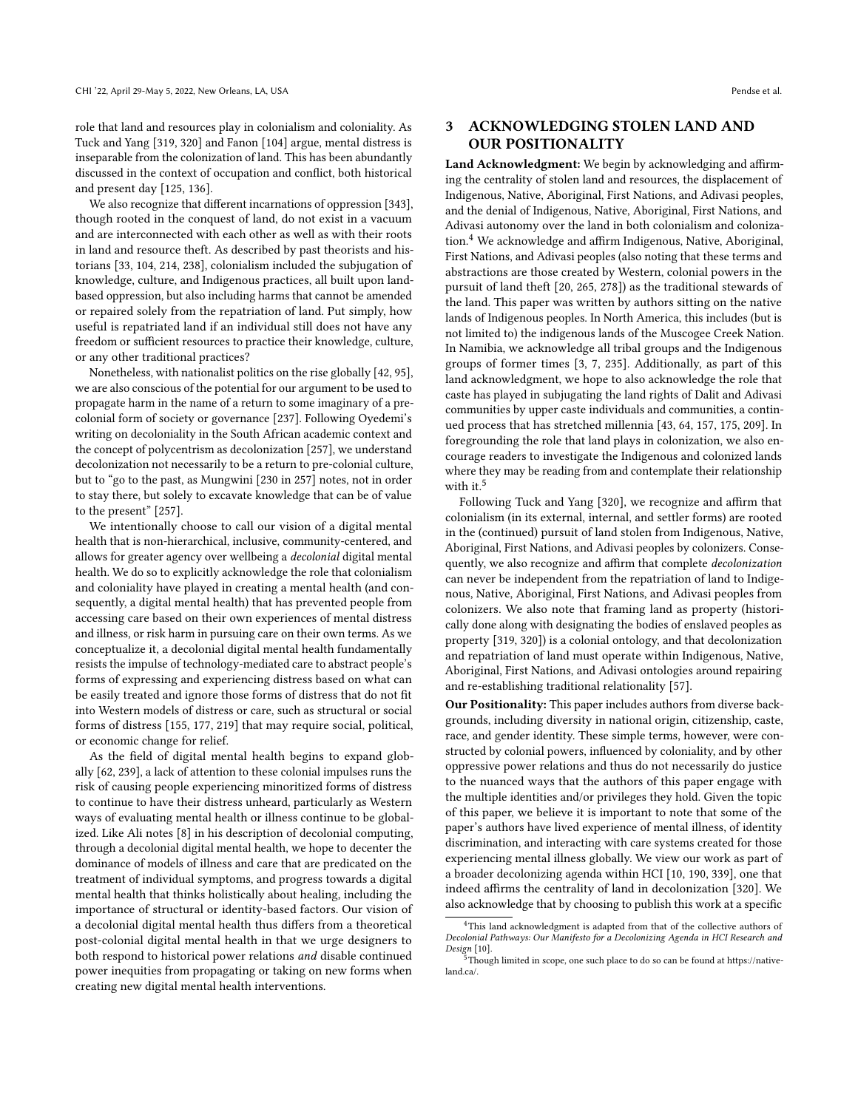role that land and resources play in colonialism and coloniality. As Tuck and Yang [\[319,](#page-21-10) [320\]](#page-21-8) and Fanon [\[104\]](#page-17-16) argue, mental distress is inseparable from the colonization of land. This has been abundantly discussed in the context of occupation and confict, both historical and present day [\[125,](#page-17-17) [136\]](#page-18-9).

We also recognize that diferent incarnations of oppression [\[343\]](#page-22-4), though rooted in the conquest of land, do not exist in a vacuum and are interconnected with each other as well as with their roots in land and resource theft. As described by past theorists and historians [\[33,](#page-16-13) [104,](#page-17-16) [214,](#page-19-17) [238\]](#page-20-9), colonialism included the subjugation of knowledge, culture, and Indigenous practices, all built upon landbased oppression, but also including harms that cannot be amended or repaired solely from the repatriation of land. Put simply, how useful is repatriated land if an individual still does not have any freedom or sufficient resources to practice their knowledge, culture, or any other traditional practices?

Nonetheless, with nationalist politics on the rise globally [\[42,](#page-16-26) [95\]](#page-17-18), we are also conscious of the potential for our argument to be used to propagate harm in the name of a return to some imaginary of a precolonial form of society or governance [\[237\]](#page-20-17). Following Oyedemi's writing on decoloniality in the South African academic context and the concept of polycentrism as decolonization [\[257\]](#page-20-18), we understand decolonization not necessarily to be a return to pre-colonial culture, but to "go to the past, as Mungwini [\[230](#page-19-20) in [257\]](#page-20-18) notes, not in order to stay there, but solely to excavate knowledge that can be of value to the present" [\[257\]](#page-20-18).

We intentionally choose to call our vision of a digital mental health that is non-hierarchical, inclusive, community-centered, and allows for greater agency over wellbeing a decolonial digital mental health. We do so to explicitly acknowledge the role that colonialism and coloniality have played in creating a mental health (and consequently, a digital mental health) that has prevented people from accessing care based on their own experiences of mental distress and illness, or risk harm in pursuing care on their own terms. As we conceptualize it, a decolonial digital mental health fundamentally resists the impulse of technology-mediated care to abstract people's forms of expressing and experiencing distress based on what can be easily treated and ignore those forms of distress that do not ft into Western models of distress or care, such as structural or social forms of distress [\[155,](#page-18-10) [177,](#page-18-11) [219\]](#page-19-21) that may require social, political, or economic change for relief.

As the feld of digital mental health begins to expand globally [\[62,](#page-16-27) [239\]](#page-20-1), a lack of attention to these colonial impulses runs the risk of causing people experiencing minoritized forms of distress to continue to have their distress unheard, particularly as Western ways of evaluating mental health or illness continue to be globalized. Like Ali notes [\[8\]](#page-15-2) in his description of decolonial computing, through a decolonial digital mental health, we hope to decenter the dominance of models of illness and care that are predicated on the treatment of individual symptoms, and progress towards a digital mental health that thinks holistically about healing, including the importance of structural or identity-based factors. Our vision of a decolonial digital mental health thus difers from a theoretical post-colonial digital mental health in that we urge designers to both respond to historical power relations and disable continued power inequities from propagating or taking on new forms when creating new digital mental health interventions.

## 3 ACKNOWLEDGING STOLEN LAND AND OUR POSITIONALITY

Land Acknowledgment: We begin by acknowledging and affirming the centrality of stolen land and resources, the displacement of Indigenous, Native, Aboriginal, First Nations, and Adivasi peoples, and the denial of Indigenous, Native, Aboriginal, First Nations, and Adivasi autonomy over the land in both colonialism and coloniza-tion.<sup>[4](#page-0-0)</sup> We acknowledge and affirm Indigenous, Native, Aboriginal, First Nations, and Adivasi peoples (also noting that these terms and abstractions are those created by Western, colonial powers in the pursuit of land theft [\[20,](#page-16-28) [265,](#page-20-19) [278\]](#page-20-20)) as the traditional stewards of the land. This paper was written by authors sitting on the native lands of Indigenous peoples. In North America, this includes (but is not limited to) the indigenous lands of the Muscogee Creek Nation. In Namibia, we acknowledge all tribal groups and the Indigenous groups of former times [\[3,](#page-15-3) [7,](#page-15-4) [235\]](#page-19-22). Additionally, as part of this land acknowledgment, we hope to also acknowledge the role that caste has played in subjugating the land rights of Dalit and Adivasi communities by upper caste individuals and communities, a continued process that has stretched millennia [\[43,](#page-16-29) [64,](#page-16-30) [157,](#page-18-12) [175,](#page-18-13) [209\]](#page-19-23). In foregrounding the role that land plays in colonization, we also encourage readers to investigate the Indigenous and colonized lands where they may be reading from and contemplate their relationship with it.<sup>[5](#page-0-0)</sup>

Following Tuck and Yang [\[320\]](#page-21-8), we recognize and affirm that colonialism (in its external, internal, and settler forms) are rooted in the (continued) pursuit of land stolen from Indigenous, Native, Aboriginal, First Nations, and Adivasi peoples by colonizers. Consequently, we also recognize and affirm that complete *decolonization* can never be independent from the repatriation of land to Indigenous, Native, Aboriginal, First Nations, and Adivasi peoples from colonizers. We also note that framing land as property (historically done along with designating the bodies of enslaved peoples as property [\[319,](#page-21-10) [320\]](#page-21-8)) is a colonial ontology, and that decolonization and repatriation of land must operate within Indigenous, Native, Aboriginal, First Nations, and Adivasi ontologies around repairing and re-establishing traditional relationality [\[57\]](#page-16-31).

Our Positionality: This paper includes authors from diverse backgrounds, including diversity in national origin, citizenship, caste, race, and gender identity. These simple terms, however, were constructed by colonial powers, infuenced by coloniality, and by other oppressive power relations and thus do not necessarily do justice to the nuanced ways that the authors of this paper engage with the multiple identities and/or privileges they hold. Given the topic of this paper, we believe it is important to note that some of the paper's authors have lived experience of mental illness, of identity discrimination, and interacting with care systems created for those experiencing mental illness globally. We view our work as part of a broader decolonizing agenda within HCI [\[10,](#page-15-1) [190,](#page-19-14) [339\]](#page-21-6), one that indeed affirms the centrality of land in decolonization [\[320\]](#page-21-8). We also acknowledge that by choosing to publish this work at a specifc

<sup>&</sup>lt;sup>4</sup>This land acknowledgment is adapted from that of the collective authors of Decolonial Pathways: Our Manifesto for a Decolonizing Agenda in HCI Research and

Though limited in scope, one such place to do so can be found at [https://native](https://native-land.ca/)[land.ca/.](https://native-land.ca/)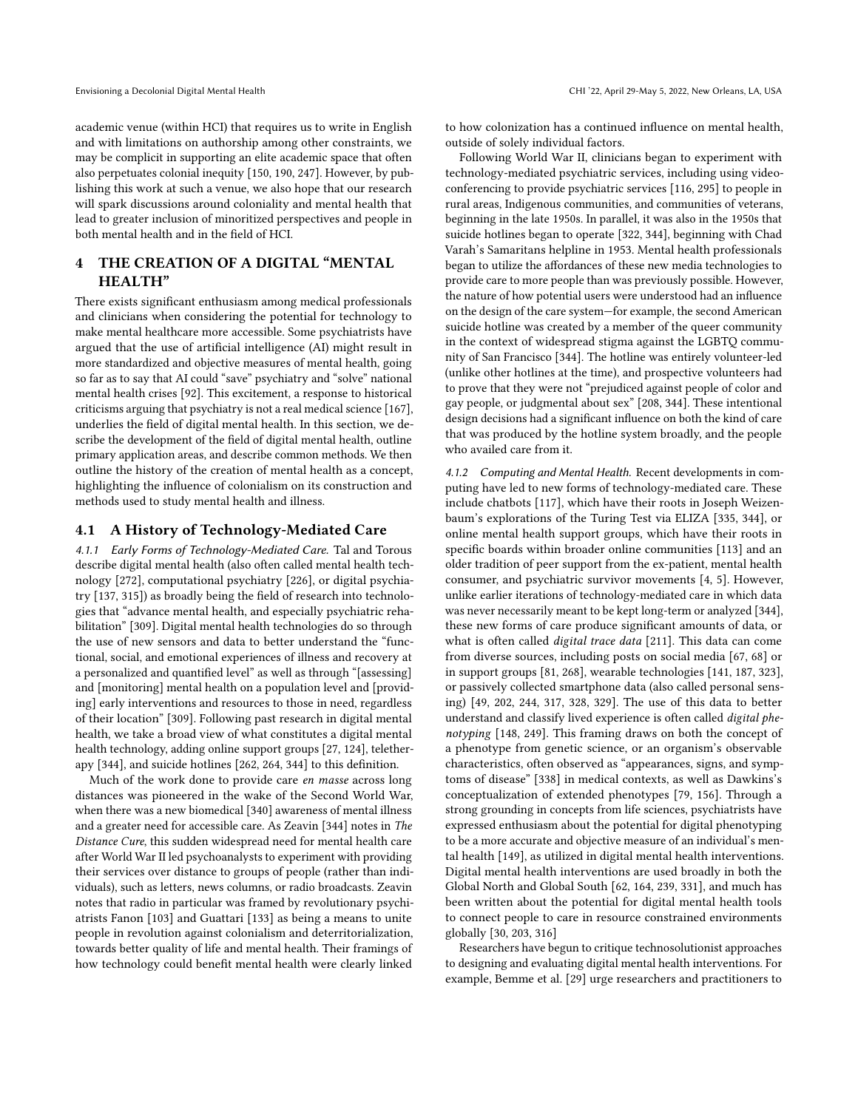academic venue (within HCI) that requires us to write in English and with limitations on authorship among other constraints, we may be complicit in supporting an elite academic space that often also perpetuates colonial inequity [\[150,](#page-18-4) [190,](#page-19-14) [247\]](#page-20-12). However, by publishing this work at such a venue, we also hope that our research will spark discussions around coloniality and mental health that lead to greater inclusion of minoritized perspectives and people in both mental health and in the feld of HCI.

## 4 THE CREATION OF A DIGITAL "MENTAL HEALTH"

There exists signifcant enthusiasm among medical professionals and clinicians when considering the potential for technology to make mental healthcare more accessible. Some psychiatrists have argued that the use of artifcial intelligence (AI) might result in more standardized and objective measures of mental health, going so far as to say that AI could "save" psychiatry and "solve" national mental health crises [\[92\]](#page-17-19). This excitement, a response to historical criticisms arguing that psychiatry is not a real medical science [\[167\]](#page-18-14), underlies the feld of digital mental health. In this section, we describe the development of the feld of digital mental health, outline primary application areas, and describe common methods. We then outline the history of the creation of mental health as a concept, highlighting the infuence of colonialism on its construction and methods used to study mental health and illness.

## 4.1 A History of Technology-Mediated Care

4.1.1 Early Forms of Technology-Mediated Care. Tal and Torous describe digital mental health (also often called mental health technology [\[272\]](#page-20-21), computational psychiatry [\[226\]](#page-19-24), or digital psychiatry [\[137,](#page-18-15) [315\]](#page-21-11)) as broadly being the feld of research into technologies that "advance mental health, and especially psychiatric rehabilitation" [\[309\]](#page-21-12). Digital mental health technologies do so through the use of new sensors and data to better understand the "functional, social, and emotional experiences of illness and recovery at a personalized and quantifed level" as well as through "[assessing] and [monitoring] mental health on a population level and [providing] early interventions and resources to those in need, regardless of their location" [\[309\]](#page-21-12). Following past research in digital mental health, we take a broad view of what constitutes a digital mental health technology, adding online support groups [\[27,](#page-16-0) [124\]](#page-17-20), teletherapy [\[344\]](#page-22-5), and suicide hotlines [\[262,](#page-20-2) [264,](#page-20-3) [344\]](#page-22-5) to this defnition.

Much of the work done to provide care en masse across long distances was pioneered in the wake of the Second World War, when there was a new biomedical [\[340\]](#page-22-3) awareness of mental illness and a greater need for accessible care. As Zeavin [\[344\]](#page-22-5) notes in The Distance Cure, this sudden widespread need for mental health care after World War II led psychoanalysts to experiment with providing their services over distance to groups of people (rather than individuals), such as letters, news columns, or radio broadcasts. Zeavin notes that radio in particular was framed by revolutionary psychiatrists Fanon [\[103\]](#page-17-21) and Guattari [\[133\]](#page-18-16) as being a means to unite people in revolution against colonialism and deterritorialization, towards better quality of life and mental health. Their framings of how technology could beneft mental health were clearly linked

to how colonization has a continued infuence on mental health, outside of solely individual factors.

Following World War II, clinicians began to experiment with technology-mediated psychiatric services, including using videoconferencing to provide psychiatric services [\[116,](#page-17-22) [295\]](#page-21-13) to people in rural areas, Indigenous communities, and communities of veterans, beginning in the late 1950s. In parallel, it was also in the 1950s that suicide hotlines began to operate [\[322,](#page-21-14) [344\]](#page-22-5), beginning with Chad Varah's Samaritans helpline in 1953. Mental health professionals began to utilize the afordances of these new media technologies to provide care to more people than was previously possible. However, the nature of how potential users were understood had an infuence on the design of the care system—for example, the second American suicide hotline was created by a member of the queer community in the context of widespread stigma against the LGBTQ community of San Francisco [\[344\]](#page-22-5). The hotline was entirely volunteer-led (unlike other hotlines at the time), and prospective volunteers had to prove that they were not "prejudiced against people of color and gay people, or judgmental about sex" [\[208,](#page-19-25) [344\]](#page-22-5). These intentional design decisions had a signifcant infuence on both the kind of care that was produced by the hotline system broadly, and the people who availed care from it.

4.1.2 Computing and Mental Health. Recent developments in computing have led to new forms of technology-mediated care. These include chatbots [\[117\]](#page-17-23), which have their roots in Joseph Weizenbaum's explorations of the Turing Test via ELIZA [\[335,](#page-21-15) [344\]](#page-22-5), or online mental health support groups, which have their roots in specifc boards within broader online communities [\[113\]](#page-17-24) and an older tradition of peer support from the ex-patient, mental health consumer, and psychiatric survivor movements [\[4,](#page-15-5) [5\]](#page-15-6). However, unlike earlier iterations of technology-mediated care in which data was never necessarily meant to be kept long-term or analyzed [\[344\]](#page-22-5), these new forms of care produce signifcant amounts of data, or what is often called digital trace data [\[211\]](#page-19-26). This data can come from diverse sources, including posts on social media [\[67,](#page-16-7) [68\]](#page-16-5) or in support groups [\[81,](#page-17-25) [268\]](#page-20-22), wearable technologies [\[141,](#page-18-17) [187,](#page-19-27) [323\]](#page-21-16), or passively collected smartphone data (also called personal sensing) [\[49,](#page-16-32) [202,](#page-19-28) [244,](#page-20-23) [317,](#page-21-17) [328,](#page-21-18) [329\]](#page-21-19). The use of this data to better understand and classify lived experience is often called digital phenotyping [\[148,](#page-18-18) [249\]](#page-20-24). This framing draws on both the concept of a phenotype from genetic science, or an organism's observable characteristics, often observed as "appearances, signs, and symptoms of disease" [\[338\]](#page-21-20) in medical contexts, as well as Dawkins's conceptualization of extended phenotypes [\[79,](#page-17-26) [156\]](#page-18-19). Through a strong grounding in concepts from life sciences, psychiatrists have expressed enthusiasm about the potential for digital phenotyping to be a more accurate and objective measure of an individual's mental health [\[149\]](#page-18-20), as utilized in digital mental health interventions. Digital mental health interventions are used broadly in both the Global North and Global South [\[62,](#page-16-27) [164,](#page-18-21) [239,](#page-20-1) [331\]](#page-21-21), and much has been written about the potential for digital mental health tools to connect people to care in resource constrained environments globally [\[30,](#page-16-1) [203,](#page-19-2) [316\]](#page-21-0)

Researchers have begun to critique technosolutionist approaches to designing and evaluating digital mental health interventions. For example, Bemme et al. [\[29\]](#page-16-33) urge researchers and practitioners to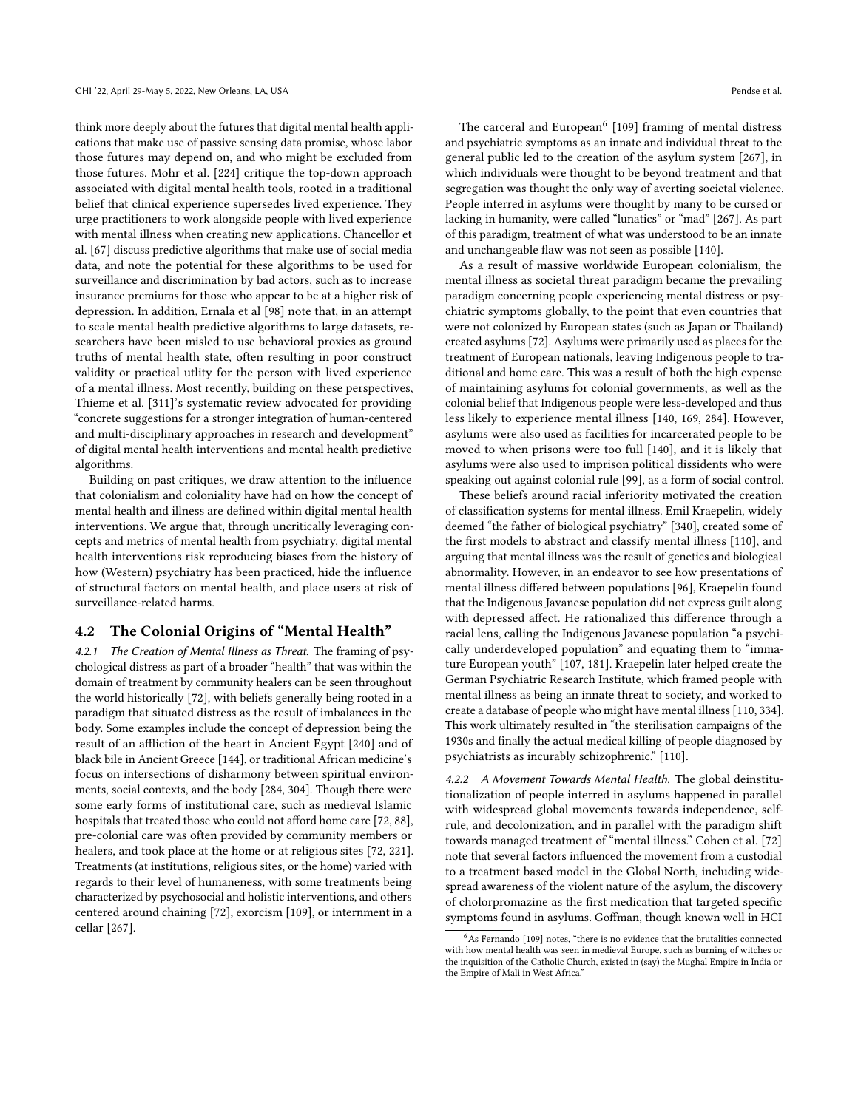think more deeply about the futures that digital mental health applications that make use of passive sensing data promise, whose labor those futures may depend on, and who might be excluded from those futures. Mohr et al. [\[224\]](#page-19-29) critique the top-down approach associated with digital mental health tools, rooted in a traditional belief that clinical experience supersedes lived experience. They urge practitioners to work alongside people with lived experience with mental illness when creating new applications. Chancellor et al. [\[67\]](#page-16-7) discuss predictive algorithms that make use of social media data, and note the potential for these algorithms to be used for surveillance and discrimination by bad actors, such as to increase insurance premiums for those who appear to be at a higher risk of depression. In addition, Ernala et al [\[98\]](#page-17-3) note that, in an attempt to scale mental health predictive algorithms to large datasets, researchers have been misled to use behavioral proxies as ground truths of mental health state, often resulting in poor construct validity or practical utlity for the person with lived experience of a mental illness. Most recently, building on these perspectives, Thieme et al. [\[311\]](#page-21-1)'s systematic review advocated for providing "concrete suggestions for a stronger integration of human-centered and multi-disciplinary approaches in research and development" of digital mental health interventions and mental health predictive algorithms.

Building on past critiques, we draw attention to the infuence that colonialism and coloniality have had on how the concept of mental health and illness are defned within digital mental health interventions. We argue that, through uncritically leveraging concepts and metrics of mental health from psychiatry, digital mental health interventions risk reproducing biases from the history of how (Western) psychiatry has been practiced, hide the infuence of structural factors on mental health, and place users at risk of surveillance-related harms.

## 4.2 The Colonial Origins of "Mental Health"

4.2.1 The Creation of Mental Illness as Threat. The framing of psychological distress as part of a broader "health" that was within the domain of treatment by community healers can be seen throughout the world historically [\[72\]](#page-17-10), with beliefs generally being rooted in a paradigm that situated distress as the result of imbalances in the body. Some examples include the concept of depression being the result of an affliction of the heart in Ancient Egypt [\[240\]](#page-20-25) and of black bile in Ancient Greece [\[144\]](#page-18-22), or traditional African medicine's focus on intersections of disharmony between spiritual environments, social contexts, and the body [\[284,](#page-20-26) [304\]](#page-21-22). Though there were some early forms of institutional care, such as medieval Islamic hospitals that treated those who could not afford home care [\[72,](#page-17-10) [88\]](#page-17-27), pre-colonial care was often provided by community members or healers, and took place at the home or at religious sites [\[72,](#page-17-10) [221\]](#page-19-30). Treatments (at institutions, religious sites, or the home) varied with regards to their level of humaneness, with some treatments being characterized by psychosocial and holistic interventions, and others centered around chaining [\[72\]](#page-17-10), exorcism [\[109\]](#page-17-28), or internment in a cellar [\[267\]](#page-20-27).

The carceral and European $6$  [\[109\]](#page-17-28) framing of mental distress and psychiatric symptoms as an innate and individual threat to the general public led to the creation of the asylum system [\[267\]](#page-20-27), in which individuals were thought to be beyond treatment and that segregation was thought the only way of averting societal violence. People interred in asylums were thought by many to be cursed or lacking in humanity, were called "lunatics" or "mad" [\[267\]](#page-20-27). As part of this paradigm, treatment of what was understood to be an innate and unchangeable faw was not seen as possible [\[140\]](#page-18-1).

As a result of massive worldwide European colonialism, the mental illness as societal threat paradigm became the prevailing paradigm concerning people experiencing mental distress or psychiatric symptoms globally, to the point that even countries that were not colonized by European states (such as Japan or Thailand) created asylums [\[72\]](#page-17-10). Asylums were primarily used as places for the treatment of European nationals, leaving Indigenous people to traditional and home care. This was a result of both the high expense of maintaining asylums for colonial governments, as well as the colonial belief that Indigenous people were less-developed and thus less likely to experience mental illness [\[140,](#page-18-1) [169,](#page-18-5) [284\]](#page-20-26). However, asylums were also used as facilities for incarcerated people to be moved to when prisons were too full [\[140\]](#page-18-1), and it is likely that asylums were also used to imprison political dissidents who were speaking out against colonial rule [\[99\]](#page-17-29), as a form of social control.

These beliefs around racial inferiority motivated the creation of classifcation systems for mental illness. Emil Kraepelin, widely deemed "the father of biological psychiatry" [\[340\]](#page-22-3), created some of the frst models to abstract and classify mental illness [\[110\]](#page-17-4), and arguing that mental illness was the result of genetics and biological abnormality. However, in an endeavor to see how presentations of mental illness difered between populations [\[96\]](#page-17-8), Kraepelin found that the Indigenous Javanese population did not express guilt along with depressed afect. He rationalized this diference through a racial lens, calling the Indigenous Javanese population "a psychically underdeveloped population" and equating them to "immature European youth" [\[107,](#page-17-9) [181\]](#page-18-23). Kraepelin later helped create the German Psychiatric Research Institute, which framed people with mental illness as being an innate threat to society, and worked to create a database of people who might have mental illness[\[110,](#page-17-4) [334\]](#page-21-23). This work ultimately resulted in "the sterilisation campaigns of the 1930s and fnally the actual medical killing of people diagnosed by psychiatrists as incurably schizophrenic." [\[110\]](#page-17-4).

4.2.2 A Movement Towards Mental Health. The global deinstitutionalization of people interred in asylums happened in parallel with widespread global movements towards independence, selfrule, and decolonization, and in parallel with the paradigm shift towards managed treatment of "mental illness." Cohen et al. [\[72\]](#page-17-10) note that several factors infuenced the movement from a custodial to a treatment based model in the Global North, including widespread awareness of the violent nature of the asylum, the discovery of cholorpromazine as the frst medication that targeted specifc symptoms found in asylums. Gofman, though known well in HCI

As Fernando [\[109\]](#page-17-28) notes, "there is no evidence that the brutalities connected with how mental health was seen in medieval Europe, such as burning of witches or the inquisition of the Catholic Church, existed in (say) the Mughal Empire in India or the Empire of Mali in West Africa."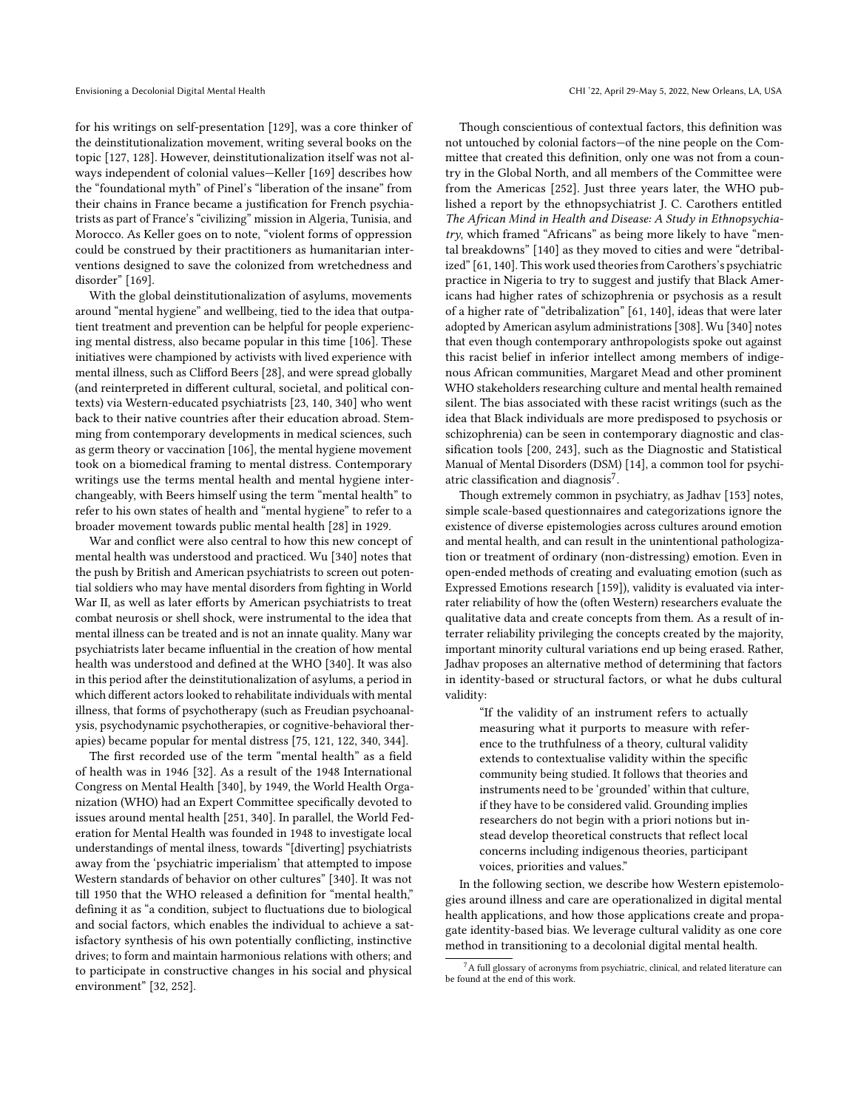for his writings on self-presentation [\[129\]](#page-17-30), was a core thinker of the deinstitutionalization movement, writing several books on the topic [\[127,](#page-17-31) [128\]](#page-17-32). However, deinstitutionalization itself was not always independent of colonial values—Keller [\[169\]](#page-18-5) describes how the "foundational myth" of Pinel's "liberation of the insane" from their chains in France became a justifcation for French psychiatrists as part of France's "civilizing" mission in Algeria, Tunisia, and Morocco. As Keller goes on to note, "violent forms of oppression could be construed by their practitioners as humanitarian interventions designed to save the colonized from wretchedness and disorder" [\[169\]](#page-18-5).

With the global deinstitutionalization of asylums, movements around "mental hygiene" and wellbeing, tied to the idea that outpatient treatment and prevention can be helpful for people experiencing mental distress, also became popular in this time [\[106\]](#page-17-33). These initiatives were championed by activists with lived experience with mental illness, such as Cliford Beers [\[28\]](#page-16-14), and were spread globally (and reinterpreted in diferent cultural, societal, and political contexts) via Western-educated psychiatrists [\[23,](#page-16-8) [140,](#page-18-1) [340\]](#page-22-3) who went back to their native countries after their education abroad. Stemming from contemporary developments in medical sciences, such as germ theory or vaccination [\[106\]](#page-17-33), the mental hygiene movement took on a biomedical framing to mental distress. Contemporary writings use the terms mental health and mental hygiene interchangeably, with Beers himself using the term "mental health" to refer to his own states of health and "mental hygiene" to refer to a broader movement towards public mental health [\[28\]](#page-16-14) in 1929.

War and confict were also central to how this new concept of mental health was understood and practiced. Wu [\[340\]](#page-22-3) notes that the push by British and American psychiatrists to screen out potential soldiers who may have mental disorders from fghting in World War II, as well as later efforts by American psychiatrists to treat combat neurosis or shell shock, were instrumental to the idea that mental illness can be treated and is not an innate quality. Many war psychiatrists later became infuential in the creation of how mental health was understood and defned at the WHO [\[340\]](#page-22-3). It was also in this period after the deinstitutionalization of asylums, a period in which different actors looked to rehabilitate individuals with mental illness, that forms of psychotherapy (such as Freudian psychoanalysis, psychodynamic psychotherapies, or cognitive-behavioral therapies) became popular for mental distress [\[75,](#page-17-34) [121,](#page-17-35) [122,](#page-17-36) [340,](#page-22-3) [344\]](#page-22-5).

The frst recorded use of the term "mental health" as a feld of health was in 1946 [\[32\]](#page-16-34). As a result of the 1948 International Congress on Mental Health [\[340\]](#page-22-3), by 1949, the World Health Organization (WHO) had an Expert Committee specifcally devoted to issues around mental health [\[251,](#page-20-28) [340\]](#page-22-3). In parallel, the World Federation for Mental Health was founded in 1948 to investigate local understandings of mental ilness, towards "[diverting] psychiatrists away from the 'psychiatric imperialism' that attempted to impose Western standards of behavior on other cultures" [\[340\]](#page-22-3). It was not till 1950 that the WHO released a defnition for "mental health," defning it as "a condition, subject to fuctuations due to biological and social factors, which enables the individual to achieve a satisfactory synthesis of his own potentially conficting, instinctive drives; to form and maintain harmonious relations with others; and to participate in constructive changes in his social and physical environment" [\[32,](#page-16-34) [252\]](#page-20-29).

Though conscientious of contextual factors, this defnition was not untouched by colonial factors—of the nine people on the Committee that created this defnition, only one was not from a country in the Global North, and all members of the Committee were from the Americas [\[252\]](#page-20-29). Just three years later, the WHO published a report by the ethnopsychiatrist J. C. Carothers entitled The African Mind in Health and Disease: A Study in Ethnopsychiatry, which framed "Africans" as being more likely to have "mental breakdowns" [\[140\]](#page-18-1) as they moved to cities and were "detribal-ized" [\[61,](#page-16-35) [140\]](#page-18-1). This work used theories from Carothers's psychiatric practice in Nigeria to try to suggest and justify that Black Americans had higher rates of schizophrenia or psychosis as a result of a higher rate of "detribalization" [\[61,](#page-16-35) [140\]](#page-18-1), ideas that were later adopted by American asylum administrations [\[308\]](#page-21-5). Wu [\[340\]](#page-22-3) notes that even though contemporary anthropologists spoke out against this racist belief in inferior intellect among members of indigenous African communities, Margaret Mead and other prominent WHO stakeholders researching culture and mental health remained silent. The bias associated with these racist writings (such as the idea that Black individuals are more predisposed to psychosis or schizophrenia) can be seen in contemporary diagnostic and classifcation tools [\[200,](#page-19-12) [243\]](#page-20-5), such as the Diagnostic and Statistical Manual of Mental Disorders (DSM) [\[14\]](#page-15-7), a common tool for psychiatric classification and diagnosis<sup>7</sup>.

Though extremely common in psychiatry, as Jadhav [\[153\]](#page-18-24) notes, simple scale-based questionnaires and categorizations ignore the existence of diverse epistemologies across cultures around emotion and mental health, and can result in the unintentional pathologization or treatment of ordinary (non-distressing) emotion. Even in open-ended methods of creating and evaluating emotion (such as Expressed Emotions research [\[159\]](#page-18-25)), validity is evaluated via interrater reliability of how the (often Western) researchers evaluate the qualitative data and create concepts from them. As a result of interrater reliability privileging the concepts created by the majority, important minority cultural variations end up being erased. Rather, Jadhav proposes an alternative method of determining that factors in identity-based or structural factors, or what he dubs cultural validity:

> "If the validity of an instrument refers to actually measuring what it purports to measure with reference to the truthfulness of a theory, cultural validity extends to contextualise validity within the specifc community being studied. It follows that theories and instruments need to be 'grounded' within that culture, if they have to be considered valid. Grounding implies researchers do not begin with a priori notions but instead develop theoretical constructs that refect local concerns including indigenous theories, participant voices, priorities and values."

In the following section, we describe how Western epistemologies around illness and care are operationalized in digital mental health applications, and how those applications create and propagate identity-based bias. We leverage cultural validity as one core method in transitioning to a decolonial digital mental health.

 $^7$ A full glossary of acronyms from psychiatric, clinical, and related literature can be found at the end of this work.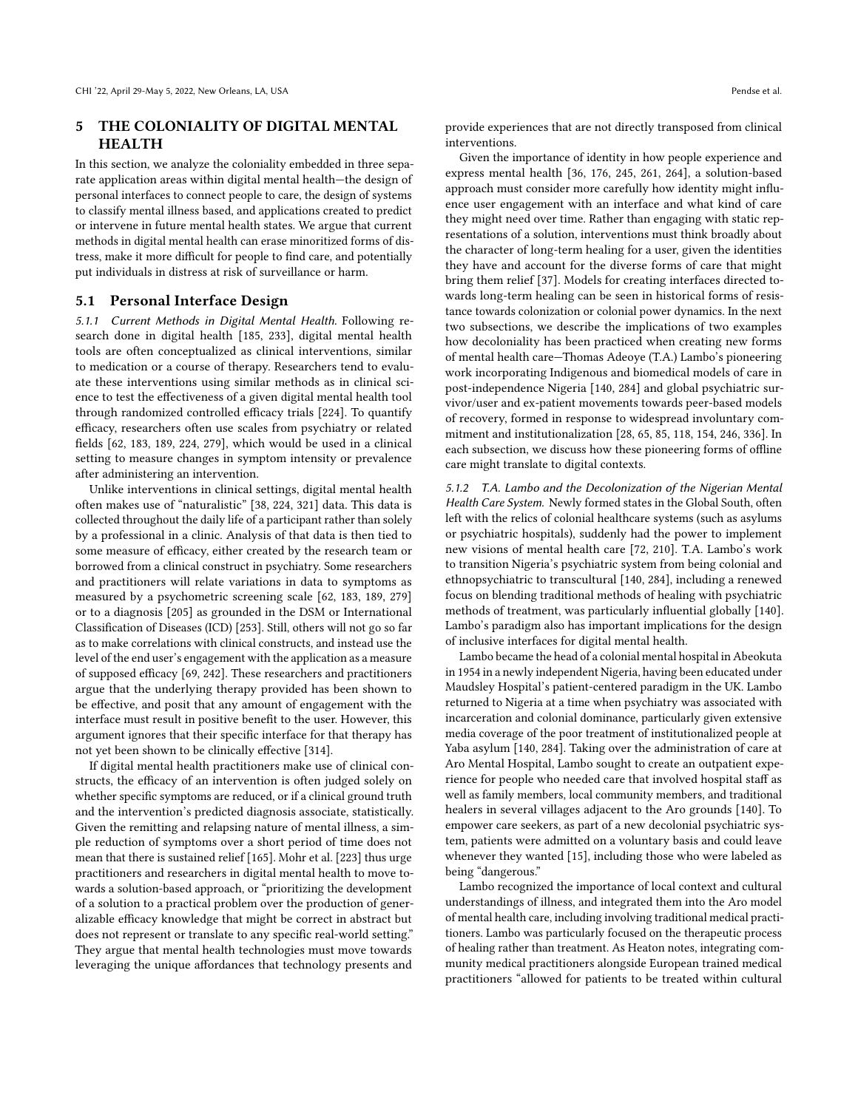# HEALTH

In this section, we analyze the coloniality embedded in three separate application areas within digital mental health—the design of personal interfaces to connect people to care, the design of systems to classify mental illness based, and applications created to predict or intervene in future mental health states. We argue that current methods in digital mental health can erase minoritized forms of distress, make it more difficult for people to find care, and potentially put individuals in distress at risk of surveillance or harm.

### 5.1 Personal Interface Design

5.1.1 Current Methods in Digital Mental Health. Following research done in digital health [\[185,](#page-18-26) [233\]](#page-19-31), digital mental health tools are often conceptualized as clinical interventions, similar to medication or a course of therapy. Researchers tend to evaluate these interventions using similar methods as in clinical science to test the efectiveness of a given digital mental health tool through randomized controlled efficacy trials [\[224\]](#page-19-29). To quantify efficacy, researchers often use scales from psychiatry or related felds [\[62,](#page-16-27) [183,](#page-18-27) [189,](#page-19-13) [224,](#page-19-29) [279\]](#page-20-30), which would be used in a clinical setting to measure changes in symptom intensity or prevalence after administering an intervention.

Unlike interventions in clinical settings, digital mental health often makes use of "naturalistic" [\[38,](#page-16-36) [224,](#page-19-29) [321\]](#page-21-24) data. This data is collected throughout the daily life of a participant rather than solely by a professional in a clinic. Analysis of that data is then tied to some measure of efficacy, either created by the research team or borrowed from a clinical construct in psychiatry. Some researchers and practitioners will relate variations in data to symptoms as measured by a psychometric screening scale [\[62,](#page-16-27) [183,](#page-18-27) [189,](#page-19-13) [279\]](#page-20-30) or to a diagnosis [\[205\]](#page-19-0) as grounded in the DSM or International Classifcation of Diseases (ICD) [\[253\]](#page-20-31). Still, others will not go so far as to make correlations with clinical constructs, and instead use the level of the end user's engagement with the application as a measure of supposed efficacy [\[69,](#page-16-37) [242\]](#page-20-32). These researchers and practitioners argue that the underlying therapy provided has been shown to be efective, and posit that any amount of engagement with the interface must result in positive beneft to the user. However, this argument ignores that their specifc interface for that therapy has not yet been shown to be clinically efective [\[314\]](#page-21-25).

If digital mental health practitioners make use of clinical constructs, the efficacy of an intervention is often judged solely on whether specifc symptoms are reduced, or if a clinical ground truth and the intervention's predicted diagnosis associate, statistically. Given the remitting and relapsing nature of mental illness, a simple reduction of symptoms over a short period of time does not mean that there is sustained relief [\[165\]](#page-18-28). Mohr et al. [\[223\]](#page-19-1) thus urge practitioners and researchers in digital mental health to move towards a solution-based approach, or "prioritizing the development of a solution to a practical problem over the production of generalizable efficacy knowledge that might be correct in abstract but does not represent or translate to any specifc real-world setting." They argue that mental health technologies must move towards leveraging the unique afordances that technology presents and

5 THE COLONIALITY OF DIGITAL MENTAL provide experiences that are not directly transposed from clinical interventions.

> Given the importance of identity in how people experience and express mental health [\[36,](#page-16-38) [176,](#page-18-29) [245,](#page-20-33) [261,](#page-20-10) [264\]](#page-20-3), a solution-based approach must consider more carefully how identity might infuence user engagement with an interface and what kind of care they might need over time. Rather than engaging with static representations of a solution, interventions must think broadly about the character of long-term healing for a user, given the identities they have and account for the diverse forms of care that might bring them relief [\[37\]](#page-16-39). Models for creating interfaces directed towards long-term healing can be seen in historical forms of resistance towards colonization or colonial power dynamics. In the next two subsections, we describe the implications of two examples how decoloniality has been practiced when creating new forms of mental health care—Thomas Adeoye (T.A.) Lambo's pioneering work incorporating Indigenous and biomedical models of care in post-independence Nigeria [\[140,](#page-18-1) [284\]](#page-20-26) and global psychiatric survivor/user and ex-patient movements towards peer-based models of recovery, formed in response to widespread involuntary commitment and institutionalization [\[28,](#page-16-14) [65,](#page-16-15) [85,](#page-17-37) [118,](#page-17-38) [154,](#page-18-30) [246,](#page-20-34) [336\]](#page-21-26). In each subsection, we discuss how these pioneering forms of ofine care might translate to digital contexts.

> 5.1.2 T.A. Lambo and the Decolonization of the Nigerian Mental Health Care System. Newly formed states in the Global South, often left with the relics of colonial healthcare systems (such as asylums or psychiatric hospitals), suddenly had the power to implement new visions of mental health care [\[72,](#page-17-10) [210\]](#page-19-32). T.A. Lambo's work to transition Nigeria's psychiatric system from being colonial and ethnopsychiatric to transcultural [\[140,](#page-18-1) [284\]](#page-20-26), including a renewed focus on blending traditional methods of healing with psychiatric methods of treatment, was particularly infuential globally [\[140\]](#page-18-1). Lambo's paradigm also has important implications for the design of inclusive interfaces for digital mental health.

> Lambo became the head of a colonial mental hospital in Abeokuta in 1954 in a newly independent Nigeria, having been educated under Maudsley Hospital's patient-centered paradigm in the UK. Lambo returned to Nigeria at a time when psychiatry was associated with incarceration and colonial dominance, particularly given extensive media coverage of the poor treatment of institutionalized people at Yaba asylum [\[140,](#page-18-1) [284\]](#page-20-26). Taking over the administration of care at Aro Mental Hospital, Lambo sought to create an outpatient experience for people who needed care that involved hospital staf as well as family members, local community members, and traditional healers in several villages adjacent to the Aro grounds [\[140\]](#page-18-1). To empower care seekers, as part of a new decolonial psychiatric system, patients were admitted on a voluntary basis and could leave whenever they wanted [\[15\]](#page-16-40), including those who were labeled as being "dangerous."

> Lambo recognized the importance of local context and cultural understandings of illness, and integrated them into the Aro model of mental health care, including involving traditional medical practitioners. Lambo was particularly focused on the therapeutic process of healing rather than treatment. As Heaton notes, integrating community medical practitioners alongside European trained medical practitioners "allowed for patients to be treated within cultural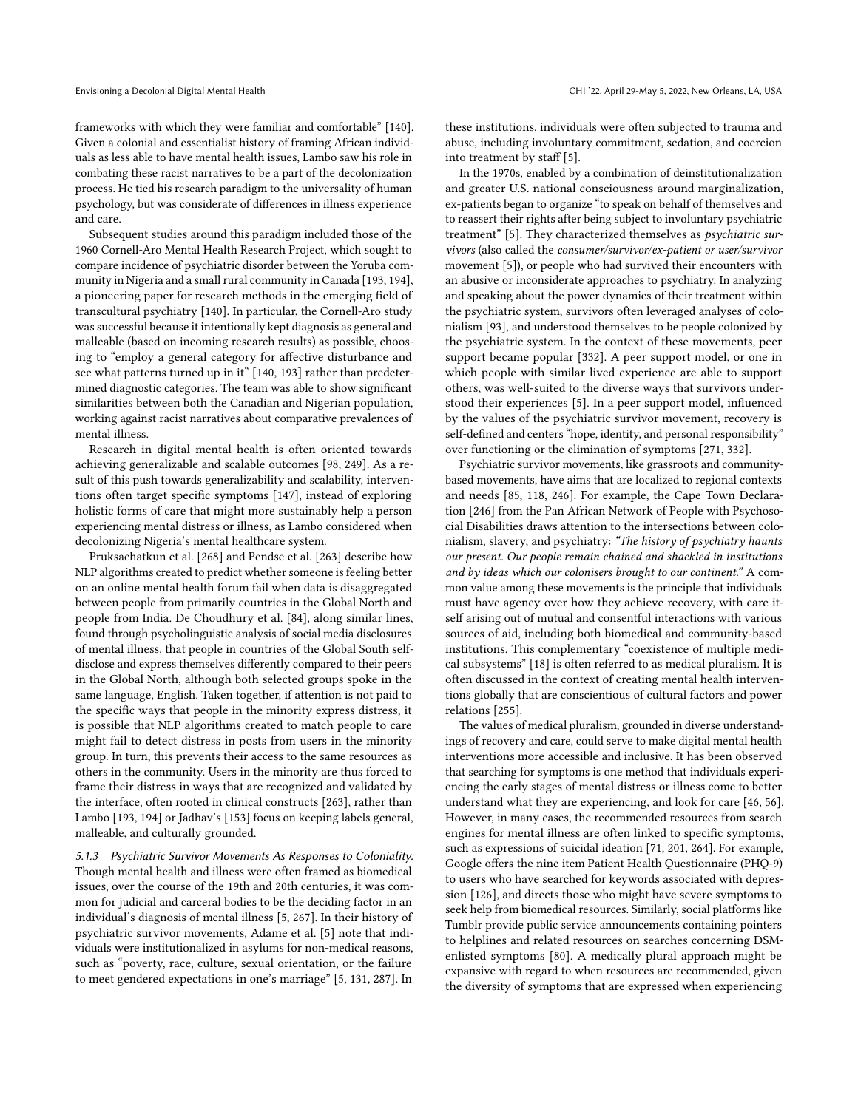frameworks with which they were familiar and comfortable" [\[140\]](#page-18-1). Given a colonial and essentialist history of framing African individuals as less able to have mental health issues, Lambo saw his role in combating these racist narratives to be a part of the decolonization process. He tied his research paradigm to the universality of human psychology, but was considerate of diferences in illness experience and care.

Subsequent studies around this paradigm included those of the 1960 Cornell-Aro Mental Health Research Project, which sought to compare incidence of psychiatric disorder between the Yoruba com-munity in Nigeria and a small rural community in Canada [\[193,](#page-19-10) [194\]](#page-19-11), a pioneering paper for research methods in the emerging feld of transcultural psychiatry [\[140\]](#page-18-1). In particular, the Cornell-Aro study was successful because it intentionally kept diagnosis as general and malleable (based on incoming research results) as possible, choosing to "employ a general category for afective disturbance and see what patterns turned up in it" [\[140,](#page-18-1) [193\]](#page-19-10) rather than predetermined diagnostic categories. The team was able to show signifcant similarities between both the Canadian and Nigerian population, working against racist narratives about comparative prevalences of mental illness.

Research in digital mental health is often oriented towards achieving generalizable and scalable outcomes [\[98,](#page-17-3) [249\]](#page-20-24). As a result of this push towards generalizability and scalability, interventions often target specifc symptoms [\[147\]](#page-18-31), instead of exploring holistic forms of care that might more sustainably help a person experiencing mental distress or illness, as Lambo considered when decolonizing Nigeria's mental healthcare system.

Pruksachatkun et al. [\[268\]](#page-20-22) and Pendse et al. [\[263\]](#page-20-35) describe how NLP algorithms created to predict whether someone is feeling better on an online mental health forum fail when data is disaggregated between people from primarily countries in the Global North and people from India. De Choudhury et al. [\[84\]](#page-17-1), along similar lines, found through psycholinguistic analysis of social media disclosures of mental illness, that people in countries of the Global South selfdisclose and express themselves diferently compared to their peers in the Global North, although both selected groups spoke in the same language, English. Taken together, if attention is not paid to the specifc ways that people in the minority express distress, it is possible that NLP algorithms created to match people to care might fail to detect distress in posts from users in the minority group. In turn, this prevents their access to the same resources as others in the community. Users in the minority are thus forced to frame their distress in ways that are recognized and validated by the interface, often rooted in clinical constructs [\[263\]](#page-20-35), rather than Lambo [\[193,](#page-19-10) [194\]](#page-19-11) or Jadhav's [\[153\]](#page-18-24) focus on keeping labels general, malleable, and culturally grounded.

5.1.3 Psychiatric Survivor Movements As Responses to Coloniality. Though mental health and illness were often framed as biomedical issues, over the course of the 19th and 20th centuries, it was common for judicial and carceral bodies to be the deciding factor in an individual's diagnosis of mental illness [\[5,](#page-15-6) [267\]](#page-20-27). In their history of psychiatric survivor movements, Adame et al. [\[5\]](#page-15-6) note that individuals were institutionalized in asylums for non-medical reasons, such as "poverty, race, culture, sexual orientation, or the failure to meet gendered expectations in one's marriage" [\[5,](#page-15-6) [131,](#page-18-32) [287\]](#page-20-36). In

these institutions, individuals were often subjected to trauma and abuse, including involuntary commitment, sedation, and coercion into treatment by staff [\[5\]](#page-15-6).

In the 1970s, enabled by a combination of deinstitutionalization and greater U.S. national consciousness around marginalization, ex-patients began to organize "to speak on behalf of themselves and to reassert their rights after being subject to involuntary psychiatric treatment" [\[5\]](#page-15-6). They characterized themselves as psychiatric survivors (also called the consumer/survivor/ex-patient or user/survivor movement [\[5\]](#page-15-6)), or people who had survived their encounters with an abusive or inconsiderate approaches to psychiatry. In analyzing and speaking about the power dynamics of their treatment within the psychiatric system, survivors often leveraged analyses of colonialism [\[93\]](#page-17-39), and understood themselves to be people colonized by the psychiatric system. In the context of these movements, peer support became popular [\[332\]](#page-21-27). A peer support model, or one in which people with similar lived experience are able to support others, was well-suited to the diverse ways that survivors understood their experiences [\[5\]](#page-15-6). In a peer support model, infuenced by the values of the psychiatric survivor movement, recovery is self-defined and centers "hope, identity, and personal responsibility" over functioning or the elimination of symptoms [\[271,](#page-20-37) [332\]](#page-21-27).

Psychiatric survivor movements, like grassroots and communitybased movements, have aims that are localized to regional contexts and needs [\[85,](#page-17-37) [118,](#page-17-38) [246\]](#page-20-34). For example, the Cape Town Declaration [\[246\]](#page-20-34) from the Pan African Network of People with Psychosocial Disabilities draws attention to the intersections between colonialism, slavery, and psychiatry: "The history of psychiatry haunts our present. Our people remain chained and shackled in institutions and by ideas which our colonisers brought to our continent." A common value among these movements is the principle that individuals must have agency over how they achieve recovery, with care itself arising out of mutual and consentful interactions with various sources of aid, including both biomedical and community-based institutions. This complementary "coexistence of multiple medical subsystems" [\[18\]](#page-16-41) is often referred to as medical pluralism. It is often discussed in the context of creating mental health interventions globally that are conscientious of cultural factors and power relations [\[255\]](#page-20-38).

The values of medical pluralism, grounded in diverse understandings of recovery and care, could serve to make digital mental health interventions more accessible and inclusive. It has been observed that searching for symptoms is one method that individuals experiencing the early stages of mental distress or illness come to better understand what they are experiencing, and look for care [\[46,](#page-16-42) [56\]](#page-16-43). However, in many cases, the recommended resources from search engines for mental illness are often linked to specifc symptoms, such as expressions of suicidal ideation [\[71,](#page-17-40) [201,](#page-19-33) [264\]](#page-20-3). For example, Google offers the nine item Patient Health Questionnaire (PHQ-9) to users who have searched for keywords associated with depression [\[126\]](#page-17-41), and directs those who might have severe symptoms to seek help from biomedical resources. Similarly, social platforms like Tumblr provide public service announcements containing pointers to helplines and related resources on searches concerning DSMenlisted symptoms [\[80\]](#page-17-42). A medically plural approach might be expansive with regard to when resources are recommended, given the diversity of symptoms that are expressed when experiencing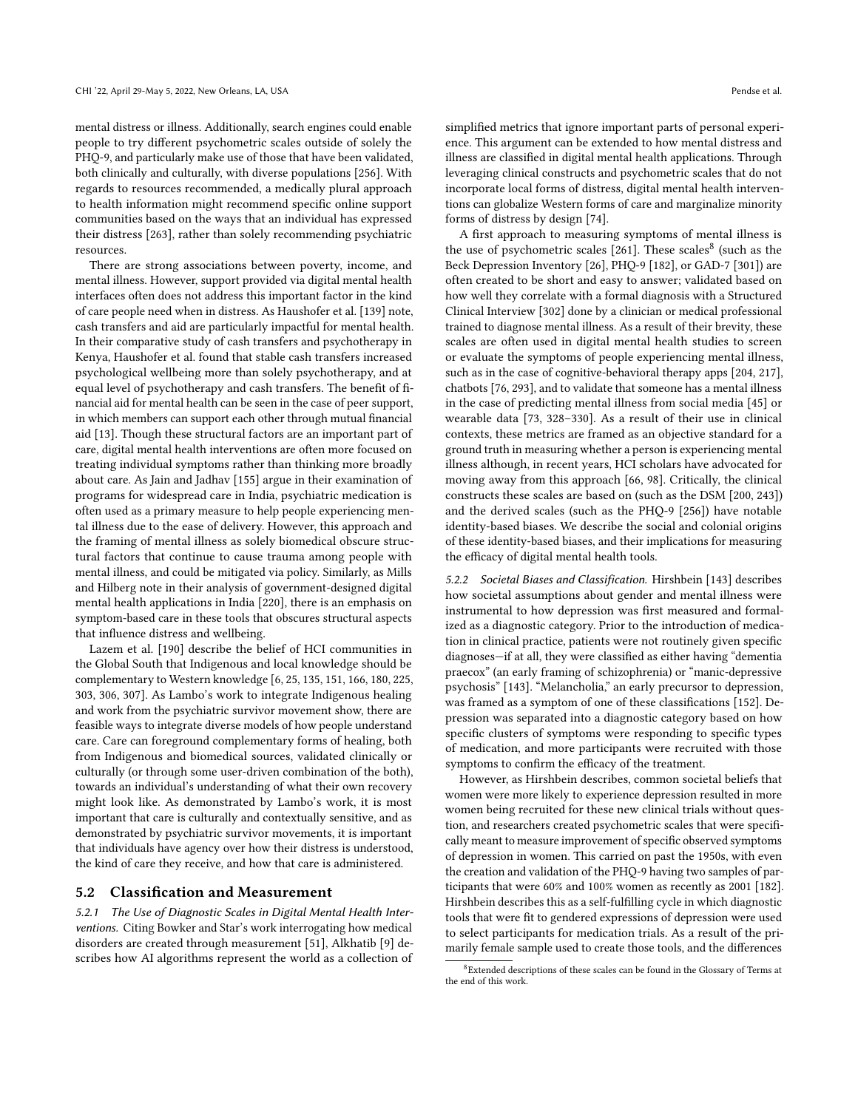mental distress or illness. Additionally, search engines could enable people to try diferent psychometric scales outside of solely the PHQ-9, and particularly make use of those that have been validated, both clinically and culturally, with diverse populations [\[256\]](#page-20-6). With regards to resources recommended, a medically plural approach to health information might recommend specifc online support communities based on the ways that an individual has expressed their distress [\[263\]](#page-20-35), rather than solely recommending psychiatric resources.

There are strong associations between poverty, income, and mental illness. However, support provided via digital mental health interfaces often does not address this important factor in the kind of care people need when in distress. As Haushofer et al. [\[139\]](#page-18-33) note, cash transfers and aid are particularly impactful for mental health. In their comparative study of cash transfers and psychotherapy in Kenya, Haushofer et al. found that stable cash transfers increased psychological wellbeing more than solely psychotherapy, and at equal level of psychotherapy and cash transfers. The benefit of financial aid for mental health can be seen in the case of peer support, in which members can support each other through mutual fnancial aid [\[13\]](#page-15-8). Though these structural factors are an important part of care, digital mental health interventions are often more focused on treating individual symptoms rather than thinking more broadly about care. As Jain and Jadhav [\[155\]](#page-18-10) argue in their examination of programs for widespread care in India, psychiatric medication is often used as a primary measure to help people experiencing mental illness due to the ease of delivery. However, this approach and the framing of mental illness as solely biomedical obscure structural factors that continue to cause trauma among people with mental illness, and could be mitigated via policy. Similarly, as Mills and Hilberg note in their analysis of government-designed digital mental health applications in India [\[220\]](#page-19-34), there is an emphasis on symptom-based care in these tools that obscures structural aspects that infuence distress and wellbeing.

Lazem et al. [\[190\]](#page-19-14) describe the belief of HCI communities in the Global South that Indigenous and local knowledge should be complementary to Western knowledge [\[6,](#page-15-9) [25,](#page-16-44) [135,](#page-18-34) [151,](#page-18-35) [166,](#page-18-36) [180,](#page-18-37) [225,](#page-19-35) [303,](#page-21-28) [306,](#page-21-29) [307\]](#page-21-30). As Lambo's work to integrate Indigenous healing and work from the psychiatric survivor movement show, there are feasible ways to integrate diverse models of how people understand care. Care can foreground complementary forms of healing, both from Indigenous and biomedical sources, validated clinically or culturally (or through some user-driven combination of the both), towards an individual's understanding of what their own recovery might look like. As demonstrated by Lambo's work, it is most important that care is culturally and contextually sensitive, and as demonstrated by psychiatric survivor movements, it is important that individuals have agency over how their distress is understood, the kind of care they receive, and how that care is administered.

### 5.2 Classifcation and Measurement

5.2.1 The Use of Diagnostic Scales in Digital Mental Health Interventions. Citing Bowker and Star's work interrogating how medical disorders are created through measurement [\[51\]](#page-16-45), Alkhatib [\[9\]](#page-15-10) describes how AI algorithms represent the world as a collection of simplifed metrics that ignore important parts of personal experience. This argument can be extended to how mental distress and illness are classifed in digital mental health applications. Through leveraging clinical constructs and psychometric scales that do not incorporate local forms of distress, digital mental health interventions can globalize Western forms of care and marginalize minority forms of distress by design [\[74\]](#page-17-6).

A frst approach to measuring symptoms of mental illness is the use of psychometric scales [\[261\]](#page-20-10). These scales<sup>[8](#page-0-0)</sup> (such as the Beck Depression Inventory [\[26\]](#page-16-46), PHQ-9 [\[182\]](#page-18-38), or GAD-7 [\[301\]](#page-21-31)) are often created to be short and easy to answer; validated based on how well they correlate with a formal diagnosis with a Structured Clinical Interview [\[302\]](#page-21-32) done by a clinician or medical professional trained to diagnose mental illness. As a result of their brevity, these scales are often used in digital mental health studies to screen or evaluate the symptoms of people experiencing mental illness, such as in the case of cognitive-behavioral therapy apps [\[204,](#page-19-36) [217\]](#page-19-37), chatbots [\[76,](#page-17-43) [293\]](#page-21-33), and to validate that someone has a mental illness in the case of predicting mental illness from social media [\[45\]](#page-16-47) or wearable data [\[73,](#page-17-44) [328–](#page-21-18)[330\]](#page-21-34). As a result of their use in clinical contexts, these metrics are framed as an objective standard for a ground truth in measuring whether a person is experiencing mental illness although, in recent years, HCI scholars have advocated for moving away from this approach [\[66,](#page-16-6) [98\]](#page-17-3). Critically, the clinical constructs these scales are based on (such as the DSM [\[200,](#page-19-12) [243\]](#page-20-5)) and the derived scales (such as the PHQ-9 [\[256\]](#page-20-6)) have notable identity-based biases. We describe the social and colonial origins of these identity-based biases, and their implications for measuring the efficacy of digital mental health tools.

5.2.2 Societal Biases and Classification. Hirshbein [\[143\]](#page-18-39) describes how societal assumptions about gender and mental illness were instrumental to how depression was frst measured and formalized as a diagnostic category. Prior to the introduction of medication in clinical practice, patients were not routinely given specifc diagnoses—if at all, they were classifed as either having "dementia praecox" (an early framing of schizophrenia) or "manic-depressive psychosis" [\[143\]](#page-18-39). "Melancholia," an early precursor to depression, was framed as a symptom of one of these classifcations [\[152\]](#page-18-40). Depression was separated into a diagnostic category based on how specifc clusters of symptoms were responding to specifc types of medication, and more participants were recruited with those symptoms to confirm the efficacy of the treatment.

However, as Hirshbein describes, common societal beliefs that women were more likely to experience depression resulted in more women being recruited for these new clinical trials without question, and researchers created psychometric scales that were specifcally meant to measure improvement of specific observed symptoms of depression in women. This carried on past the 1950s, with even the creation and validation of the PHQ-9 having two samples of participants that were 60% and 100% women as recently as 2001 [\[182\]](#page-18-38). Hirshbein describes this as a self-fulflling cycle in which diagnostic tools that were ft to gendered expressions of depression were used to select participants for medication trials. As a result of the primarily female sample used to create those tools, and the diferences

 $8$ Extended descriptions of these scales can be found in the Glossary of Terms at the end of this work.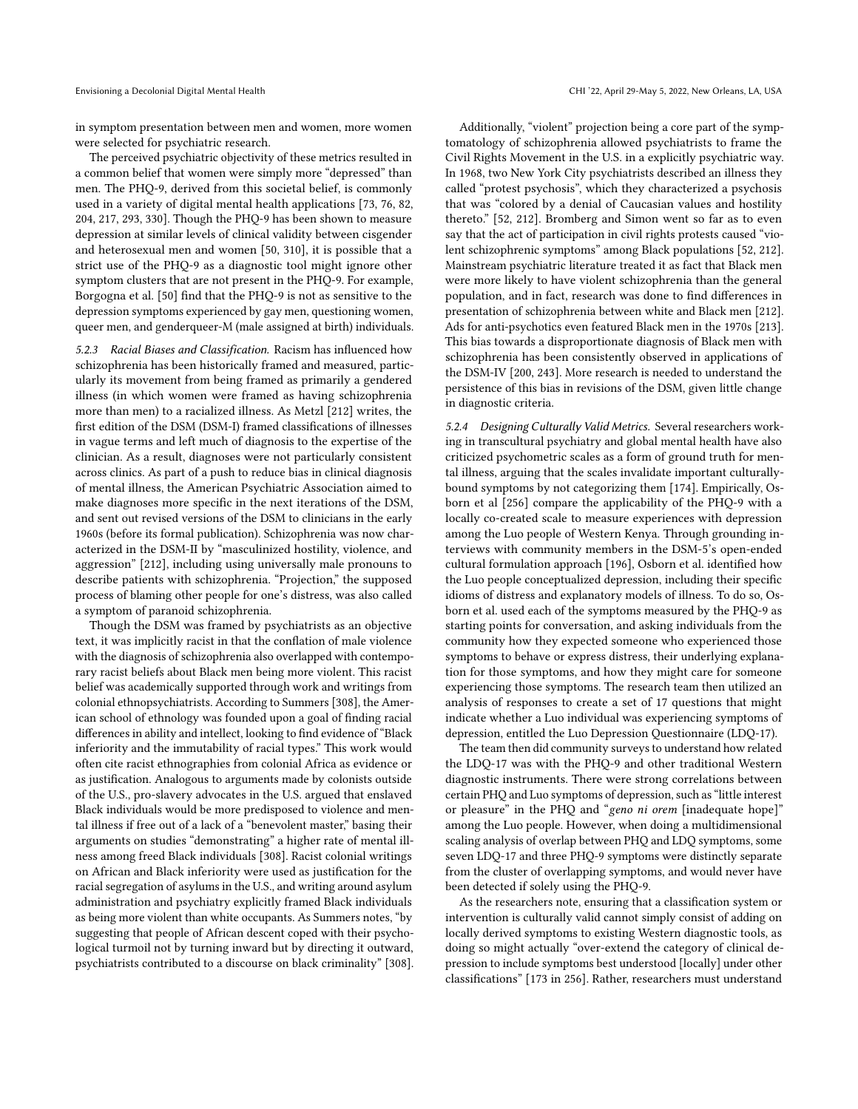in symptom presentation between men and women, more women were selected for psychiatric research.

The perceived psychiatric objectivity of these metrics resulted in a common belief that women were simply more "depressed" than men. The PHQ-9, derived from this societal belief, is commonly used in a variety of digital mental health applications [\[73,](#page-17-44) [76,](#page-17-43) [82,](#page-17-45) [204,](#page-19-36) [217,](#page-19-37) [293,](#page-21-33) [330\]](#page-21-34). Though the PHQ-9 has been shown to measure depression at similar levels of clinical validity between cisgender and heterosexual men and women [\[50,](#page-16-10) [310\]](#page-21-35), it is possible that a strict use of the PHQ-9 as a diagnostic tool might ignore other symptom clusters that are not present in the PHQ-9. For example, Borgogna et al. [\[50\]](#page-16-10) fnd that the PHQ-9 is not as sensitive to the depression symptoms experienced by gay men, questioning women, queer men, and genderqueer-M (male assigned at birth) individuals.

5.2.3 Racial Biases and Classification. Racism has infuenced how schizophrenia has been historically framed and measured, particularly its movement from being framed as primarily a gendered illness (in which women were framed as having schizophrenia more than men) to a racialized illness. As Metzl [\[212\]](#page-19-8) writes, the frst edition of the DSM (DSM-I) framed classifcations of illnesses in vague terms and left much of diagnosis to the expertise of the clinician. As a result, diagnoses were not particularly consistent across clinics. As part of a push to reduce bias in clinical diagnosis of mental illness, the American Psychiatric Association aimed to make diagnoses more specifc in the next iterations of the DSM, and sent out revised versions of the DSM to clinicians in the early 1960s (before its formal publication). Schizophrenia was now characterized in the DSM-II by "masculinized hostility, violence, and aggression" [\[212\]](#page-19-8), including using universally male pronouns to describe patients with schizophrenia. "Projection," the supposed process of blaming other people for one's distress, was also called a symptom of paranoid schizophrenia.

Though the DSM was framed by psychiatrists as an objective text, it was implicitly racist in that the confation of male violence with the diagnosis of schizophrenia also overlapped with contemporary racist beliefs about Black men being more violent. This racist belief was academically supported through work and writings from colonial ethnopsychiatrists. According to Summers [\[308\]](#page-21-5), the American school of ethnology was founded upon a goal of fnding racial diferences in ability and intellect, looking to fnd evidence of "Black inferiority and the immutability of racial types." This work would often cite racist ethnographies from colonial Africa as evidence or as justifcation. Analogous to arguments made by colonists outside of the U.S., pro-slavery advocates in the U.S. argued that enslaved Black individuals would be more predisposed to violence and mental illness if free out of a lack of a "benevolent master," basing their arguments on studies "demonstrating" a higher rate of mental illness among freed Black individuals [\[308\]](#page-21-5). Racist colonial writings on African and Black inferiority were used as justifcation for the racial segregation of asylums in the U.S., and writing around asylum administration and psychiatry explicitly framed Black individuals as being more violent than white occupants. As Summers notes, "by suggesting that people of African descent coped with their psychological turmoil not by turning inward but by directing it outward, psychiatrists contributed to a discourse on black criminality" [\[308\]](#page-21-5).

Additionally, "violent" projection being a core part of the symptomatology of schizophrenia allowed psychiatrists to frame the Civil Rights Movement in the U.S. in a explicitly psychiatric way. In 1968, two New York City psychiatrists described an illness they called "protest psychosis", which they characterized a psychosis that was "colored by a denial of Caucasian values and hostility thereto." [\[52,](#page-16-48) [212\]](#page-19-8). Bromberg and Simon went so far as to even say that the act of participation in civil rights protests caused "violent schizophrenic symptoms" among Black populations [\[52,](#page-16-48) [212\]](#page-19-8). Mainstream psychiatric literature treated it as fact that Black men were more likely to have violent schizophrenia than the general population, and in fact, research was done to fnd diferences in presentation of schizophrenia between white and Black men [\[212\]](#page-19-8). Ads for anti-psychotics even featured Black men in the 1970s [\[213\]](#page-19-38). This bias towards a disproportionate diagnosis of Black men with schizophrenia has been consistently observed in applications of the DSM-IV [\[200,](#page-19-12) [243\]](#page-20-5). More research is needed to understand the persistence of this bias in revisions of the DSM, given little change in diagnostic criteria.

5.2.4 Designing Culturally Valid Metrics. Several researchers working in transcultural psychiatry and global mental health have also criticized psychometric scales as a form of ground truth for mental illness, arguing that the scales invalidate important culturallybound symptoms by not categorizing them [\[174\]](#page-18-41). Empirically, Osborn et al [\[256\]](#page-20-6) compare the applicability of the PHQ-9 with a locally co-created scale to measure experiences with depression among the Luo people of Western Kenya. Through grounding interviews with community members in the DSM-5's open-ended cultural formulation approach [\[196\]](#page-19-39), Osborn et al. identifed how the Luo people conceptualized depression, including their specifc idioms of distress and explanatory models of illness. To do so, Osborn et al. used each of the symptoms measured by the PHQ-9 as starting points for conversation, and asking individuals from the community how they expected someone who experienced those symptoms to behave or express distress, their underlying explanation for those symptoms, and how they might care for someone experiencing those symptoms. The research team then utilized an analysis of responses to create a set of 17 questions that might indicate whether a Luo individual was experiencing symptoms of depression, entitled the Luo Depression Questionnaire (LDQ-17).

The team then did community surveys to understand how related the LDQ-17 was with the PHQ-9 and other traditional Western diagnostic instruments. There were strong correlations between certain PHQ and Luo symptoms of depression, such as "little interest or pleasure" in the PHQ and "geno ni orem [inadequate hope]" among the Luo people. However, when doing a multidimensional scaling analysis of overlap between PHQ and LDQ symptoms, some seven LDQ-17 and three PHQ-9 symptoms were distinctly separate from the cluster of overlapping symptoms, and would never have been detected if solely using the PHQ-9.

As the researchers note, ensuring that a classifcation system or intervention is culturally valid cannot simply consist of adding on locally derived symptoms to existing Western diagnostic tools, as doing so might actually "over-extend the category of clinical depression to include symptoms best understood [locally] under other classifcations" [\[173](#page-18-42) in [256\]](#page-20-6). Rather, researchers must understand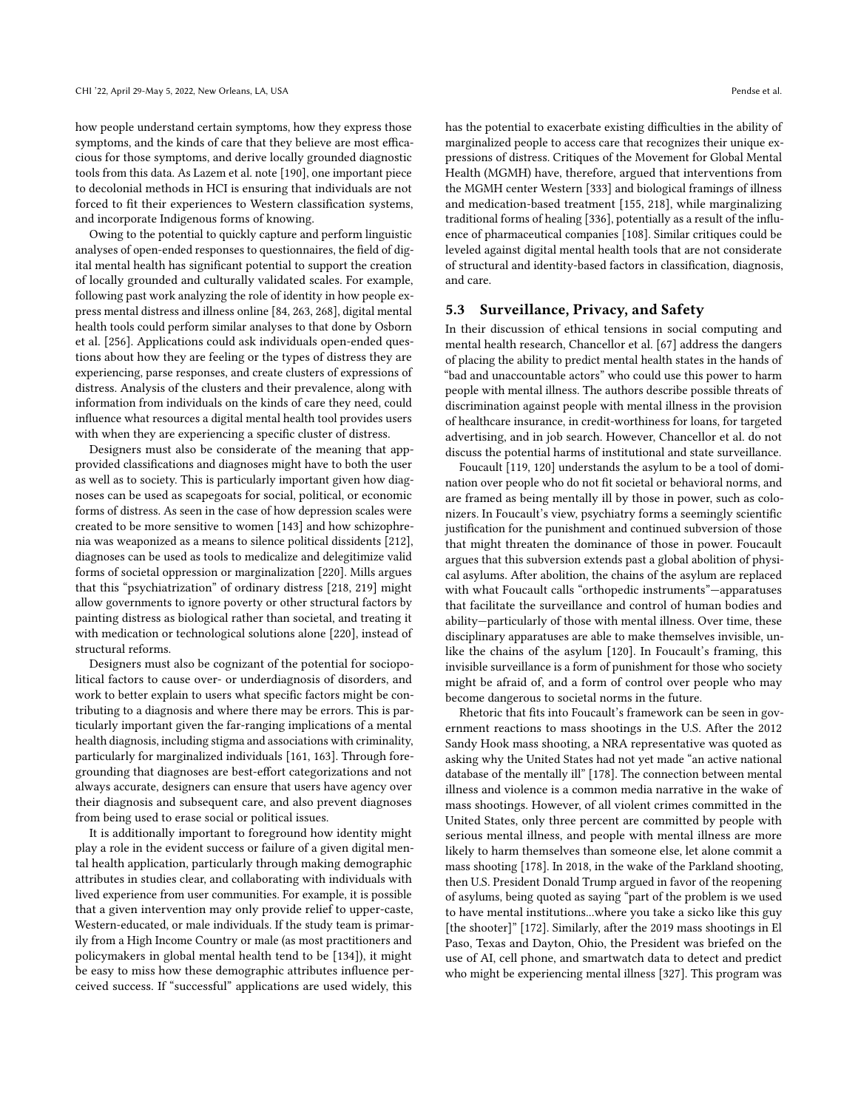how people understand certain symptoms, how they express those symptoms, and the kinds of care that they believe are most efficacious for those symptoms, and derive locally grounded diagnostic tools from this data. As Lazem et al. note [\[190\]](#page-19-14), one important piece to decolonial methods in HCI is ensuring that individuals are not forced to ft their experiences to Western classifcation systems, and incorporate Indigenous forms of knowing.

Owing to the potential to quickly capture and perform linguistic analyses of open-ended responses to questionnaires, the feld of digital mental health has signifcant potential to support the creation of locally grounded and culturally validated scales. For example, following past work analyzing the role of identity in how people express mental distress and illness online [\[84,](#page-17-1) [263,](#page-20-35) [268\]](#page-20-22), digital mental health tools could perform similar analyses to that done by Osborn et al. [\[256\]](#page-20-6). Applications could ask individuals open-ended questions about how they are feeling or the types of distress they are experiencing, parse responses, and create clusters of expressions of distress. Analysis of the clusters and their prevalence, along with information from individuals on the kinds of care they need, could infuence what resources a digital mental health tool provides users with when they are experiencing a specifc cluster of distress.

Designers must also be considerate of the meaning that appprovided classifcations and diagnoses might have to both the user as well as to society. This is particularly important given how diagnoses can be used as scapegoats for social, political, or economic forms of distress. As seen in the case of how depression scales were created to be more sensitive to women [\[143\]](#page-18-39) and how schizophrenia was weaponized as a means to silence political dissidents [\[212\]](#page-19-8), diagnoses can be used as tools to medicalize and delegitimize valid forms of societal oppression or marginalization [\[220\]](#page-19-34). Mills argues that this "psychiatrization" of ordinary distress [\[218,](#page-19-40) [219\]](#page-19-21) might allow governments to ignore poverty or other structural factors by painting distress as biological rather than societal, and treating it with medication or technological solutions alone [\[220\]](#page-19-34), instead of structural reforms.

Designers must also be cognizant of the potential for sociopolitical factors to cause over- or underdiagnosis of disorders, and work to better explain to users what specifc factors might be contributing to a diagnosis and where there may be errors. This is particularly important given the far-ranging implications of a mental health diagnosis, including stigma and associations with criminality, particularly for marginalized individuals [\[161,](#page-18-43) [163\]](#page-18-44). Through foregrounding that diagnoses are best-efort categorizations and not always accurate, designers can ensure that users have agency over their diagnosis and subsequent care, and also prevent diagnoses from being used to erase social or political issues.

It is additionally important to foreground how identity might play a role in the evident success or failure of a given digital mental health application, particularly through making demographic attributes in studies clear, and collaborating with individuals with lived experience from user communities. For example, it is possible that a given intervention may only provide relief to upper-caste, Western-educated, or male individuals. If the study team is primarily from a High Income Country or male (as most practitioners and policymakers in global mental health tend to be [\[134\]](#page-18-45)), it might be easy to miss how these demographic attributes infuence perceived success. If "successful" applications are used widely, this

has the potential to exacerbate existing difficulties in the ability of marginalized people to access care that recognizes their unique expressions of distress. Critiques of the Movement for Global Mental Health (MGMH) have, therefore, argued that interventions from the MGMH center Western [\[333\]](#page-21-36) and biological framings of illness and medication-based treatment [\[155,](#page-18-10) [218\]](#page-19-40), while marginalizing traditional forms of healing [\[336\]](#page-21-26), potentially as a result of the infuence of pharmaceutical companies [\[108\]](#page-17-46). Similar critiques could be leveled against digital mental health tools that are not considerate of structural and identity-based factors in classifcation, diagnosis, and care.

### 5.3 Surveillance, Privacy, and Safety

In their discussion of ethical tensions in social computing and mental health research, Chancellor et al. [\[67\]](#page-16-7) address the dangers of placing the ability to predict mental health states in the hands of "bad and unaccountable actors" who could use this power to harm people with mental illness. The authors describe possible threats of discrimination against people with mental illness in the provision of healthcare insurance, in credit-worthiness for loans, for targeted advertising, and in job search. However, Chancellor et al. do not discuss the potential harms of institutional and state surveillance.

Foucault [\[119,](#page-17-47) [120\]](#page-17-12) understands the asylum to be a tool of domination over people who do not ft societal or behavioral norms, and are framed as being mentally ill by those in power, such as colonizers. In Foucault's view, psychiatry forms a seemingly scientifc justifcation for the punishment and continued subversion of those that might threaten the dominance of those in power. Foucault argues that this subversion extends past a global abolition of physical asylums. After abolition, the chains of the asylum are replaced with what Foucault calls "orthopedic instruments"—apparatuses that facilitate the surveillance and control of human bodies and ability—particularly of those with mental illness. Over time, these disciplinary apparatuses are able to make themselves invisible, unlike the chains of the asylum [\[120\]](#page-17-12). In Foucault's framing, this invisible surveillance is a form of punishment for those who society might be afraid of, and a form of control over people who may become dangerous to societal norms in the future.

Rhetoric that fts into Foucault's framework can be seen in government reactions to mass shootings in the U.S. After the 2012 Sandy Hook mass shooting, a NRA representative was quoted as asking why the United States had not yet made "an active national database of the mentally ill" [\[178\]](#page-18-46). The connection between mental illness and violence is a common media narrative in the wake of mass shootings. However, of all violent crimes committed in the United States, only three percent are committed by people with serious mental illness, and people with mental illness are more likely to harm themselves than someone else, let alone commit a mass shooting [\[178\]](#page-18-46). In 2018, in the wake of the Parkland shooting, then U.S. President Donald Trump argued in favor of the reopening of asylums, being quoted as saying "part of the problem is we used to have mental institutions...where you take a sicko like this guy [the shooter]" [\[172\]](#page-18-47). Similarly, after the 2019 mass shootings in El Paso, Texas and Dayton, Ohio, the President was briefed on the use of AI, cell phone, and smartwatch data to detect and predict who might be experiencing mental illness [\[327\]](#page-21-37). This program was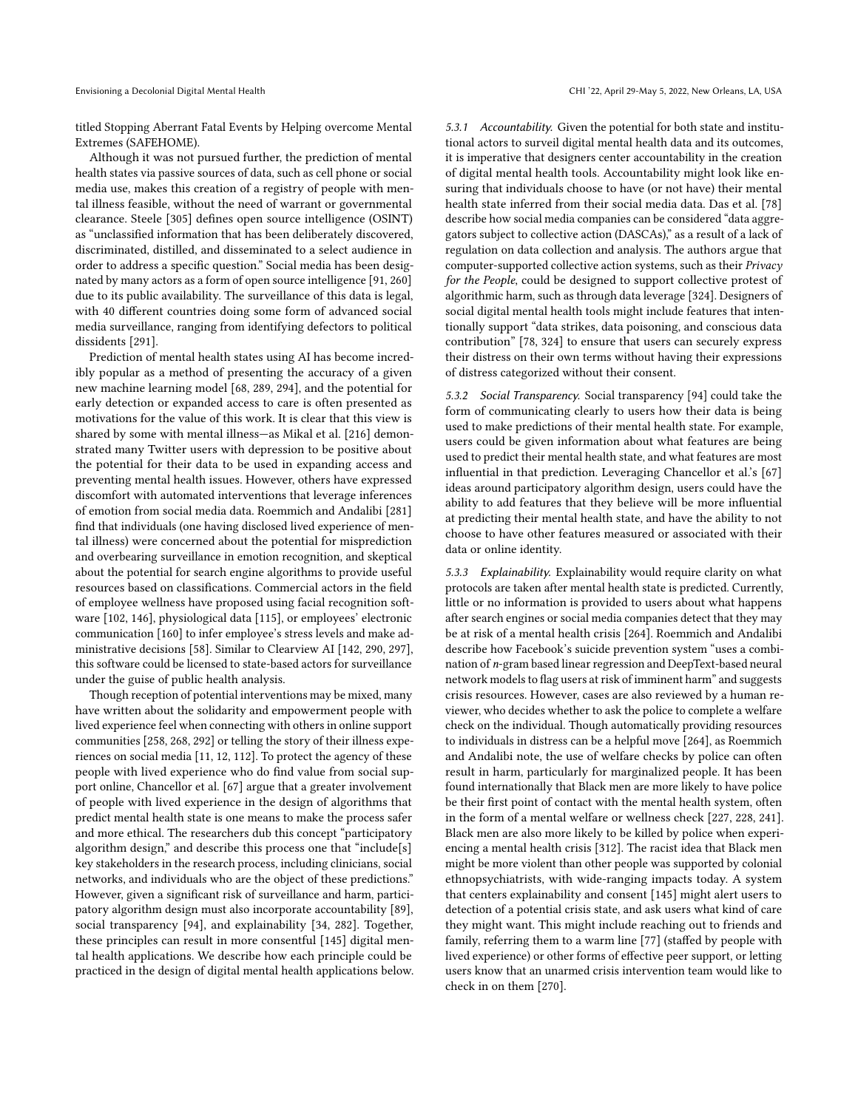titled Stopping Aberrant Fatal Events by Helping overcome Mental Extremes (SAFEHOME).

Although it was not pursued further, the prediction of mental health states via passive sources of data, such as cell phone or social media use, makes this creation of a registry of people with mental illness feasible, without the need of warrant or governmental clearance. Steele [\[305\]](#page-21-38) defnes open source intelligence (OSINT) as "unclassifed information that has been deliberately discovered, discriminated, distilled, and disseminated to a select audience in order to address a specifc question." Social media has been designated by many actors as a form of open source intelligence [\[91,](#page-17-48) [260\]](#page-20-39) due to its public availability. The surveillance of this data is legal, with 40 diferent countries doing some form of advanced social media surveillance, ranging from identifying defectors to political dissidents [\[291\]](#page-21-39).

Prediction of mental health states using AI has become incredibly popular as a method of presenting the accuracy of a given new machine learning model [\[68,](#page-16-5) [289,](#page-20-40) [294\]](#page-21-40), and the potential for early detection or expanded access to care is often presented as motivations for the value of this work. It is clear that this view is shared by some with mental illness—as Mikal et al. [\[216\]](#page-19-41) demonstrated many Twitter users with depression to be positive about the potential for their data to be used in expanding access and preventing mental health issues. However, others have expressed discomfort with automated interventions that leverage inferences of emotion from social media data. Roemmich and Andalibi [\[281\]](#page-20-41) fnd that individuals (one having disclosed lived experience of mental illness) were concerned about the potential for misprediction and overbearing surveillance in emotion recognition, and skeptical about the potential for search engine algorithms to provide useful resources based on classifcations. Commercial actors in the feld of employee wellness have proposed using facial recognition software [\[102,](#page-17-49) [146\]](#page-18-48), physiological data [\[115\]](#page-17-50), or employees' electronic communication [\[160\]](#page-18-49) to infer employee's stress levels and make administrative decisions [\[58\]](#page-16-49). Similar to Clearview AI [\[142,](#page-18-50) [290,](#page-20-42) [297\]](#page-21-41), this software could be licensed to state-based actors for surveillance under the guise of public health analysis.

Though reception of potential interventions may be mixed, many have written about the solidarity and empowerment people with lived experience feel when connecting with others in online support communities [\[258,](#page-20-43) [268,](#page-20-22) [292\]](#page-21-42) or telling the story of their illness experiences on social media [\[11,](#page-15-11) [12,](#page-15-12) [112\]](#page-17-51). To protect the agency of these people with lived experience who do fnd value from social support online, Chancellor et al. [\[67\]](#page-16-7) argue that a greater involvement of people with lived experience in the design of algorithms that predict mental health state is one means to make the process safer and more ethical. The researchers dub this concept "participatory algorithm design," and describe this process one that "include[s] key stakeholders in the research process, including clinicians, social networks, and individuals who are the object of these predictions." However, given a signifcant risk of surveillance and harm, participatory algorithm design must also incorporate accountability [\[89\]](#page-17-52), social transparency [\[94\]](#page-17-53), and explainability [\[34,](#page-16-50) [282\]](#page-20-44). Together, these principles can result in more consentful [\[145\]](#page-18-51) digital mental health applications. We describe how each principle could be practiced in the design of digital mental health applications below. 5.3.1 Accountability. Given the potential for both state and institutional actors to surveil digital mental health data and its outcomes, it is imperative that designers center accountability in the creation of digital mental health tools. Accountability might look like ensuring that individuals choose to have (or not have) their mental health state inferred from their social media data. Das et al. [\[78\]](#page-17-54) describe how social media companies can be considered "data aggregators subject to collective action (DASCAs)," as a result of a lack of regulation on data collection and analysis. The authors argue that computer-supported collective action systems, such as their Privacy for the People, could be designed to support collective protest of algorithmic harm, such as through data leverage [\[324\]](#page-21-43). Designers of social digital mental health tools might include features that intentionally support "data strikes, data poisoning, and conscious data contribution" [\[78,](#page-17-54) [324\]](#page-21-43) to ensure that users can securely express their distress on their own terms without having their expressions of distress categorized without their consent.

5.3.2 Social Transparency. Social transparency [\[94\]](#page-17-53) could take the form of communicating clearly to users how their data is being used to make predictions of their mental health state. For example, users could be given information about what features are being used to predict their mental health state, and what features are most infuential in that prediction. Leveraging Chancellor et al.'s [\[67\]](#page-16-7) ideas around participatory algorithm design, users could have the ability to add features that they believe will be more infuential at predicting their mental health state, and have the ability to not choose to have other features measured or associated with their data or online identity.

5.3.3 Explainability. Explainability would require clarity on what protocols are taken after mental health state is predicted. Currently, little or no information is provided to users about what happens after search engines or social media companies detect that they may be at risk of a mental health crisis [\[264\]](#page-20-3). Roemmich and Andalibi describe how Facebook's suicide prevention system "uses a combination of *n*-gram based linear regression and DeepText-based neural network models to flag users at risk of imminent harm" and suggests crisis resources. However, cases are also reviewed by a human reviewer, who decides whether to ask the police to complete a welfare check on the individual. Though automatically providing resources to individuals in distress can be a helpful move [\[264\]](#page-20-3), as Roemmich and Andalibi note, the use of welfare checks by police can often result in harm, particularly for marginalized people. It has been found internationally that Black men are more likely to have police be their frst point of contact with the mental health system, often in the form of a mental welfare or wellness check [\[227,](#page-19-42) [228,](#page-19-43) [241\]](#page-20-45). Black men are also more likely to be killed by police when experiencing a mental health crisis [\[312\]](#page-21-44). The racist idea that Black men might be more violent than other people was supported by colonial ethnopsychiatrists, with wide-ranging impacts today. A system that centers explainability and consent [\[145\]](#page-18-51) might alert users to detection of a potential crisis state, and ask users what kind of care they might want. This might include reaching out to friends and family, referring them to a warm line [\[77\]](#page-17-55) (stafed by people with lived experience) or other forms of efective peer support, or letting users know that an unarmed crisis intervention team would like to check in on them [\[270\]](#page-20-46).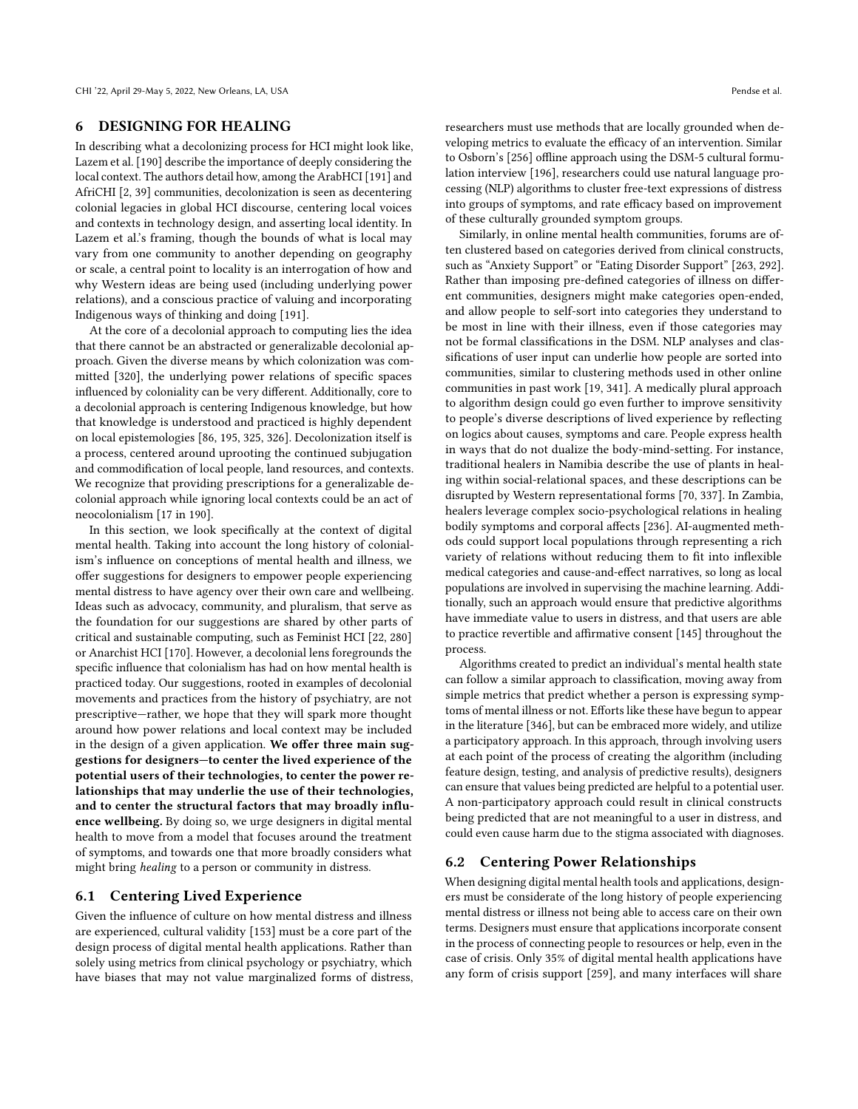### 6 DESIGNING FOR HEALING

In describing what a decolonizing process for HCI might look like, Lazem et al. [\[190\]](#page-19-14) describe the importance of deeply considering the local context. The authors detail how, among the ArabHCI [\[191\]](#page-19-44) and AfriCHI [\[2,](#page-15-13) [39\]](#page-16-51) communities, decolonization is seen as decentering colonial legacies in global HCI discourse, centering local voices and contexts in technology design, and asserting local identity. In Lazem et al.'s framing, though the bounds of what is local may vary from one community to another depending on geography or scale, a central point to locality is an interrogation of how and why Western ideas are being used (including underlying power relations), and a conscious practice of valuing and incorporating Indigenous ways of thinking and doing [\[191\]](#page-19-44).

At the core of a decolonial approach to computing lies the idea that there cannot be an abstracted or generalizable decolonial approach. Given the diverse means by which colonization was committed [\[320\]](#page-21-8), the underlying power relations of specifc spaces infuenced by coloniality can be very diferent. Additionally, core to a decolonial approach is centering Indigenous knowledge, but how that knowledge is understood and practiced is highly dependent on local epistemologies [\[86,](#page-17-56) [195,](#page-19-45) [325,](#page-21-45) [326\]](#page-21-46). Decolonization itself is a process, centered around uprooting the continued subjugation and commodifcation of local people, land resources, and contexts. We recognize that providing prescriptions for a generalizable decolonial approach while ignoring local contexts could be an act of neocolonialism [\[17](#page-16-52) in [190\]](#page-19-14).

In this section, we look specifcally at the context of digital mental health. Taking into account the long history of colonialism's infuence on conceptions of mental health and illness, we offer suggestions for designers to empower people experiencing mental distress to have agency over their own care and wellbeing. Ideas such as advocacy, community, and pluralism, that serve as the foundation for our suggestions are shared by other parts of critical and sustainable computing, such as Feminist HCI [\[22,](#page-16-20) [280\]](#page-20-13) or Anarchist HCI [\[170\]](#page-18-7). However, a decolonial lens foregrounds the specifc infuence that colonialism has had on how mental health is practiced today. Our suggestions, rooted in examples of decolonial movements and practices from the history of psychiatry, are not prescriptive—rather, we hope that they will spark more thought around how power relations and local context may be included in the design of a given application. We offer three main suggestions for designers—to center the lived experience of the potential users of their technologies, to center the power relationships that may underlie the use of their technologies, and to center the structural factors that may broadly infuence wellbeing. By doing so, we urge designers in digital mental health to move from a model that focuses around the treatment of symptoms, and towards one that more broadly considers what might bring healing to a person or community in distress.

### 6.1 Centering Lived Experience

Given the infuence of culture on how mental distress and illness are experienced, cultural validity [\[153\]](#page-18-24) must be a core part of the design process of digital mental health applications. Rather than solely using metrics from clinical psychology or psychiatry, which have biases that may not value marginalized forms of distress, researchers must use methods that are locally grounded when developing metrics to evaluate the efficacy of an intervention. Similar to Osborn's [\[256\]](#page-20-6) offline approach using the DSM-5 cultural formulation interview [\[196\]](#page-19-39), researchers could use natural language processing (NLP) algorithms to cluster free-text expressions of distress into groups of symptoms, and rate efficacy based on improvement of these culturally grounded symptom groups.

Similarly, in online mental health communities, forums are often clustered based on categories derived from clinical constructs, such as "Anxiety Support" or "Eating Disorder Support" [\[263,](#page-20-35) [292\]](#page-21-42). Rather than imposing pre-defned categories of illness on diferent communities, designers might make categories open-ended, and allow people to self-sort into categories they understand to be most in line with their illness, even if those categories may not be formal classifcations in the DSM. NLP analyses and classifcations of user input can underlie how people are sorted into communities, similar to clustering methods used in other online communities in past work [\[19,](#page-16-53) [341\]](#page-22-6). A medically plural approach to algorithm design could go even further to improve sensitivity to people's diverse descriptions of lived experience by refecting on logics about causes, symptoms and care. People express health in ways that do not dualize the body-mind-setting. For instance, traditional healers in Namibia describe the use of plants in healing within social-relational spaces, and these descriptions can be disrupted by Western representational forms [\[70,](#page-16-54) [337\]](#page-21-47). In Zambia, healers leverage complex socio-psychological relations in healing bodily symptoms and corporal affects [\[236\]](#page-19-46). AI-augmented methods could support local populations through representing a rich variety of relations without reducing them to ft into infexible medical categories and cause-and-efect narratives, so long as local populations are involved in supervising the machine learning. Additionally, such an approach would ensure that predictive algorithms have immediate value to users in distress, and that users are able to practice revertible and affirmative consent [\[145\]](#page-18-51) throughout the process.

Algorithms created to predict an individual's mental health state can follow a similar approach to classifcation, moving away from simple metrics that predict whether a person is expressing symptoms of mental illness or not. Efforts like these have begun to appear in the literature [\[346\]](#page-22-7), but can be embraced more widely, and utilize a participatory approach. In this approach, through involving users at each point of the process of creating the algorithm (including feature design, testing, and analysis of predictive results), designers can ensure that values being predicted are helpful to a potential user. A non-participatory approach could result in clinical constructs being predicted that are not meaningful to a user in distress, and could even cause harm due to the stigma associated with diagnoses.

### 6.2 Centering Power Relationships

When designing digital mental health tools and applications, designers must be considerate of the long history of people experiencing mental distress or illness not being able to access care on their own terms. Designers must ensure that applications incorporate consent in the process of connecting people to resources or help, even in the case of crisis. Only 35% of digital mental health applications have any form of crisis support [\[259\]](#page-20-47), and many interfaces will share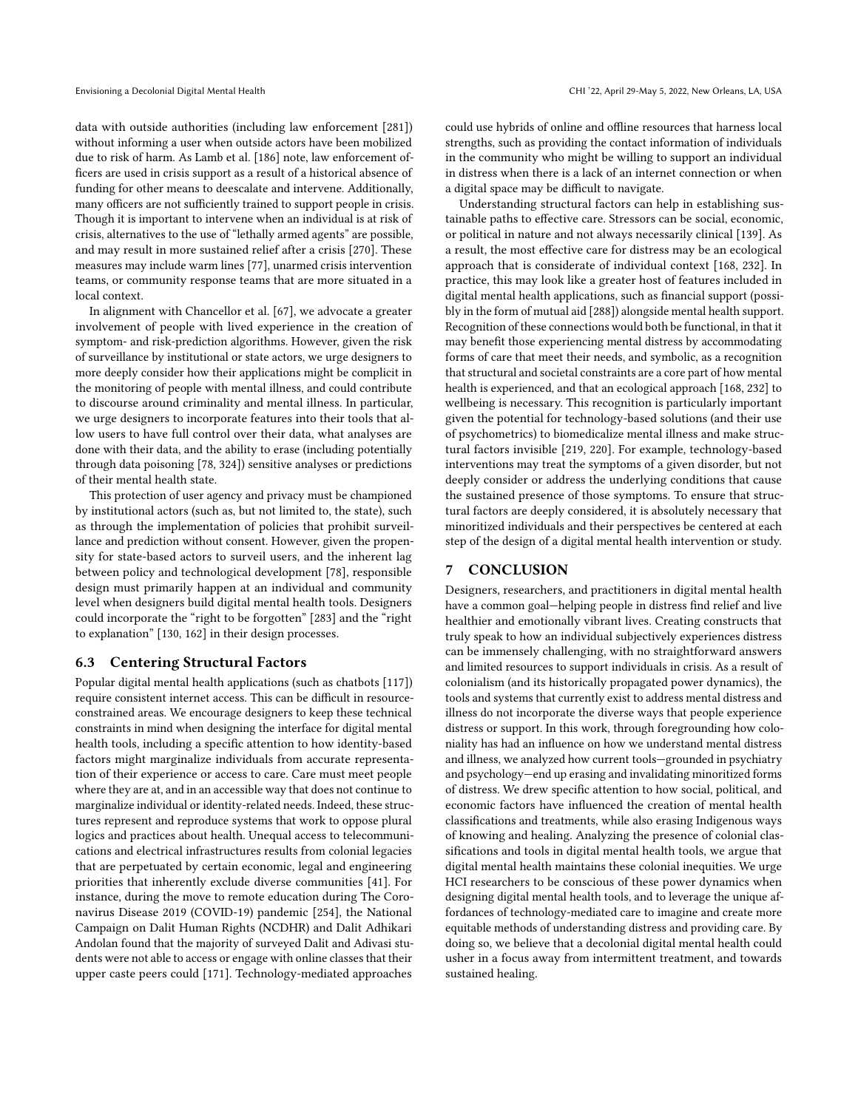data with outside authorities (including law enforcement [\[281\]](#page-20-41)) without informing a user when outside actors have been mobilized due to risk of harm. As Lamb et al. [\[186\]](#page-19-47) note, law enforcement offcers are used in crisis support as a result of a historical absence of funding for other means to deescalate and intervene. Additionally, many officers are not sufficiently trained to support people in crisis. Though it is important to intervene when an individual is at risk of crisis, alternatives to the use of "lethally armed agents" are possible, and may result in more sustained relief after a crisis [\[270\]](#page-20-46). These measures may include warm lines [\[77\]](#page-17-55), unarmed crisis intervention teams, or community response teams that are more situated in a local context.

In alignment with Chancellor et al. [\[67\]](#page-16-7), we advocate a greater involvement of people with lived experience in the creation of symptom- and risk-prediction algorithms. However, given the risk of surveillance by institutional or state actors, we urge designers to more deeply consider how their applications might be complicit in the monitoring of people with mental illness, and could contribute to discourse around criminality and mental illness. In particular, we urge designers to incorporate features into their tools that allow users to have full control over their data, what analyses are done with their data, and the ability to erase (including potentially through data poisoning [\[78,](#page-17-54) [324\]](#page-21-43)) sensitive analyses or predictions of their mental health state.

This protection of user agency and privacy must be championed by institutional actors (such as, but not limited to, the state), such as through the implementation of policies that prohibit surveillance and prediction without consent. However, given the propensity for state-based actors to surveil users, and the inherent lag between policy and technological development [\[78\]](#page-17-54), responsible design must primarily happen at an individual and community level when designers build digital mental health tools. Designers could incorporate the "right to be forgotten" [\[283\]](#page-20-48) and the "right to explanation" [\[130,](#page-18-52) [162\]](#page-18-53) in their design processes.

## 6.3 Centering Structural Factors

Popular digital mental health applications (such as chatbots [\[117\]](#page-17-23)) require consistent internet access. This can be difficult in resourceconstrained areas. We encourage designers to keep these technical constraints in mind when designing the interface for digital mental health tools, including a specifc attention to how identity-based factors might marginalize individuals from accurate representation of their experience or access to care. Care must meet people where they are at, and in an accessible way that does not continue to marginalize individual or identity-related needs. Indeed, these structures represent and reproduce systems that work to oppose plural logics and practices about health. Unequal access to telecommunications and electrical infrastructures results from colonial legacies that are perpetuated by certain economic, legal and engineering priorities that inherently exclude diverse communities [\[41\]](#page-16-55). For instance, during the move to remote education during The Coronavirus Disease 2019 (COVID-19) pandemic [\[254\]](#page-20-49), the National Campaign on Dalit Human Rights (NCDHR) and Dalit Adhikari Andolan found that the majority of surveyed Dalit and Adivasi students were not able to access or engage with online classes that their upper caste peers could [\[171\]](#page-18-54). Technology-mediated approaches

could use hybrids of online and offline resources that harness local strengths, such as providing the contact information of individuals in the community who might be willing to support an individual in distress when there is a lack of an internet connection or when a digital space may be difficult to navigate.

Understanding structural factors can help in establishing sustainable paths to efective care. Stressors can be social, economic, or political in nature and not always necessarily clinical [\[139\]](#page-18-33). As a result, the most efective care for distress may be an ecological approach that is considerate of individual context [\[168,](#page-18-55) [232\]](#page-19-48). In practice, this may look like a greater host of features included in digital mental health applications, such as fnancial support (possibly in the form of mutual aid [\[288\]](#page-20-50)) alongside mental health support. Recognition of these connections would both be functional, in that it may beneft those experiencing mental distress by accommodating forms of care that meet their needs, and symbolic, as a recognition that structural and societal constraints are a core part of how mental health is experienced, and that an ecological approach [\[168,](#page-18-55) [232\]](#page-19-48) to wellbeing is necessary. This recognition is particularly important given the potential for technology-based solutions (and their use of psychometrics) to biomedicalize mental illness and make structural factors invisible [\[219,](#page-19-21) [220\]](#page-19-34). For example, technology-based interventions may treat the symptoms of a given disorder, but not deeply consider or address the underlying conditions that cause the sustained presence of those symptoms. To ensure that structural factors are deeply considered, it is absolutely necessary that minoritized individuals and their perspectives be centered at each step of the design of a digital mental health intervention or study.

## 7 CONCLUSION

Designers, researchers, and practitioners in digital mental health have a common goal—helping people in distress fnd relief and live healthier and emotionally vibrant lives. Creating constructs that truly speak to how an individual subjectively experiences distress can be immensely challenging, with no straightforward answers and limited resources to support individuals in crisis. As a result of colonialism (and its historically propagated power dynamics), the tools and systems that currently exist to address mental distress and illness do not incorporate the diverse ways that people experience distress or support. In this work, through foregrounding how coloniality has had an infuence on how we understand mental distress and illness, we analyzed how current tools—grounded in psychiatry and psychology—end up erasing and invalidating minoritized forms of distress. We drew specifc attention to how social, political, and economic factors have infuenced the creation of mental health classifcations and treatments, while also erasing Indigenous ways of knowing and healing. Analyzing the presence of colonial classifcations and tools in digital mental health tools, we argue that digital mental health maintains these colonial inequities. We urge HCI researchers to be conscious of these power dynamics when designing digital mental health tools, and to leverage the unique affordances of technology-mediated care to imagine and create more equitable methods of understanding distress and providing care. By doing so, we believe that a decolonial digital mental health could usher in a focus away from intermittent treatment, and towards sustained healing.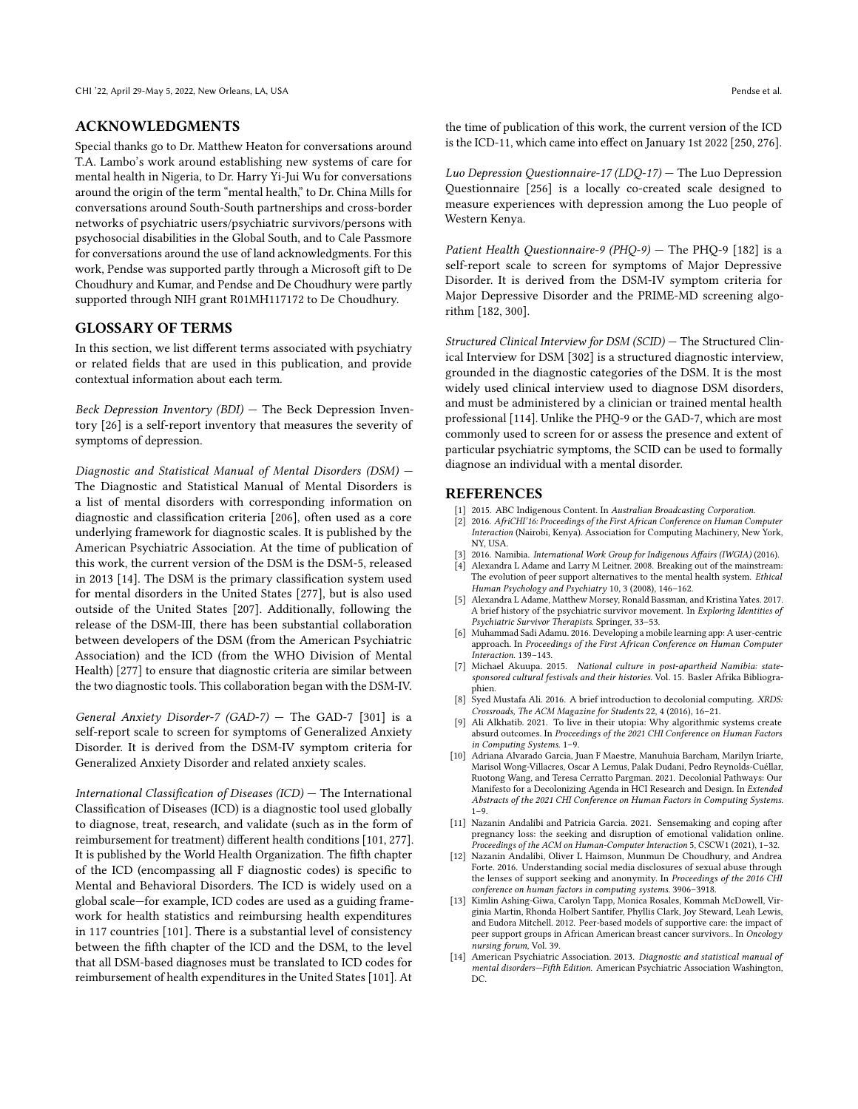### ACKNOWLEDGMENTS

Special thanks go to Dr. Matthew Heaton for conversations around T.A. Lambo's work around establishing new systems of care for mental health in Nigeria, to Dr. Harry Yi-Jui Wu for conversations around the origin of the term "mental health," to Dr. China Mills for conversations around South-South partnerships and cross-border networks of psychiatric users/psychiatric survivors/persons with psychosocial disabilities in the Global South, and to Cale Passmore for conversations around the use of land acknowledgments. For this work, Pendse was supported partly through a Microsoft gift to De Choudhury and Kumar, and Pendse and De Choudhury were partly supported through NIH grant R01MH117172 to De Choudhury.

### GLOSSARY OF TERMS

In this section, we list diferent terms associated with psychiatry or related felds that are used in this publication, and provide contextual information about each term.

Beck Depression Inventory (BDI) — The Beck Depression Inventory [\[26\]](#page-16-46) is a self-report inventory that measures the severity of symptoms of depression.

Diagnostic and Statistical Manual of Mental Disorders (DSM) — The Diagnostic and Statistical Manual of Mental Disorders is a list of mental disorders with corresponding information on diagnostic and classifcation criteria [\[206\]](#page-19-49), often used as a core underlying framework for diagnostic scales. It is published by the American Psychiatric Association. At the time of publication of this work, the current version of the DSM is the DSM-5, released in 2013 [\[14\]](#page-15-7). The DSM is the primary classifcation system used for mental disorders in the United States [\[277\]](#page-20-51), but is also used outside of the United States [\[207\]](#page-19-50). Additionally, following the release of the DSM-III, there has been substantial collaboration between developers of the DSM (from the American Psychiatric Association) and the ICD (from the WHO Division of Mental Health) [\[277\]](#page-20-51) to ensure that diagnostic criteria are similar between the two diagnostic tools. This collaboration began with the DSM-IV.

General Anxiety Disorder-7 (GAD-7) — The GAD-7 [\[301\]](#page-21-31) is a self-report scale to screen for symptoms of Generalized Anxiety Disorder. It is derived from the DSM-IV symptom criteria for Generalized Anxiety Disorder and related anxiety scales.

International Classifcation of Diseases (ICD) — The International Classifcation of Diseases (ICD) is a diagnostic tool used globally to diagnose, treat, research, and validate (such as in the form of reimbursement for treatment) diferent health conditions [\[101,](#page-17-57) [277\]](#page-20-51). It is published by the World Health Organization. The ffth chapter of the ICD (encompassing all F diagnostic codes) is specifc to Mental and Behavioral Disorders. The ICD is widely used on a global scale—for example, ICD codes are used as a guiding framework for health statistics and reimbursing health expenditures in 117 countries [\[101\]](#page-17-57). There is a substantial level of consistency between the ffth chapter of the ICD and the DSM, to the level that all DSM-based diagnoses must be translated to ICD codes for reimbursement of health expenditures in the United States [\[101\]](#page-17-57). At

the time of publication of this work, the current version of the ICD is the ICD-11, which came into effect on January 1st 2022 [\[250,](#page-20-52) [276\]](#page-20-53).

Luo Depression Questionnaire-17 (LDQ-17) — The Luo Depression Questionnaire [\[256\]](#page-20-6) is a locally co-created scale designed to measure experiences with depression among the Luo people of Western Kenya.

Patient Health Questionnaire-9 (PHQ-9) – The PHQ-9 [\[182\]](#page-18-38) is a self-report scale to screen for symptoms of Major Depressive Disorder. It is derived from the DSM-IV symptom criteria for Major Depressive Disorder and the PRIME-MD screening algorithm [\[182,](#page-18-38) [300\]](#page-21-48).

Structured Clinical Interview for DSM (SCID) — The Structured Clinical Interview for DSM [\[302\]](#page-21-32) is a structured diagnostic interview, grounded in the diagnostic categories of the DSM. It is the most widely used clinical interview used to diagnose DSM disorders, and must be administered by a clinician or trained mental health professional [\[114\]](#page-17-58). Unlike the PHQ-9 or the GAD-7, which are most commonly used to screen for or assess the presence and extent of particular psychiatric symptoms, the SCID can be used to formally diagnose an individual with a mental disorder.

### REFERENCES

- <span id="page-15-0"></span>[1] 2015. ABC Indigenous Content. In Australian Broadcasting Corporation.
- <span id="page-15-13"></span>[2] 2016. AfriCHI'16: Proceedings of the First African Conference on Human Computer Interaction (Nairobi, Kenya). Association for Computing Machinery, New York, NY, USA.
- <span id="page-15-3"></span>[3] 2016. Namibia. International Work Group for Indigenous Affairs (IWGIA) (2016).
- <span id="page-15-5"></span>[4] Alexandra L Adame and Larry M Leitner. 2008. Breaking out of the mainstream: The evolution of peer support alternatives to the mental health system. Ethical Human Psychology and Psychiatry 10, 3 (2008), 146-162.
- <span id="page-15-6"></span>[5] Alexandra L Adame, Matthew Morsey, Ronald Bassman, and Kristina Yates. 2017. A brief history of the psychiatric survivor movement. In Exploring Identities of Psychiatric Survivor Therapists. Springer, 33–53.
- <span id="page-15-9"></span>[6] Muhammad Sadi Adamu. 2016. Developing a mobile learning app: A user-centric approach. In Proceedings of the First African Conference on Human Computer Interaction. 139–143.
- <span id="page-15-4"></span>[7] Michael Akuupa. 2015. National culture in post-apartheid Namibia: state-sponsored cultural festivals and their histories. Vol. 15. Basler Afrika Bibliogra-
- <span id="page-15-2"></span>phien. [8] Syed Mustafa Ali. 2016. A brief introduction to decolonial computing. XRDS: Crossroads, The ACM Magazine for Students 22, 4 (2016), 16–21.
- <span id="page-15-10"></span>[9] Ali Alkhatib. 2021. To live in their utopia: Why algorithmic systems create absurd outcomes. In Proceedings of the 2021 CHI Conference on Human Factors in Computing Systems. 1–9.
- <span id="page-15-1"></span>[10] Adriana Alvarado Garcia, Juan F Maestre, Manuhuia Barcham, Marilyn Iriarte, Marisol Wong-Villacres, Oscar A Lemus, Palak Dudani, Pedro Reynolds-Cuéllar, Ruotong Wang, and Teresa Cerratto Pargman. 2021. Decolonial Pathways: Our Manifesto for a Decolonizing Agenda in HCI Research and Design. In Extended Abstracts of the 2021 CHI Conference on Human Factors in Computing Systems. 1–9.
- <span id="page-15-11"></span>[11] Nazanin Andalibi and Patricia Garcia. 2021. Sensemaking and coping after pregnancy loss: the seeking and disruption of emotional validation online. Proceedings of the ACM on Human-Computer Interaction 5, CSCW1 (2021), 1–32.
- <span id="page-15-12"></span>[12] Nazanin Andalibi, Oliver L Haimson, Munmun De Choudhury, and Andrea Forte. 2016. Understanding social media disclosures of sexual abuse through the lenses of support seeking and anonymity. In Proceedings of the 2016 CHI conference on human factors in computing systems. 3906–3918.
- <span id="page-15-8"></span>[13] Kimlin Ashing-Giwa, Carolyn Tapp, Monica Rosales, Kommah McDowell, Virginia Martin, Rhonda Holbert Santifer, Phyllis Clark, Joy Steward, Leah Lewis, and Eudora Mitchell. 2012. Peer-based models of supportive care: the impact of peer support groups in African American breast cancer survivors.. In Oncology nursing forum, Vol. 39.
- <span id="page-15-7"></span>[14] American Psychiatric Association. 2013. Diagnostic and statistical manual of mental disorders—Fifth Edition. American Psychiatric Association Washington, DC.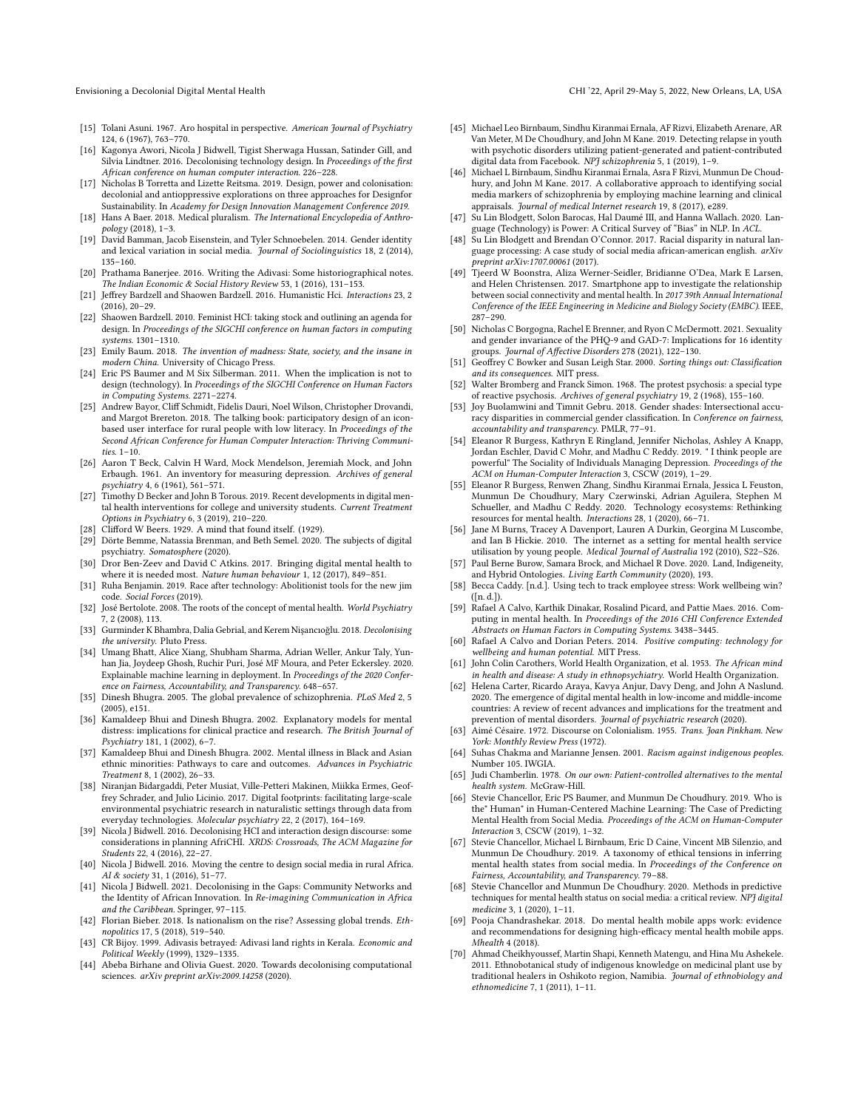- <span id="page-16-40"></span>[15] Tolani Asuni. 1967. Aro hospital in perspective. American Journal of Psychiatry 124, 6 (1967), 763–770.
- <span id="page-16-24"></span>[16] Kagonya Awori, Nicola J Bidwell, Tigist Sherwaga Hussan, Satinder Gill, and Silvia Lindtner. 2016. Decolonising technology design. In Proceedings of the frst African conference on human computer interaction. 226–228.
- <span id="page-16-52"></span>[17] Nicholas B Torretta and Lizette Reitsma. 2019. Design, power and colonisation: decolonial and antioppressive explorations on three approaches for Designfor Sustainability. In Academy for Design Innovation Management Conference 2019.
- <span id="page-16-41"></span>[18] Hans A Baer. 2018. Medical pluralism. The International Encyclopedia of Anthropology (2018), 1–3.
- <span id="page-16-53"></span>[19] David Bamman, Jacob Eisenstein, and Tyler Schnoebelen. 2014. Gender identity and lexical variation in social media. Journal of Sociolinguistics 18, 2 (2014), 135–160.
- <span id="page-16-28"></span>[20] Prathama Banerjee. 2016. Writing the Adivasi: Some historiographical notes. The Indian Economic & Social History Review 53, 1 (2016), 131–153.
- <span id="page-16-21"></span>[21] Jefrey Bardzell and Shaowen Bardzell. 2016. Humanistic Hci. Interactions 23, 2 (2016), 20–29.
- <span id="page-16-20"></span>[22] Shaowen Bardzell. 2010. Feminist HCI: taking stock and outlining an agenda for design. In Proceedings of the SIGCHI conference on human factors in computing systems. 1301–1310.
- <span id="page-16-8"></span>[23] Emily Baum. 2018. The invention of madness: State, society, and the insane in modern China. University of Chicago Press.
- <span id="page-16-17"></span>[24] Eric PS Baumer and M Six Silberman. 2011. When the implication is not to design (technology). In Proceedings of the SIGCHI Conference on Human Factors in Computing Systems. 2271–2274.
- <span id="page-16-44"></span>[25] Andrew Bayor, Clif Schmidt, Fidelis Dauri, Noel Wilson, Christopher Drovandi, and Margot Brereton. 2018. The talking book: participatory design of an iconbased user interface for rural people with low literacy. In Proceedings of the Second African Conference for Human Computer Interaction: Thriving Communities. 1–10.
- <span id="page-16-46"></span>[26] Aaron T Beck, Calvin H Ward, Mock Mendelson, Jeremiah Mock, and John Erbaugh. 1961. An inventory for measuring depression. Archives of general psychiatry 4, 6 (1961), 561–571.
- <span id="page-16-0"></span>[27] Timothy D Becker and John B Torous. 2019. Recent developments in digital mental health interventions for college and university students. Current Treatment Options in Psychiatry 6, 3 (2019), 210–220.
- <span id="page-16-14"></span>[28] Clifford W Beers. 1929. A mind that found itself. (1929).
- <span id="page-16-33"></span>[29] Dörte Bemme, Natassia Brenman, and Beth Semel. 2020. The subjects of digital psychiatry. Somatosphere (2020).
- <span id="page-16-1"></span>[30] Dror Ben-Zeev and David C Atkins. 2017. Bringing digital mental health to where it is needed most. Nature human behaviour 1, 12 (2017), 849–851.
- <span id="page-16-11"></span>[31] Ruha Benjamin. 2019. Race after technology: Abolitionist tools for the new jim code. Social Forces (2019).
- <span id="page-16-34"></span>[32] José Bertolote. 2008. The roots of the concept of mental health. World Psychiatry 7, 2 (2008), 113.
- <span id="page-16-13"></span>[33] Gurminder K Bhambra, Dalia Gebrial, and Kerem Nişancıoğlu. 2018. Decolonising the university. Pluto Press.
- <span id="page-16-50"></span>[34] Umang Bhatt, Alice Xiang, Shubham Sharma, Adrian Weller, Ankur Taly, Yunhan Jia, Joydeep Ghosh, Ruchir Puri, José MF Moura, and Peter Eckersley. 2020. Explainable machine learning in deployment. In Proceedings of the 2020 Conference on Fairness, Accountability, and Transparency. 648–657.
- <span id="page-16-9"></span>[35] Dinesh Bhugra. 2005. The global prevalence of schizophrenia. PLoS Med 2, 5 (2005), e151.
- <span id="page-16-38"></span>[36] Kamaldeep Bhui and Dinesh Bhugra. 2002. Explanatory models for mental distress: implications for clinical practice and research. The British Journal of Psychiatry 181, 1 (2002), 6–7.
- <span id="page-16-39"></span>[37] Kamaldeep Bhui and Dinesh Bhugra. 2002. Mental illness in Black and Asian ethnic minorities: Pathways to care and outcomes. Advances in Psychiatric Treatment 8, 1 (2002), 26–33.
- <span id="page-16-36"></span>[38] Niranjan Bidargaddi, Peter Musiat, Ville-Petteri Makinen, Miikka Ermes, Geoffrey Schrader, and Julio Licinio. 2017. Digital footprints: facilitating large-scale environmental psychiatric research in naturalistic settings through data from everyday technologies. Molecular psychiatry 22, 2 (2017), 164–169.
- <span id="page-16-51"></span>[39] Nicola J Bidwell. 2016. Decolonising HCI and interaction design discourse: some considerations in planning AfriCHI. XRDS: Crossroads, The ACM Magazine for Students 22, 4 (2016), 22–27.
- <span id="page-16-22"></span>[40] Nicola J Bidwell. 2016. Moving the centre to design social media in rural Africa. AI & society 31, 1 (2016), 51–77.
- <span id="page-16-55"></span>[41] Nicola J Bidwell. 2021. Decolonising in the Gaps: Community Networks and the Identity of African Innovation. In Re-imagining Communication in Africa and the Caribbean. Springer, 97–115.
- <span id="page-16-26"></span>[42] Florian Bieber. 2018. Is nationalism on the rise? Assessing global trends. *Eth*nopolitics 17, 5 (2018), 519–540.
- <span id="page-16-29"></span>[43] CR Bijoy. 1999. Adivasis betrayed: Adivasi land rights in Kerala. Economic and Political Weekly (1999), 1329–1335.
- <span id="page-16-23"></span>[44] Abeba Birhane and Olivia Guest. 2020. Towards decolonising computational sciences. arXiv preprint arXiv:2009.14258 (2020).
- <span id="page-16-47"></span>[45] Michael Leo Birnbaum, Sindhu Kiranmai Ernala, AF Rizvi, Elizabeth Arenare, AR Van Meter, M De Choudhury, and John M Kane. 2019. Detecting relapse in youth with psychotic disorders utilizing patient-generated and patient-contributed digital data from Facebook. NPJ schizophrenia 5, 1 (2019), 1–9.
- <span id="page-16-42"></span>[46] Michael L Birnbaum, Sindhu Kiranmai Ernala, Asra F Rizvi, Munmun De Choudhury, and John M Kane. 2017. A collaborative approach to identifying social media markers of schizophrenia by employing machine learning and clinical appraisals. Journal of medical Internet research 19, 8 (2017), e289.
- <span id="page-16-18"></span>[47] Su Lin Blodgett, Solon Barocas, Hal Daumé III, and Hanna Wallach. 2020. Language (Technology) is Power: A Critical Survey of "Bias" in NLP. In ACL.
- <span id="page-16-19"></span>[48] Su Lin Blodgett and Brendan O'Connor. 2017. Racial disparity in natural language processing: A case study of social media african-american english. arXiv preprint arXiv:1707.00061 (2017).
- <span id="page-16-32"></span>[49] Tjeerd W Boonstra, Aliza Werner-Seidler, Bridianne O'Dea, Mark E Larsen, and Helen Christensen. 2017. Smartphone app to investigate the relationship between social connectivity and mental health. In 2017 39th Annual International Conference of the IEEE Engineering in Medicine and Biology Society (EMBC). IEEE, 287–290.
- <span id="page-16-10"></span>[50] Nicholas C Borgogna, Rachel E Brenner, and Ryon C McDermott. 2021. Sexuality and gender invariance of the PHQ-9 and GAD-7: Implications for 16 identity groups. Journal of Afective Disorders 278 (2021), 122–130.
- <span id="page-16-45"></span>[51] Geofrey C Bowker and Susan Leigh Star. 2000. Sorting things out: Classifcation and its consequences. MIT press.
- <span id="page-16-48"></span>[52] Walter Bromberg and Franck Simon. 1968. The protest psychosis: a special type of reactive psychosis. Archives of general psychiatry 19, 2 (1968), 155–160.
- <span id="page-16-12"></span>[53] Joy Buolamwini and Timnit Gebru. 2018. Gender shades: Intersectional accuracy disparities in commercial gender classifcation. In Conference on fairness, accountability and transparency. PMLR, 77–91.
- <span id="page-16-4"></span>[54] Eleanor R Burgess, Kathryn E Ringland, Jennifer Nicholas, Ashley A Knapp, Jordan Eschler, David C Mohr, and Madhu C Reddy. 2019. " I think people are powerful" The Sociality of Individuals Managing Depression. Proceedings of the ACM on Human-Computer Interaction 3, CSCW (2019), 1–29.
- <span id="page-16-2"></span>[55] Eleanor R Burgess, Renwen Zhang, Sindhu Kiranmai Ernala, Jessica L Feuston, Munmun De Choudhury, Mary Czerwinski, Adrian Aguilera, Stephen M Schueller, and Madhu C Reddy. 2020. Technology ecosystems: Rethinking resources for mental health. Interactions 28, 1 (2020), 66–71.
- <span id="page-16-43"></span>[56] Jane M Burns, Tracey A Davenport, Lauren A Durkin, Georgina M Luscombe, and Ian B Hickie. 2010. The internet as a setting for mental health service utilisation by young people. Medical Journal of Australia 192 (2010), S22–S26.
- <span id="page-16-31"></span>[57] Paul Berne Burow, Samara Brock, and Michael R Dove. 2020. Land, Indigeneity, and Hybrid Ontologies. Living Earth Community (2020), 193.
- <span id="page-16-49"></span>[58] Becca Caddy. [n.d.]. Using tech to track employee stress: Work wellbeing win? ([n. d.]).
- <span id="page-16-16"></span>[59] Rafael A Calvo, Karthik Dinakar, Rosalind Picard, and Pattie Maes. 2016. Computing in mental health. In Proceedings of the 2016 CHI Conference Extended Abstracts on Human Factors in Computing Systems. 3438–3445.
- <span id="page-16-3"></span>[60] Rafael A Calvo and Dorian Peters. 2014. Positive computing: technology for wellbeing and human potential. MIT Press.
- <span id="page-16-35"></span>[61] John Colin Carothers, World Health Organization, et al. 1953. The African mind in health and disease: A study in ethnopsychiatry. World Health Organization.
- <span id="page-16-27"></span>[62] Helena Carter, Ricardo Araya, Kavya Anjur, Davy Deng, and John A Naslund. 2020. The emergence of digital mental health in low-income and middle-income countries: A review of recent advances and implications for the treatment and prevention of mental disorders. Journal of psychiatric research (2020).
- <span id="page-16-25"></span>[63] Aimé Césaire. 1972. Discourse on Colonialism. 1955. Trans. Joan Pinkham. New York: Monthly Review Press (1972).
- <span id="page-16-30"></span>[64] Suhas Chakma and Marianne Jensen. 2001. Racism against indigenous peoples. Number 105. IWGIA.
- <span id="page-16-15"></span>[65] Judi Chamberlin. 1978. On our own: Patient-controlled alternatives to the mental health system. McGraw-Hill.
- <span id="page-16-6"></span>[66] Stevie Chancellor, Eric PS Baumer, and Munmun De Choudhury. 2019. Who is the" Human" in Human-Centered Machine Learning: The Case of Predicting Mental Health from Social Media. Proceedings of the ACM on Human-Computer Interaction 3, CSCW (2019), 1–32.
- <span id="page-16-7"></span>[67] Stevie Chancellor, Michael L Birnbaum, Eric D Caine, Vincent MB Silenzio, and Munmun De Choudhury. 2019. A taxonomy of ethical tensions in inferring mental health states from social media. In Proceedings of the Conference on Fairness, Accountability, and Transparency. 79–88.
- <span id="page-16-5"></span>[68] Stevie Chancellor and Munmun De Choudhury. 2020. Methods in predictive techniques for mental health status on social media: a critical review. NPJ digital medicine 3, 1 (2020), 1–11.
- <span id="page-16-37"></span>[69] Pooja Chandrashekar. 2018. Do mental health mobile apps work: evidence and recommendations for designing high-efficacy mental health mobile apps. Mhealth 4 (2018).
- <span id="page-16-54"></span>[70] Ahmad Cheikhyoussef, Martin Shapi, Kenneth Matengu, and Hina Mu Ashekele. 2011. Ethnobotanical study of indigenous knowledge on medicinal plant use by traditional healers in Oshikoto region, Namibia. Journal of ethnobiology and ethnomedicine 7, 1 (2011), 1–11.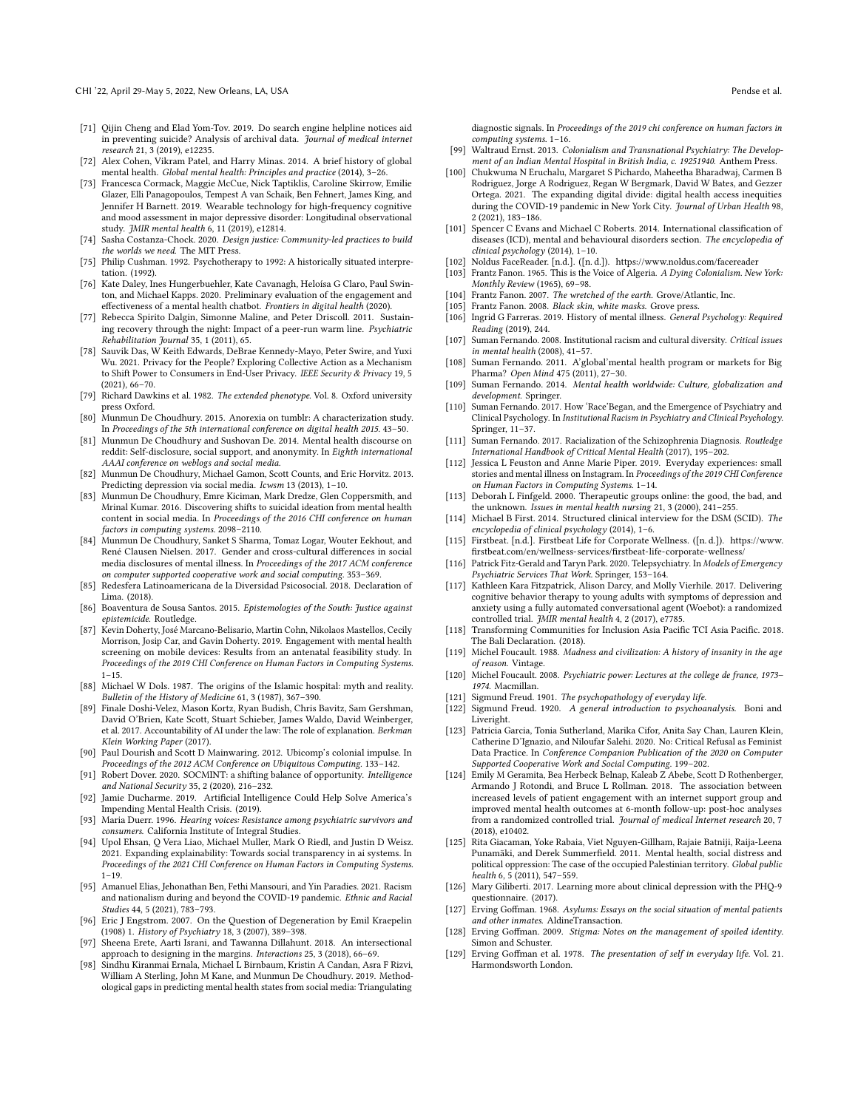CHI '22, April 29-May 5, 2022, New Orleans, LA, USA Pendse et al.

- <span id="page-17-40"></span>[71] Qijin Cheng and Elad Yom-Tov. 2019. Do search engine helpline notices aid in preventing suicide? Analysis of archival data. Journal of medical internet research 21, 3 (2019), e12235.
- <span id="page-17-10"></span>[72] Alex Cohen, Vikram Patel, and Harry Minas. 2014. A brief history of global mental health. Global mental health: Principles and practice (2014), 3–26.
- <span id="page-17-44"></span>[73] Francesca Cormack, Maggie McCue, Nick Taptiklis, Caroline Skirrow, Emilie Glazer, Elli Panagopoulos, Tempest A van Schaik, Ben Fehnert, James King, and Jennifer H Barnett. 2019. Wearable technology for high-frequency cognitive and mood assessment in major depressive disorder: Longitudinal observational study. JMIR mental health 6, 11 (2019), e12814.
- <span id="page-17-6"></span>[74] Sasha Costanza-Chock. 2020. Design justice: Community-led practices to build the worlds we need. The MIT Press.
- <span id="page-17-34"></span>[75] Philip Cushman. 1992. Psychotherapy to 1992: A historically situated interpretation. (1992).
- <span id="page-17-43"></span>[76] Kate Daley, Ines Hungerbuehler, Kate Cavanagh, Heloísa G Claro, Paul Swinton, and Michael Kapps. 2020. Preliminary evaluation of the engagement and efectiveness of a mental health chatbot. Frontiers in digital health (2020).
- <span id="page-17-55"></span>[77] Rebecca Spirito Dalgin, Simonne Maline, and Peter Driscoll. 2011. Sustaining recovery through the night: Impact of a peer-run warm line. Psychiatric Rehabilitation Journal 35, 1 (2011), 65.
- <span id="page-17-54"></span>[78] Sauvik Das, W Keith Edwards, DeBrae Kennedy-Mayo, Peter Swire, and Yuxi Wu. 2021. Privacy for the People? Exploring Collective Action as a Mechanism to Shift Power to Consumers in End-User Privacy. IEEE Security & Privacy 19, 5 (2021), 66–70.
- <span id="page-17-26"></span>[79] Richard Dawkins et al. 1982. The extended phenotype. Vol. 8. Oxford university press Oxford.
- <span id="page-17-42"></span>[80] Munmun De Choudhury. 2015. Anorexia on tumblr: A characterization study. In Proceedings of the 5th international conference on digital health 2015. 43–50.
- <span id="page-17-25"></span>[81] Munmun De Choudhury and Sushovan De. 2014. Mental health discourse on reddit: Self-disclosure, social support, and anonymity. In Eighth international AAAI conference on weblogs and social media.
- <span id="page-17-45"></span>[82] Munmun De Choudhury, Michael Gamon, Scott Counts, and Eric Horvitz. 2013. Predicting depression via social media. Icwsm 13 (2013), 1–10.
- <span id="page-17-2"></span>[83] Munmun De Choudhury, Emre Kiciman, Mark Dredze, Glen Coppersmith, and Mrinal Kumar. 2016. Discovering shifts to suicidal ideation from mental health content in social media. In Proceedings of the 2016 CHI conference on human factors in computing systems. 2098–2110.
- <span id="page-17-1"></span>[84] Munmun De Choudhury, Sanket S Sharma, Tomaz Logar, Wouter Eekhout, and René Clausen Nielsen. 2017. Gender and cross-cultural diferences in social media disclosures of mental illness. In Proceedings of the 2017 ACM conference on computer supported cooperative work and social computing. 353–369.
- <span id="page-17-37"></span>[85] Redesfera Latinoamericana de la Diversidad Psicosocial. 2018. Declaration of Lima. (2018).
- <span id="page-17-56"></span>[86] Boaventura de Sousa Santos. 2015. Epistemologies of the South: Justice against epistemicide. Routledge.
- <span id="page-17-0"></span>[87] Kevin Doherty, José Marcano-Belisario, Martin Cohn, Nikolaos Mastellos, Cecily Morrison, Josip Car, and Gavin Doherty. 2019. Engagement with mental health screening on mobile devices: Results from an antenatal feasibility study. In Proceedings of the 2019 CHI Conference on Human Factors in Computing Systems.  $1 - 15$ .
- <span id="page-17-27"></span>[88] Michael W Dols. 1987. The origins of the Islamic hospital: myth and reality. Bulletin of the History of Medicine 61, 3 (1987), 367–390.
- <span id="page-17-52"></span>[89] Finale Doshi-Velez, Mason Kortz, Ryan Budish, Chris Bavitz, Sam Gershman, David O'Brien, Kate Scott, Stuart Schieber, James Waldo, David Weinberger, et al. 2017. Accountability of AI under the law: The role of explanation. Berkman Klein Working Paper (2017).
- <span id="page-17-7"></span>[90] Paul Dourish and Scott D Mainwaring. 2012. Ubicomp's colonial impulse. In Proceedings of the 2012 ACM Conference on Ubiquitous Computing. 133–142.
- <span id="page-17-48"></span>[91] Robert Dover. 2020. SOCMINT: a shifting balance of opportunity. Intelligence and National Security 35, 2 (2020), 216–232.
- <span id="page-17-19"></span>[92] Jamie Ducharme. 2019. Artifcial Intelligence Could Help Solve America's Impending Mental Health Crisis. (2019).
- <span id="page-17-39"></span>[93] Maria Duerr. 1996. Hearing voices: Resistance among psychiatric survivors and consumers. California Institute of Integral Studies.
- <span id="page-17-53"></span>[94] Upol Ehsan, Q Vera Liao, Michael Muller, Mark O Riedl, and Justin D Weisz. 2021. Expanding explainability: Towards social transparency in ai systems. In Proceedings of the 2021 CHI Conference on Human Factors in Computing Systems.  $1 - 19.$
- <span id="page-17-18"></span>[95] Amanuel Elias, Jehonathan Ben, Fethi Mansouri, and Yin Paradies. 2021. Racism and nationalism during and beyond the COVID-19 pandemic. Ethnic and Racial Studies 44, 5 (2021), 783–793.
- <span id="page-17-8"></span>[96] Eric J Engstrom. 2007. On the Question of Degeneration by Emil Kraepelin (1908) 1. History of Psychiatry 18, 3 (2007), 389–398.
- <span id="page-17-14"></span>[97] Sheena Erete, Aarti Israni, and Tawanna Dillahunt. 2018. An intersectional approach to designing in the margins. Interactions 25, 3 (2018), 66–69.
- <span id="page-17-3"></span>[98] Sindhu Kiranmai Ernala, Michael L Birnbaum, Kristin A Candan, Asra F Rizvi, William A Sterling, John M Kane, and Munmun De Choudhury. 2019. Methodological gaps in predicting mental health states from social media: Triangulating

diagnostic signals. In Proceedings of the 2019 chi conference on human factors in computing systems. 1–16.

- <span id="page-17-29"></span>[99] Waltraud Ernst. 2013. Colonialism and Transnational Psychiatry: The Development of an Indian Mental Hospital in British India, c. 19251940. Anthem Press.
- <span id="page-17-13"></span>[100] Chukwuma N Eruchalu, Margaret S Pichardo, Maheetha Bharadwaj, Carmen B Rodriguez, Jorge A Rodriguez, Regan W Bergmark, David W Bates, and Gezzer Ortega. 2021. The expanding digital divide: digital health access inequities during the COVID-19 pandemic in New York City. Journal of Urban Health 98, 2 (2021), 183–186.
- <span id="page-17-57"></span>[101] Spencer C Evans and Michael C Roberts. 2014. International classifcation of diseases (ICD), mental and behavioural disorders section. The encyclopedia of clinical psychology (2014), 1–10.
- <span id="page-17-49"></span>[102] Noldus FaceReader. [n.d.]. ([n. d.]). <https://www.noldus.com/facereader>
- <span id="page-17-21"></span>[103] Frantz Fanon. 1965. This is the Voice of Algeria. A Dying Colonialism. New York:
- <span id="page-17-16"></span>Monthly Review (1965), 69–98. [104] Frantz Fanon. 2007. The wretched of the earth. Grove/Atlantic, Inc.
- <span id="page-17-11"></span>[105] Frantz Fanon. 2008. Black skin, white masks. Grove press.
- <span id="page-17-33"></span>[106] Ingrid G Farreras. 2019. History of mental illness. General Psychology: Required Reading (2019), 244.
- <span id="page-17-9"></span>[107] Suman Fernando. 2008. Institutional racism and cultural diversity. Critical issues in mental health (2008), 41–57.
- <span id="page-17-46"></span>[108] Suman Fernando. 2011. A'global'mental health program or markets for Big Pharma? Open Mind 475 (2011), 27–30.
- <span id="page-17-28"></span>[109] Suman Fernando. 2014. Mental health worldwide: Culture, globalization and development. Springer.
- <span id="page-17-4"></span>[110] Suman Fernando. 2017. How 'Race'Began, and the Emergence of Psychiatry and Clinical Psychology. In Institutional Racism in Psychiatry and Clinical Psychology. Springer, 11–37.
- <span id="page-17-5"></span>[111] Suman Fernando. 2017. Racialization of the Schizophrenia Diagnosis. Routledge International Handbook of Critical Mental Health (2017), 195–202.
- <span id="page-17-51"></span>[112] Jessica L Feuston and Anne Marie Piper. 2019. Everyday experiences: small stories and mental illness on Instagram. In Proceedings of the 2019 CHI Conference on Human Factors in Computing Systems. 1–14.
- <span id="page-17-24"></span>[113] Deborah L Finfgeld. 2000. Therapeutic groups online: the good, the bad, and the unknown. Issues in mental health nursing 21, 3 (2000), 241–255.
- <span id="page-17-58"></span>[114] Michael B First. 2014. Structured clinical interview for the DSM (SCID). The encyclopedia of clinical psychology (2014), 1–6.
- <span id="page-17-50"></span>[115] Firstbeat. [n.d.]. Firstbeat Life for Corporate Wellness. ([n. d.]). [https://www.](https://www.firstbeat.com/en/wellness-services/firstbeat-life-corporate-wellness/) [frstbeat.com/en/wellness-services/frstbeat-life-corporate-wellness/](https://www.firstbeat.com/en/wellness-services/firstbeat-life-corporate-wellness/)
- <span id="page-17-22"></span>[116] Patrick Fitz-Gerald and Taryn Park. 2020. Telepsychiatry. In Models of Emergency Psychiatric Services That Work. Springer, 153–164.
- <span id="page-17-23"></span>[117] Kathleen Kara Fitzpatrick, Alison Darcy, and Molly Vierhile. 2017. Delivering cognitive behavior therapy to young adults with symptoms of depression and anxiety using a fully automated conversational agent (Woebot): a randomized controlled trial. JMIR mental health 4, 2 (2017), e7785.
- <span id="page-17-38"></span>[118] Transforming Communities for Inclusion Asia Pacifc TCI Asia Pacifc. 2018. The Bali Declaration. (2018).
- <span id="page-17-47"></span>[119] Michel Foucault. 1988. Madness and civilization: A history of insanity in the age of reason. Vintage.
- <span id="page-17-12"></span>[120] Michel Foucault. 2008. Psychiatric power: Lectures at the college de france, 1973– 1974. Macmillan.
- <span id="page-17-35"></span>[121] Sigmund Freud. 1901. The psychopathology of everyday life.<br>[122] Sigmund Freud. 1920. A general introduction to psychoa
- <span id="page-17-36"></span>Sigmund Freud. 1920. A general introduction to psychoanalysis. Boni and Liveright.
- <span id="page-17-15"></span>[123] Patricia Garcia, Tonia Sutherland, Marika Cifor, Anita Say Chan, Lauren Klein, Catherine D'Ignazio, and Niloufar Salehi. 2020. No: Critical Refusal as Feminist Data Practice. In Conference Companion Publication of the 2020 on Computer Supported Cooperative Work and Social Computing. 199–202.
- <span id="page-17-20"></span>[124] Emily M Geramita, Bea Herbeck Belnap, Kaleab Z Abebe, Scott D Rothenberger, Armando J Rotondi, and Bruce L Rollman. 2018. The association between increased levels of patient engagement with an internet support group and improved mental health outcomes at 6-month follow-up: post-hoc analyses from a randomized controlled trial. Journal of medical Internet research 20, 7 (2018), e10402.
- <span id="page-17-17"></span>[125] Rita Giacaman, Yoke Rabaia, Viet Nguyen-Gillham, Rajaie Batniji, Raija-Leena Punamäki, and Derek Summerfeld. 2011. Mental health, social distress and political oppression: The case of the occupied Palestinian territory. Global public health 6, 5 (2011), 547–559.
- <span id="page-17-41"></span>[126] Mary Giliberti. 2017. Learning more about clinical depression with the PHQ-9 questionnaire. (2017).
- <span id="page-17-31"></span>[127] Erving Gofman. 1968. Asylums: Essays on the social situation of mental patients and other inmates. AldineTransaction.
- <span id="page-17-32"></span>[128] Erving Goffman. 2009. Stigma: Notes on the management of spoiled identity. Simon and Schuster.
- <span id="page-17-30"></span>[129] Erving Gofman et al. 1978. The presentation of self in everyday life. Vol. 21. Harmondsworth London.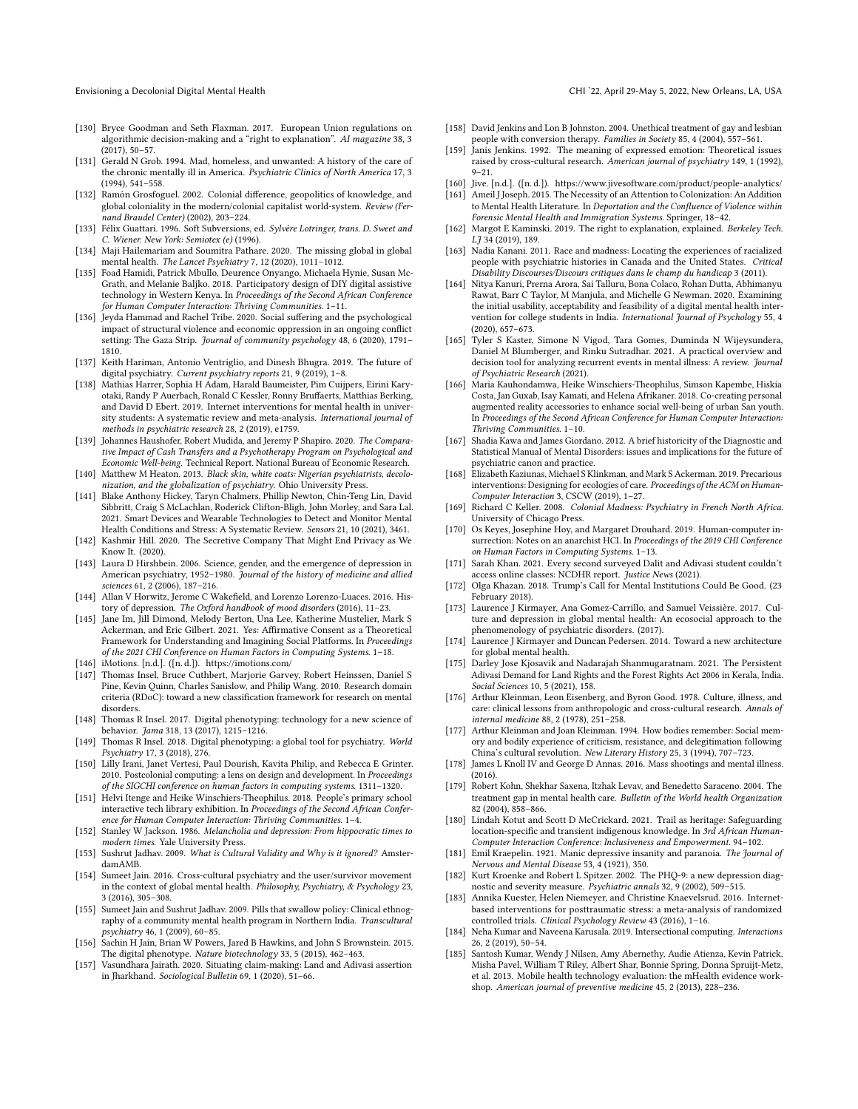- <span id="page-18-52"></span><span id="page-18-2"></span>[130] Bryce Goodman and Seth Flaxman. 2017. European Union regulations on algorithmic decision-making and a "right to explanation". AI magazine 38, 3 (2017), 50–57.
- <span id="page-18-32"></span><span id="page-18-25"></span>[131] Gerald N Grob. 1994. Mad, homeless, and unwanted: A history of the care of the chronic mentally ill in America. Psychiatric Clinics of North America 17, 3 (1994), 541–558.
- <span id="page-18-49"></span><span id="page-18-43"></span><span id="page-18-8"></span>[132] Ramón Grosfoguel. 2002. Colonial diference, geopolitics of knowledge, and global coloniality in the modern/colonial capitalist world-system. Review (Fernand Braudel Center) (2002), 203–224.
- <span id="page-18-53"></span><span id="page-18-16"></span>[133] Félix Guattari. 1996. Soft Subversions, ed. Sylvère Lotringer, trans. D. Sweet and C. Wiener. New York: Semiotex (e) (1996).
- <span id="page-18-45"></span><span id="page-18-44"></span>[134] Maji Hailemariam and Soumitra Pathare. 2020. The missing global in global mental health. The Lancet Psychiatry 7, 12 (2020), 1011–1012.
- <span id="page-18-34"></span><span id="page-18-21"></span>[135] Foad Hamidi, Patrick Mbullo, Deurence Onyango, Michaela Hynie, Susan Mc-Grath, and Melanie Baljko. 2018. Participatory design of DIY digital assistive technology in Western Kenya. In Proceedings of the Second African Conference for Human Computer Interaction: Thriving Communities. 1–11.
- <span id="page-18-28"></span><span id="page-18-9"></span>[136] Jeyda Hammad and Rachel Tribe. 2020. Social sufering and the psychological impact of structural violence and economic oppression in an ongoing confict setting: The Gaza Strip. Journal of community psychology 48, 6 (2020), 1791– 1810.
- <span id="page-18-15"></span>[137] Keith Hariman, Antonio Ventriglio, and Dinesh Bhugra. 2019. The future of digital psychiatry. Current psychiatry reports 21, 9 (2019), 1–8.
- <span id="page-18-36"></span><span id="page-18-3"></span>[138] Mathias Harrer, Sophia H Adam, Harald Baumeister, Pim Cuijpers, Eirini Karyotaki, Randy P Auerbach, Ronald C Kessler, Ronny Brufaerts, Matthias Berking, and David D Ebert. 2019. Internet interventions for mental health in university students: A systematic review and meta-analysis. International journal of methods in psychiatric research 28, 2 (2019), e1759.
- <span id="page-18-33"></span><span id="page-18-14"></span>[139] Johannes Haushofer, Robert Mudida, and Jeremy P Shapiro. 2020. The Comparative Impact of Cash Transfers and a Psychotherapy Program on Psychological and Economic Well-being. Technical Report. National Bureau of Economic Research.
- <span id="page-18-55"></span><span id="page-18-1"></span>[140] Matthew M Heaton. 2013. Black skin, white coats: Nigerian psychiatrists, decolonization, and the globalization of psychiatry. Ohio University Press.
- <span id="page-18-17"></span><span id="page-18-5"></span>[141] Blake Anthony Hickey, Taryn Chalmers, Phillip Newton, Chin-Teng Lin, David Sibbritt, Craig S McLachlan, Roderick Clifton-Bligh, John Morley, and Sara Lal. 2021. Smart Devices and Wearable Technologies to Detect and Monitor Mental Health Conditions and Stress: A Systematic Review. Sensors 21, 10 (2021), 3461.
- <span id="page-18-50"></span><span id="page-18-7"></span>[142] Kashmir Hill. 2020. The Secretive Company That Might End Privacy as We Know It. (2020).
- <span id="page-18-54"></span><span id="page-18-39"></span>[143] Laura D Hirshbein. 2006. Science, gender, and the emergence of depression in American psychiatry, 1952–1980. Journal of the history of medicine and allied sciences 61, 2 (2006), 187–216.
- <span id="page-18-47"></span><span id="page-18-42"></span><span id="page-18-22"></span>[144] Allan V Horwitz, Jerome C Wakefield, and Lorenzo Lorenzo-Luaces. 2016. History of depression. The Oxford handbook of mood disorders (2016), 11–23.
- <span id="page-18-51"></span><span id="page-18-41"></span>[145] Jane Im, Jill Dimond, Melody Berton, Una Lee, Katherine Mustelier, Mark S Ackerman, and Eric Gilbert. 2021. Yes: Affirmative Consent as a Theoretical Framework for Understanding and Imagining Social Platforms. In Proceedings of the 2021 CHI Conference on Human Factors in Computing Systems. 1–18.
- <span id="page-18-48"></span><span id="page-18-13"></span>[146] iMotions. [n.d.]. ([n. d.]). <https://imotions.com/>
- <span id="page-18-31"></span><span id="page-18-29"></span>[147] Thomas Insel, Bruce Cuthbert, Marjorie Garvey, Robert Heinssen, Daniel S Pine, Kevin Quinn, Charles Sanislow, and Philip Wang. 2010. Research domain criteria (RDoC): toward a new classifcation framework for research on mental disorders.
- <span id="page-18-18"></span><span id="page-18-11"></span>[148] Thomas R Insel. 2017. Digital phenotyping: technology for a new science of behavior. Jama 318, 13 (2017), 1215–1216.
- <span id="page-18-20"></span>[149] Thomas R Insel. 2018. Digital phenotyping: a global tool for psychiatry. World Psychiatry 17, 3 (2018), 276.
- <span id="page-18-46"></span><span id="page-18-4"></span>[150] Lilly Irani, Janet Vertesi, Paul Dourish, Kavita Philip, and Rebecca E Grinter. 2010. Postcolonial computing: a lens on design and development. In Proceedings of the SIGCHI conference on human factors in computing systems. 1311–1320.
- <span id="page-18-35"></span><span id="page-18-0"></span>[151] Helvi Itenge and Heike Winschiers-Theophilus. 2018. People's primary school interactive tech library exhibition. In Proceedings of the Second African Conference for Human Computer Interaction: Thriving Communities. 1–4.
- <span id="page-18-40"></span><span id="page-18-37"></span>[152] Stanley W Jackson. 1986. Melancholia and depression: From hippocratic times to modern times. Yale University Press.
- <span id="page-18-24"></span><span id="page-18-23"></span>[153] Sushrut Jadhav. 2009. What is Cultural Validity and Why is it ignored? AmsterdamAMB.
- <span id="page-18-38"></span><span id="page-18-30"></span>[154] Sumeet Jain. 2016. Cross-cultural psychiatry and the user/survivor movement in the context of global mental health. Philosophy, Psychiatry, & Psychology 23, 3 (2016), 305–308.
- <span id="page-18-27"></span><span id="page-18-10"></span>[155] Sumeet Jain and Sushrut Jadhav. 2009. Pills that swallow policy: Clinical ethnography of a community mental health program in Northern India. Transcultural psychiatry 46, 1 (2009), 60–85.
- <span id="page-18-26"></span><span id="page-18-19"></span><span id="page-18-6"></span>[156] Sachin H Jain, Brian W Powers, Jared B Hawkins, and John S Brownstein. 2015. The digital phenotype. Nature biotechnology 33, 5 (2015), 462–463.
- <span id="page-18-12"></span>[157] Vasundhara Jairath. 2020. Situating claim-making: Land and Adivasi assertion in Jharkhand. Sociological Bulletin 69, 1 (2020), 51–66.
- Envisioning a Decolonial Digital Mental Health CHI '22, April 29-May 5, 2022, New Orleans, LA, USA
	- [158] David Jenkins and Lon B Johnston. 2004. Unethical treatment of gay and lesbian people with conversion therapy. Families in Society 85, 4 (2004), 557–561.
	- [159] Janis Jenkins. 1992. The meaning of expressed emotion: Theoretical issues raised by cross-cultural research. American journal of psychiatry 149, 1 (1992),  $9 - 21$
	- [160] Jive. [n.d.]. ([n. d.]). <https://www.jivesoftware.com/product/people-analytics/>
	- [161] Ameil J Joseph. 2015. The Necessity of an Attention to Colonization: An Addition to Mental Health Literature. In Deportation and the Confuence of Violence within Forensic Mental Health and Immigration Systems. Springer, 18–42.
	- [162] Margot E Kaminski. 2019. The right to explanation, explained. Berkeley Tech. LJ 34 (2019), 189.
	- [163] Nadia Kanani. 2011. Race and madness: Locating the experiences of racialized people with psychiatric histories in Canada and the United States. Critical Disability Discourses/Discours critiques dans le champ du handicap 3 (2011).
	- [164] Nitya Kanuri, Prerna Arora, Sai Talluru, Bona Colaco, Rohan Dutta, Abhimanyu Rawat, Barr C Taylor, M Manjula, and Michelle G Newman. 2020. Examining the initial usability, acceptability and feasibility of a digital mental health intervention for college students in India. International Journal of Psychology 55, 4 (2020), 657–673.
	- [165] Tyler S Kaster, Simone N Vigod, Tara Gomes, Duminda N Wijeysundera, Daniel M Blumberger, and Rinku Sutradhar. 2021. A practical overview and decision tool for analyzing recurrent events in mental illness: A review. Journal of Psychiatric Research (2021).
	- [166] Maria Kauhondamwa, Heike Winschiers-Theophilus, Simson Kapembe, Hiskia Costa, Jan Guxab, Isay Kamati, and Helena Afrikaner. 2018. Co-creating personal augmented reality accessories to enhance social well-being of urban San youth. In Proceedings of the Second African Conference for Human Computer Interaction: Thriving Communities. 1–10.
	- [167] Shadia Kawa and James Giordano. 2012. A brief historicity of the Diagnostic and Statistical Manual of Mental Disorders: issues and implications for the future of psychiatric canon and practice.
	- [168] Elizabeth Kaziunas, Michael S Klinkman, and Mark S Ackerman. 2019. Precarious interventions: Designing for ecologies of care. Proceedings of the ACM on Human-Computer Interaction 3, CSCW (2019), 1–27.
	- [169] Richard C Keller. 2008. Colonial Madness: Psychiatry in French North Africa. University of Chicago Press.
	- [170] Os Keyes, Josephine Hoy, and Margaret Drouhard. 2019. Human-computer insurrection: Notes on an anarchist HCI. In  $Proceedings$  of the 2019 CHI Conference on Human Factors in Computing Systems. 1–13.
	- [171] Sarah Khan. 2021. Every second surveyed Dalit and Adivasi student couldn't access online classes: NCDHR report. Justice News (2021).
	- [172] Olga Khazan. 2018. Trump's Call for Mental Institutions Could Be Good. (23 February 2018).
	- [173] Laurence J Kirmayer, Ana Gomez-Carrillo, and Samuel Veissière. 2017. Culture and depression in global mental health: An ecosocial approach to the phenomenology of psychiatric disorders. (2017).
	- [174] Laurence J Kirmayer and Duncan Pedersen. 2014. Toward a new architecture for global mental health.
	- [175] Darley Jose Kjosavik and Nadarajah Shanmugaratnam. 2021. The Persistent Adivasi Demand for Land Rights and the Forest Rights Act 2006 in Kerala, India. Social Sciences 10, 5 (2021), 158.
	- [176] Arthur Kleinman, Leon Eisenberg, and Byron Good. 1978. Culture, illness, and care: clinical lessons from anthropologic and cross-cultural research. Annals of internal medicine 88, 2 (1978), 251–258.
	- [177] Arthur Kleinman and Joan Kleinman. 1994. How bodies remember: Social memory and bodily experience of criticism, resistance, and delegitimation following China's cultural revolution. New Literary History 25, 3 (1994), 707–723.
	- [178] James L Knoll IV and George D Annas. 2016. Mass shootings and mental illness. (2016).
	- [179] Robert Kohn, Shekhar Saxena, Itzhak Levav, and Benedetto Saraceno. 2004. The treatment gap in mental health care. Bulletin of the World health Organization 82 (2004), 858–866.
	- [180] Lindah Kotut and Scott D McCrickard. 2021. Trail as heritage: Safeguarding location-specific and transient indigenous knowledge. In 3rd African Human-Computer Interaction Conference: Inclusiveness and Empowerment. 94–102.
	- [181] Emil Kraepelin. 1921. Manic depressive insanity and paranoia. The Journal of Nervous and Mental Disease 53, 4 (1921), 350.
	- [182] Kurt Kroenke and Robert L Spitzer. 2002. The PHQ-9: a new depression diagnostic and severity measure. Psychiatric annals 32, 9 (2002), 509–515.
	- [183] Annika Kuester, Helen Niemeyer, and Christine Knaevelsrud. 2016. Internetbased interventions for posttraumatic stress: a meta-analysis of randomized controlled trials. Clinical Psychology Review 43 (2016), 1-16.
	- [184] Neha Kumar and Naveena Karusala. 2019. Intersectional computing. Interactions 26, 2 (2019), 50–54.
	- [185] Santosh Kumar, Wendy J Nilsen, Amy Abernethy, Audie Atienza, Kevin Patrick, Misha Pavel, William T Riley, Albert Shar, Bonnie Spring, Donna Spruijt-Metz, et al. 2013. Mobile health technology evaluation: the mHealth evidence workshop. American journal of preventive medicine 45, 2 (2013), 228–236.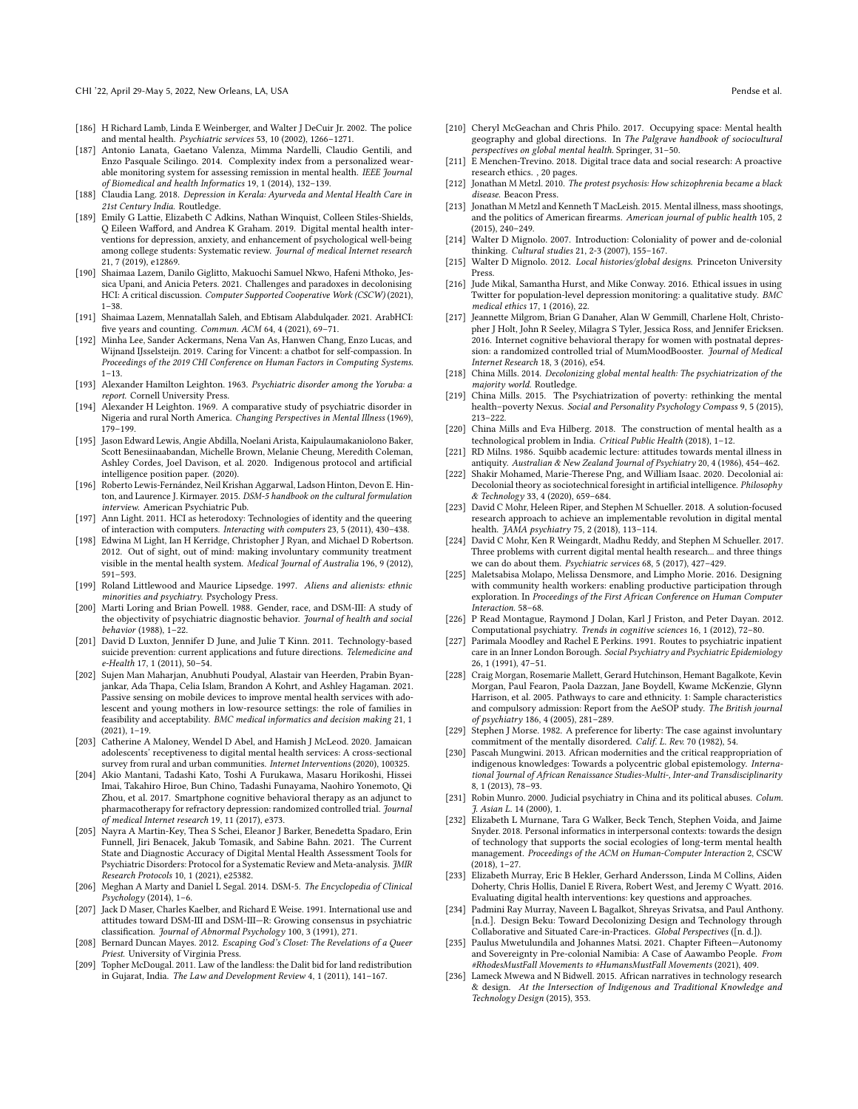- <span id="page-19-47"></span>[186] H Richard Lamb, Linda E Weinberger, and Walter J DeCuir Jr. 2002. The police and mental health. Psychiatric services 53, 10 (2002), 1266–1271.
- <span id="page-19-27"></span>[187] Antonio Lanata, Gaetano Valenza, Mimma Nardelli, Claudio Gentili, and Enzo Pasquale Scilingo. 2014. Complexity index from a personalized wearable monitoring system for assessing remission in mental health. IEEE Journal of Biomedical and health Informatics 19, 1 (2014), 132–139.
- <span id="page-19-3"></span>[188] Claudia Lang. 2018. Depression in Kerala: Ayurveda and Mental Health Care in 21st Century India. Routledge.
- <span id="page-19-13"></span>[189] Emily G Lattie, Elizabeth C Adkins, Nathan Winquist, Colleen Stiles-Shields, Q Eileen Waford, and Andrea K Graham. 2019. Digital mental health interventions for depression, anxiety, and enhancement of psychological well-being among college students: Systematic review. Journal of medical Internet research 21, 7 (2019), e12869.
- <span id="page-19-14"></span>[190] Shaimaa Lazem, Danilo Giglitto, Makuochi Samuel Nkwo, Hafeni Mthoko, Jessica Upani, and Anicia Peters. 2021. Challenges and paradoxes in decolonising HCI: A critical discussion. Computer Supported Cooperative Work (CSCW) (2021), 1–38.
- <span id="page-19-44"></span>[191] Shaimaa Lazem, Mennatallah Saleh, and Ebtisam Alabdulqader. 2021. ArabHCI: five years and counting. Commun. ACM 64, 4 (2021), 69-71.
- <span id="page-19-4"></span>[192] Minha Lee, Sander Ackermans, Nena Van As, Hanwen Chang, Enzo Lucas, and Wijnand IJsselsteijn. 2019. Caring for Vincent: a chatbot for self-compassion. In Proceedings of the 2019 CHI Conference on Human Factors in Computing Systems. 1–13.
- <span id="page-19-10"></span>[193] Alexander Hamilton Leighton. 1963. Psychiatric disorder among the Yoruba: a report. Cornell University Press.
- <span id="page-19-11"></span>[194] Alexander H Leighton. 1969. A comparative study of psychiatric disorder in Nigeria and rural North America. Changing Perspectives in Mental Illness (1969), 179–199.
- <span id="page-19-45"></span>[195] Jason Edward Lewis, Angie Abdilla, Noelani Arista, Kaipulaumakaniolono Baker, Scott Benesiinaabandan, Michelle Brown, Melanie Cheung, Meredith Coleman, Ashley Cordes, Joel Davison, et al. 2020. Indigenous protocol and artifcial intelligence position paper. (2020).
- <span id="page-19-39"></span>[196] Roberto Lewis-Fernández, Neil Krishan Aggarwal, Ladson Hinton, Devon E. Hinton, and Laurence J. Kirmayer. 2015. DSM-5 handbook on the cultural formulation interview. American Psychiatric Pub.
- <span id="page-19-18"></span>[197] Ann Light. 2011. HCI as heterodoxy: Technologies of identity and the queering of interaction with computers. Interacting with computers 23, 5 (2011), 430–438.
- <span id="page-19-6"></span>[198] Edwina M Light, Ian H Kerridge, Christopher J Ryan, and Michael D Robertson. 2012. Out of sight, out of mind: making involuntary community treatment visible in the mental health system. Medical Journal of Australia 196, 9 (2012), 591–593.
- <span id="page-19-5"></span>[199] Roland Littlewood and Maurice Lipsedge. 1997. Aliens and alienists: ethnic minorities and psychiatry. Psychology Press.
- <span id="page-19-12"></span>[200] Marti Loring and Brian Powell. 1988. Gender, race, and DSM-III: A study of the objectivity of psychiatric diagnostic behavior. Journal of health and social behavior (1988), 1–22.
- <span id="page-19-33"></span>[201] David D Luxton, Jennifer D June, and Julie T Kinn. 2011. Technology-based suicide prevention: current applications and future directions. Telemedicine and e-Health 17, 1 (2011), 50–54.
- <span id="page-19-28"></span>[202] Sujen Man Maharjan, Anubhuti Poudyal, Alastair van Heerden, Prabin Byanjankar, Ada Thapa, Celia Islam, Brandon A Kohrt, and Ashley Hagaman. 2021. Passive sensing on mobile devices to improve mental health services with adolescent and young mothers in low-resource settings: the role of families in feasibility and acceptability. BMC medical informatics and decision making 21, 1 (2021), 1–19.
- <span id="page-19-2"></span>[203] Catherine A Maloney, Wendel D Abel, and Hamish J McLeod. 2020. Jamaican adolescents' receptiveness to digital mental health services: A cross-sectional survey from rural and urban communities. Internet Interventions (2020), 100325.
- <span id="page-19-36"></span>[204] Akio Mantani, Tadashi Kato, Toshi A Furukawa, Masaru Horikoshi, Hissei Imai, Takahiro Hiroe, Bun Chino, Tadashi Funayama, Naohiro Yonemoto, Qi Zhou, et al. 2017. Smartphone cognitive behavioral therapy as an adjunct to pharmacotherapy for refractory depression: randomized controlled trial. Journal of medical Internet research 19, 11 (2017), e373.
- <span id="page-19-0"></span>[205] Nayra A Martin-Key, Thea S Schei, Eleanor J Barker, Benedetta Spadaro, Erin Funnell, Jiri Benacek, Jakub Tomasik, and Sabine Bahn. 2021. The Current State and Diagnostic Accuracy of Digital Mental Health Assessment Tools for Psychiatric Disorders: Protocol for a Systematic Review and Meta-analysis. JMIR Research Protocols 10, 1 (2021), e25382.
- <span id="page-19-49"></span>[206] Meghan A Marty and Daniel L Segal. 2014. DSM-5. The Encyclopedia of Clinical Psychology (2014), 1–6.
- <span id="page-19-50"></span>[207] Jack D Maser, Charles Kaelber, and Richard E Weise. 1991. International use and attitudes toward DSM-III and DSM-III—R: Growing consensus in psychiatric classifcation. Journal of Abnormal Psychology 100, 3 (1991), 271.
- <span id="page-19-25"></span>[208] Bernard Duncan Mayes. 2012. Escaping God's Closet: The Revelations of a Queer Priest. University of Virginia Press.
- <span id="page-19-23"></span>[209] Topher McDougal. 2011. Law of the landless: the Dalit bid for land redistribution in Gujarat, India. The Law and Development Review 4, 1 (2011), 141–167.
- <span id="page-19-32"></span>[210] Cheryl McGeachan and Chris Philo. 2017. Occupying space: Mental health geography and global directions. In The Palgrave handbook of sociocultural perspectives on global mental health. Springer, 31–50.
- <span id="page-19-26"></span>[211] E Menchen-Trevino. 2018. Digital trace data and social research: A proactive research ethics. , 20 pages.
- <span id="page-19-8"></span>[212] Jonathan M Metzl. 2010. The protest psychosis: How schizophrenia became a black disease. Beacon Press.
- <span id="page-19-38"></span>[213] Jonathan M Metzl and Kenneth T MacLeish. 2015. Mental illness, mass shootings, and the politics of American frearms. American journal of public health 105, 2 (2015), 240–249.
- <span id="page-19-17"></span>[214] Walter D Mignolo. 2007. Introduction: Coloniality of power and de-colonial thinking. Cultural studies 21, 2-3 (2007), 155–167.
- <span id="page-19-19"></span>[215] Walter D Mignolo. 2012. Local histories/global designs. Princeton University Press.
- <span id="page-19-41"></span>[216] Jude Mikal, Samantha Hurst, and Mike Conway. 2016. Ethical issues in using Twitter for population-level depression monitoring: a qualitative study. BMC medical ethics 17, 1 (2016), 22.
- <span id="page-19-37"></span>[217] Jeannette Milgrom, Brian G Danaher, Alan W Gemmill, Charlene Holt, Christopher J Holt, John R Seeley, Milagra S Tyler, Jessica Ross, and Jennifer Ericksen. 2016. Internet cognitive behavioral therapy for women with postnatal depression: a randomized controlled trial of MumMoodBooster. Journal of Medical Internet Research 18, 3 (2016), e54.
- <span id="page-19-40"></span>[218] China Mills. 2014. Decolonizing global mental health: The psychiatrization of the majority world. Routledge.
- <span id="page-19-21"></span>[219] China Mills. 2015. The Psychiatrization of poverty: rethinking the mental health–poverty Nexus. Social and Personality Psychology Compass 9, 5 (2015), 213–222.
- <span id="page-19-34"></span>[220] China Mills and Eva Hilberg. 2018. The construction of mental health as a technological problem in India. Critical Public Health (2018), 1–12.
- <span id="page-19-30"></span>[221] RD Milns. 1986. Squibb academic lecture: attitudes towards mental illness in antiquity. Australian & New Zealand Journal of Psychiatry 20, 4 (1986), 454–462.
- <span id="page-19-16"></span>[222] Shakir Mohamed, Marie-Therese Png, and William Isaac. 2020. Decolonial ai: Decolonial theory as sociotechnical foresight in artificial intelligence. Philosophy & Technology 33, 4 (2020), 659–684.
- <span id="page-19-1"></span>[223] David C Mohr, Heleen Riper, and Stephen M Schueller. 2018. A solution-focused research approach to achieve an implementable revolution in digital mental health.  $\hat{A}$ MA psychiatry 75, 2 (2018), 113–114.
- <span id="page-19-29"></span>[224] David C Mohr, Ken R Weingardt, Madhu Reddy, and Stephen M Schueller. 2017. Three problems with current digital mental health research... and three things we can do about them. Psychiatric services 68, 5 (2017), 427–429.
- <span id="page-19-35"></span>[225] Maletsabisa Molapo, Melissa Densmore, and Limpho Morie. 2016. Designing with community health workers: enabling productive participation through exploration. In Proceedings of the First African Conference on Human Computer Interaction. 58–68.
- <span id="page-19-24"></span>[226] P Read Montague, Raymond J Dolan, Karl J Friston, and Peter Dayan. 2012. Computational psychiatry. Trends in cognitive sciences 16, 1 (2012), 72–80.
- <span id="page-19-42"></span>[227] Parimala Moodley and Rachel E Perkins. 1991. Routes to psychiatric inpatient care in an Inner London Borough. Social Psychiatry and Psychiatric Epidemiology 26, 1 (1991), 47–51.
- <span id="page-19-43"></span>[228] Craig Morgan, Rosemarie Mallett, Gerard Hutchinson, Hemant Bagalkote, Kevin Morgan, Paul Fearon, Paola Dazzan, Jane Boydell, Kwame McKenzie, Glynn Harrison, et al. 2005. Pathways to care and ethnicity. 1: Sample characteristics and compulsory admission: Report from the AeSOP study. The British journal of psychiatry 186, 4 (2005), 281–289.
- <span id="page-19-7"></span>[229] Stephen J Morse. 1982. A preference for liberty: The case against involuntary commitment of the mentally disordered. Calif. L. Rev. 70 (1982), 54.
- <span id="page-19-20"></span>[230] Pascah Mungwini. 2013. African modernities and the critical reappropriation of indigenous knowledges: Towards a polycentric global epistemology. International Journal of African Renaissance Studies-Multi-, Inter-and Transdisciplinarity 8, 1 (2013), 78–93.
- <span id="page-19-9"></span>[231] Robin Munro. 2000. Judicial psychiatry in China and its political abuses. Colum. J. Asian L. 14 (2000), 1.
- <span id="page-19-48"></span>[232] Elizabeth L Murnane, Tara G Walker, Beck Tench, Stephen Voida, and Jaime Snyder. 2018. Personal informatics in interpersonal contexts: towards the design of technology that supports the social ecologies of long-term mental health management. Proceedings of the ACM on Human-Computer Interaction 2, CSCW (2018), 1–27.
- <span id="page-19-31"></span>[233] Elizabeth Murray, Eric B Hekler, Gerhard Andersson, Linda M Collins, Aiden Doherty, Chris Hollis, Daniel E Rivera, Robert West, and Jeremy C Wyatt. 2016. Evaluating digital health interventions: key questions and approaches.
- <span id="page-19-15"></span>[234] Padmini Ray Murray, Naveen L Bagalkot, Shreyas Srivatsa, and Paul Anthony. [n.d.]. Design Beku: Toward Decolonizing Design and Technology through Collaborative and Situated Care-in-Practices. Global Perspectives ([n. d.]).
- <span id="page-19-22"></span>[235] Paulus Mwetulundila and Johannes Matsi. 2021. Chapter Fifteen—Autonomy and Sovereignty in Pre-colonial Namibia: A Case of Aawambo People. From #RhodesMustFall Movements to #HumansMustFall Movements (2021), 409.
- <span id="page-19-46"></span>[236] Lameck Mwewa and N Bidwell. 2015. African narratives in technology research & design. At the Intersection of Indigenous and Traditional Knowledge and Technology Design (2015), 353.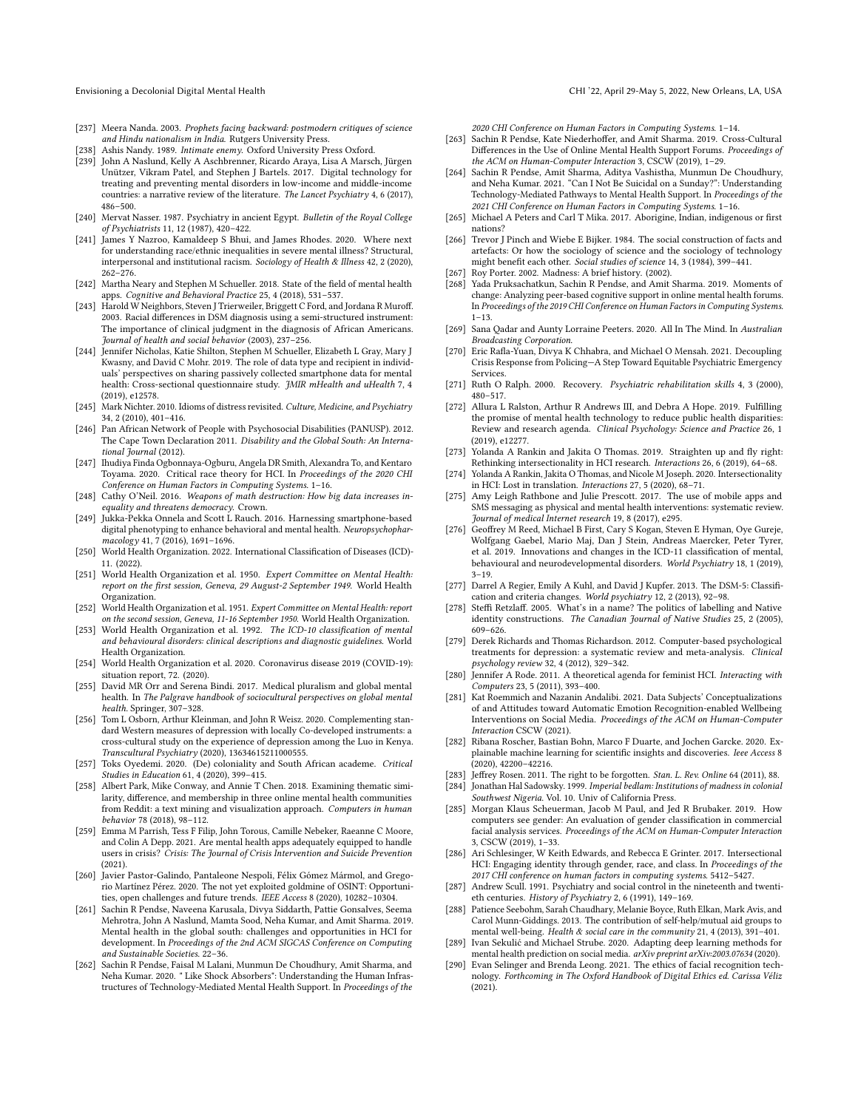- <span id="page-20-17"></span>[237] Meera Nanda. 2003. Prophets facing backward: postmodern critiques of science and Hindu nationalism in India. Rutgers University Press.
- <span id="page-20-9"></span>[238] Ashis Nandy. 1989. Intimate enemy. Oxford University Press Oxford.
- <span id="page-20-1"></span>[239] John A Naslund, Kelly A Aschbrenner, Ricardo Araya, Lisa A Marsch, Jürgen Unützer, Vikram Patel, and Stephen J Bartels. 2017. Digital technology for treating and preventing mental disorders in low-income and middle-income countries: a narrative review of the literature. The Lancet Psychiatry 4, 6 (2017), 486–500.
- <span id="page-20-25"></span>[240] Mervat Nasser. 1987. Psychiatry in ancient Egypt. Bulletin of the Royal College of Psychiatrists 11, 12 (1987), 420–422.
- <span id="page-20-45"></span>[241] James Y Nazroo, Kamaldeep S Bhui, and James Rhodes. 2020. Where next for understanding race/ethnic inequalities in severe mental illness? Structural, interpersonal and institutional racism. Sociology of Health & Illness 42, 2 (2020), 262–276.
- <span id="page-20-32"></span>[242] Martha Neary and Stephen M Schueller. 2018. State of the feld of mental health apps. Cognitive and Behavioral Practice 25, 4 (2018), 531–537.
- <span id="page-20-5"></span>[243] Harold W Neighbors, Steven J Trierweiler, Briggett C Ford, and Jordana R Murof. 2003. Racial diferences in DSM diagnosis using a semi-structured instrument: The importance of clinical judgment in the diagnosis of African Americans. Journal of health and social behavior (2003), 237–256.
- <span id="page-20-23"></span>[244] Jennifer Nicholas, Katie Shilton, Stephen M Schueller, Elizabeth L Gray, Mary J Kwasny, and David C Mohr. 2019. The role of data type and recipient in individuals' perspectives on sharing passively collected smartphone data for mental health: Cross-sectional questionnaire study. JMIR mHealth and uHealth 7, 4 (2019), e12578.
- <span id="page-20-33"></span>[245] Mark Nichter. 2010. Idioms of distress revisited. Culture, Medicine, and Psychiatry 34, 2 (2010), 401–416.
- <span id="page-20-34"></span>[246] Pan African Network of People with Psychosocial Disabilities (PANUSP), 2012. The Cape Town Declaration 2011. Disability and the Global South: An International Journal (2012).
- <span id="page-20-12"></span>[247] Ihudiya Finda Ogbonnaya-Ogburu, Angela DR Smith, Alexandra To, and Kentaro Toyama. 2020. Critical race theory for HCI. In Proceedings of the 2020 CHI Conference on Human Factors in Computing Systems. 1–16.
- <span id="page-20-8"></span>[248] Cathy O'Neil. 2016. Weapons of math destruction: How big data increases inequality and threatens democracy. Crown.
- <span id="page-20-24"></span>[249] Jukka-Pekka Onnela and Scott L Rauch. 2016. Harnessing smartphone-based digital phenotyping to enhance behavioral and mental health. Neuropsychopharmacology 41, 7 (2016), 1691–1696.
- <span id="page-20-52"></span>[250] World Health Organization. 2022. International Classifcation of Diseases (ICD)- 11. (2022).
- <span id="page-20-28"></span>[251] World Health Organization et al. 1950. Expert Committee on Mental Health: report on the frst session, Geneva, 29 August-2 September 1949. World Health Organization.
- <span id="page-20-29"></span>[252] World Health Organization et al. 1951. Expert Committee on Mental Health: report on the second session, Geneva, 11-16 September 1950. World Health Organization.
- <span id="page-20-31"></span>[253] World Health Organization et al. 1992. The ICD-10 classification of mental and behavioural disorders: clinical descriptions and diagnostic guidelines. World Health Organization.
- <span id="page-20-49"></span>[254] World Health Organization et al. 2020. Coronavirus disease 2019 (COVID-19): situation report, 72. (2020).
- <span id="page-20-38"></span>[255] David MR Orr and Serena Bindi. 2017. Medical pluralism and global mental health. In The Palgrave handbook of sociocultural perspectives on global mental health. Springer, 307–328.
- <span id="page-20-6"></span>[256] Tom L Osborn, Arthur Kleinman, and John R Weisz. 2020. Complementing standard Western measures of depression with locally Co-developed instruments: a cross-cultural study on the experience of depression among the Luo in Kenya. Transcultural Psychiatry (2020), 13634615211000555.
- <span id="page-20-18"></span>[257] Toks Oyedemi. 2020. (De) coloniality and South African academe. Critical Studies in Education 61, 4 (2020), 399–415.
- <span id="page-20-43"></span>[258] Albert Park, Mike Conway, and Annie T Chen. 2018. Examining thematic similarity, diference, and membership in three online mental health communities from Reddit: a text mining and visualization approach. Computers in human behavior 78 (2018), 98–112.
- <span id="page-20-47"></span>[259] Emma M Parrish, Tess F Filip, John Torous, Camille Nebeker, Raeanne C Moore, and Colin A Depp. 2021. Are mental health apps adequately equipped to handle users in crisis? Crisis: The Journal of Crisis Intervention and Suicide Prevention (2021).
- <span id="page-20-39"></span>[260] Javier Pastor-Galindo, Pantaleone Nespoli, Félix Gómez Mármol, and Gregorio Martínez Pérez. 2020. The not yet exploited goldmine of OSINT: Opportunities, open challenges and future trends. IEEE Access 8 (2020), 10282–10304.
- <span id="page-20-10"></span>[261] Sachin R Pendse, Naveena Karusala, Divya Siddarth, Pattie Gonsalves, Seema Mehrotra, John A Naslund, Mamta Sood, Neha Kumar, and Amit Sharma. 2019. Mental health in the global south: challenges and opportunities in HCI for development. In Proceedings of the 2nd ACM SIGCAS Conference on Computing and Sustainable Societies. 22–36.
- <span id="page-20-2"></span>[262] Sachin R Pendse, Faisal M Lalani, Munmun De Choudhury, Amit Sharma, and Neha Kumar. 2020. " Like Shock Absorbers": Understanding the Human Infrastructures of Technology-Mediated Mental Health Support. In Proceedings of the

2020 CHI Conference on Human Factors in Computing Systems. 1–14.

- <span id="page-20-35"></span>[263] Sachin R Pendse, Kate Niederhoffer, and Amit Sharma. 2019. Cross-Cultural Diferences in the Use of Online Mental Health Support Forums. Proceedings of the ACM on Human-Computer Interaction 3, CSCW (2019), 1–29.
- <span id="page-20-3"></span>[264] Sachin R Pendse, Amit Sharma, Aditya Vashistha, Munmun De Choudhury, and Neha Kumar. 2021. "Can I Not Be Suicidal on a Sunday?": Understanding Technology-Mediated Pathways to Mental Health Support. In Proceedings of the 2021 CHI Conference on Human Factors in Computing Systems. 1–16.
- <span id="page-20-19"></span>[265] Michael A Peters and Carl T Mika. 2017. Aborigine, Indian, indigenous or frst nations?
- <span id="page-20-4"></span>[266] Trevor J Pinch and Wiebe E Bijker. 1984. The social construction of facts and artefacts: Or how the sociology of science and the sociology of technology might beneft each other. Social studies of science 14, 3 (1984), 399–441.
- <span id="page-20-27"></span>[267] Roy Porter. 2002. Madness: A brief history. (2002).
- <span id="page-20-22"></span>[268] Yada Pruksachatkun, Sachin R Pendse, and Amit Sharma. 2019. Moments of change: Analyzing peer-based cognitive support in online mental health forums. In Proceedings of the 2019 CHI Conference on Human Factorsin Computing Systems. 1–13.
- <span id="page-20-0"></span>[269] Sana Qadar and Aunty Lorraine Peeters. 2020. All In The Mind. In Australian Broadcasting Corporation.
- <span id="page-20-46"></span>[270] Eric Rafla-Yuan, Divya K Chhabra, and Michael O Mensah. 2021. Decoupling Crisis Response from Policing—A Step Toward Equitable Psychiatric Emergency Services.
- <span id="page-20-37"></span>[271] Ruth O Ralph. 2000. Recovery. Psychiatric rehabilitation skills 4, 3 (2000), 480–517.
- <span id="page-20-21"></span>[272] Allura L Ralston, Arthur R Andrews III, and Debra A Hope. 2019. Fulflling the promise of mental health technology to reduce public health disparities: Review and research agenda. Clinical Psychology: Science and Practice 26, 1 (2019), e12277.
- <span id="page-20-14"></span>[273] Yolanda A Rankin and Jakita O Thomas. 2019. Straighten up and fly right: Rethinking intersectionality in HCI research. Interactions 26, 6 (2019), 64–68.
- <span id="page-20-15"></span>[274] Yolanda A Rankin, Jakita O Thomas, and Nicole M Joseph. 2020. Intersectionality in HCI: Lost in translation. Interactions 27, 5 (2020), 68–71.
- <span id="page-20-7"></span>[275] Amy Leigh Rathbone and Julie Prescott. 2017. The use of mobile apps and SMS messaging as physical and mental health interventions: systematic review. Journal of medical Internet research 19, 8 (2017), e295.
- <span id="page-20-53"></span>[276] Geofrey M Reed, Michael B First, Cary S Kogan, Steven E Hyman, Oye Gureje, Wolfgang Gaebel, Mario Maj, Dan J Stein, Andreas Maercker, Peter Tyrer, et al. 2019. Innovations and changes in the ICD-11 classifcation of mental, behavioural and neurodevelopmental disorders. World Psychiatry 18, 1 (2019), 3–19.
- <span id="page-20-51"></span>[277] Darrel A Regier, Emily A Kuhl, and David J Kupfer. 2013. The DSM-5: Classifcation and criteria changes. World psychiatry 12, 2 (2013), 92–98.
- <span id="page-20-20"></span>[278] Steffi Retzlaff. 2005. What's in a name? The politics of labelling and Native identity constructions. The Canadian Journal of Native Studies 25, 2 (2005), 609–626.
- <span id="page-20-30"></span>[279] Derek Richards and Thomas Richardson. 2012. Computer-based psychological treatments for depression: a systematic review and meta-analysis. Clinical psychology review 32, 4 (2012), 329–342.
- <span id="page-20-13"></span>[280] Jennifer A Rode. 2011. A theoretical agenda for feminist HCI. Interacting with Computers 23, 5 (2011), 393–400.
- <span id="page-20-41"></span>[281] Kat Roemmich and Nazanin Andalibi. 2021. Data Subjects' Conceptualizations of and Attitudes toward Automatic Emotion Recognition-enabled Wellbeing Interventions on Social Media. Proceedings of the ACM on Human-Computer Interaction CSCW (2021).
- <span id="page-20-44"></span>[282] Ribana Roscher, Bastian Bohn, Marco F Duarte, and Jochen Garcke. 2020. Explainable machine learning for scientifc insights and discoveries. Ieee Access 8 (2020), 42200–42216.
- <span id="page-20-48"></span>[283] Jefrey Rosen. 2011. The right to be forgotten. Stan. L. Rev. Online 64 (2011), 88.
- <span id="page-20-26"></span>[284] Jonathan Hal Sadowsky. 1999. Imperial bedlam: Institutions of madness in colonial Southwest Nigeria. Vol. 10. Univ of California Press.
- <span id="page-20-11"></span>[285] Morgan Klaus Scheuerman, Jacob M Paul, and Jed R Brubaker. 2019. How computers see gender: An evaluation of gender classifcation in commercial facial analysis services. Proceedings of the ACM on Human-Computer Interaction 3, CSCW (2019), 1–33.
- <span id="page-20-16"></span>[286] Ari Schlesinger, W Keith Edwards, and Rebecca E Grinter. 2017. Intersectional HCI: Engaging identity through gender, race, and class. In Proceedings of the 2017 CHI conference on human factors in computing systems. 5412–5427.
- <span id="page-20-36"></span>[287] Andrew Scull. 1991. Psychiatry and social control in the nineteenth and twentieth centuries. History of Psychiatry 2, 6 (1991), 149–169.
- <span id="page-20-50"></span>[288] Patience Seebohm, Sarah Chaudhary, Melanie Boyce, Ruth Elkan, Mark Avis, and Carol Munn-Giddings. 2013. The contribution of self-help/mutual aid groups to mental well-being. Health & social care in the community 21, 4 (2013), 391–401.
- <span id="page-20-40"></span>[289] Ivan Sekulić and Michael Strube. 2020. Adapting deep learning methods for mental health prediction on social media. arXiv preprint arXiv:2003.07634 (2020).
- <span id="page-20-42"></span>[290] Evan Selinger and Brenda Leong. 2021. The ethics of facial recognition technology. Forthcoming in The Oxford Handbook of Digital Ethics ed. Carissa Véliz (2021).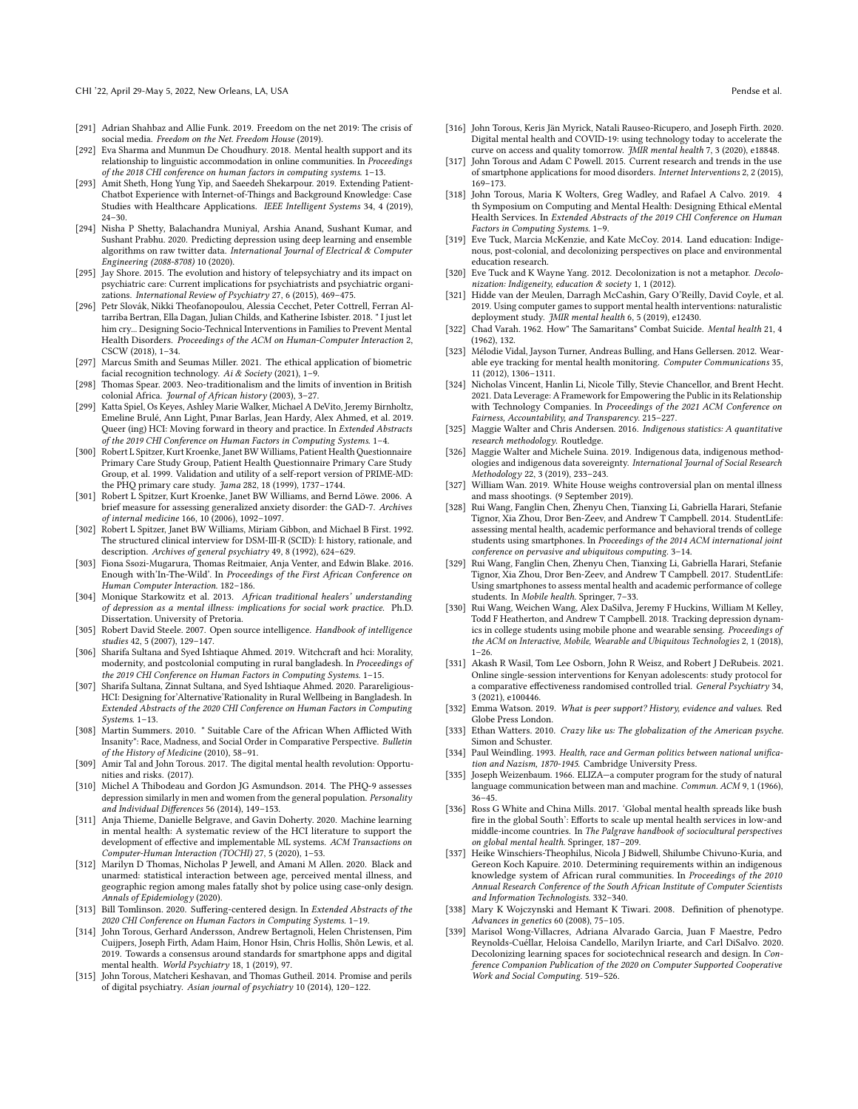- <span id="page-21-39"></span>[291] Adrian Shahbaz and Allie Funk. 2019. Freedom on the net 2019: The crisis of social media. Freedom on the Net. Freedom House (2019).
- <span id="page-21-42"></span>[292] Eva Sharma and Munmun De Choudhury. 2018. Mental health support and its relationship to linguistic accommodation in online communities. In Proceedings of the 2018 CHI conference on human factors in computing systems. 1–13.
- <span id="page-21-33"></span>[293] Amit Sheth, Hong Yung Yip, and Saeedeh Shekarpour. 2019. Extending Patient-Chatbot Experience with Internet-of-Things and Background Knowledge: Case Studies with Healthcare Applications. IEEE Intelligent Systems 34, 4 (2019), 24–30.
- <span id="page-21-40"></span>[294] Nisha P Shetty, Balachandra Muniyal, Arshia Anand, Sushant Kumar, and Sushant Prabhu. 2020. Predicting depression using deep learning and ensemble algorithms on raw twitter data. International Journal of Electrical & Computer Engineering (2088-8708) 10 (2020).
- <span id="page-21-13"></span>[295] Jay Shore. 2015. The evolution and history of telepsychiatry and its impact on psychiatric care: Current implications for psychiatrists and psychiatric organizations. International Review of Psychiatry 27, 6 (2015), 469–475.
- <span id="page-21-3"></span>[296] Petr Slovák, Nikki Theofanopoulou, Alessia Cecchet, Peter Cottrell, Ferran Altarriba Bertran, Ella Dagan, Julian Childs, and Katherine Isbister. 2018. " I just let him cry... Designing Socio-Technical Interventions in Families to Prevent Mental Health Disorders. Proceedings of the ACM on Human-Computer Interaction 2, CSCW (2018), 1–34.
- <span id="page-21-41"></span>[297] Marcus Smith and Seumas Miller. 2021. The ethical application of biometric facial recognition technology. Ai & Society (2021), 1–9.
- <span id="page-21-7"></span>[298] Thomas Spear. 2003. Neo-traditionalism and the limits of invention in British colonial Africa. Journal of African history (2003), 3–27.
- <span id="page-21-9"></span>[299] Katta Spiel, Os Keyes, Ashley Marie Walker, Michael A DeVito, Jeremy Birnholtz, Emeline Brulé, Ann Light, Pınar Barlas, Jean Hardy, Alex Ahmed, et al. 2019. Queer (ing) HCI: Moving forward in theory and practice. In Extended Abstracts of the 2019 CHI Conference on Human Factors in Computing Systems. 1–4.
- <span id="page-21-48"></span>[300] Robert L Spitzer, Kurt Kroenke, Janet BW Williams, Patient Health Questionnaire Primary Care Study Group, Patient Health Questionnaire Primary Care Study Group, et al. 1999. Validation and utility of a self-report version of PRIME-MD: the PHQ primary care study. Jama 282, 18 (1999), 1737–1744.
- <span id="page-21-31"></span>[301] Robert L Spitzer, Kurt Kroenke, Janet BW Williams, and Bernd Löwe. 2006. A brief measure for assessing generalized anxiety disorder: the GAD-7. Archives of internal medicine 166, 10 (2006), 1092–1097.
- <span id="page-21-32"></span>[302] Robert L Spitzer, Janet BW Williams, Miriam Gibbon, and Michael B First. 1992. The structured clinical interview for DSM-III-R (SCID): I: history, rationale, and description. Archives of general psychiatry 49, 8 (1992), 624–629.
- <span id="page-21-28"></span>[303] Fiona Ssozi-Mugarura, Thomas Reitmaier, Anja Venter, and Edwin Blake. 2016. Enough with'In-The-Wild'. In Proceedings of the First African Conference on Human Computer Interaction. 182–186.
- <span id="page-21-22"></span>[304] Monique Starkowitz et al. 2013. African traditional healers' understanding of depression as a mental illness: implications for social work practice. Ph.D. Dissertation. University of Pretoria.
- <span id="page-21-38"></span>[305] Robert David Steele. 2007. Open source intelligence. Handbook of intelligence studies 42, 5 (2007), 129–147.
- <span id="page-21-29"></span>[306] Sharifa Sultana and Syed Ishtiaque Ahmed. 2019. Witchcraft and hci: Morality, modernity, and postcolonial computing in rural bangladesh. In Proceedings of the 2019 CHI Conference on Human Factors in Computing Systems. 1–15.
- <span id="page-21-30"></span>[307] Sharifa Sultana, Zinnat Sultana, and Syed Ishtiaque Ahmed. 2020. Parareligious-HCI: Designing for'Alternative'Rationality in Rural Wellbeing in Bangladesh. In Extended Abstracts of the 2020 CHI Conference on Human Factors in Computing Systems. 1–13.
- <span id="page-21-5"></span>[308] Martin Summers. 2010. " Suitable Care of the African When Aficted With Insanity": Race, Madness, and Social Order in Comparative Perspective. Bulletin of the History of Medicine (2010), 58–91.
- <span id="page-21-12"></span>[309] Amir Tal and John Torous. 2017. The digital mental health revolution: Opportunities and risks. (2017).
- <span id="page-21-35"></span>[310] Michel A Thibodeau and Gordon JG Asmundson. 2014. The PHQ-9 assesses depression similarly in men and women from the general population. Personality and Individual Diferences 56 (2014), 149–153.
- <span id="page-21-1"></span>[311] Anja Thieme, Danielle Belgrave, and Gavin Doherty. 2020. Machine learning in mental health: A systematic review of the HCI literature to support the development of efective and implementable ML systems. ACM Transactions on Computer-Human Interaction (TOCHI) 27, 5 (2020), 1–53.
- <span id="page-21-44"></span>[312] Marilyn D Thomas, Nicholas P Jewell, and Amani M Allen. 2020. Black and unarmed: statistical interaction between age, perceived mental illness, and geographic region among males fatally shot by police using case-only design. Annals of Epidemiology (2020).
- <span id="page-21-4"></span>[313] Bill Tomlinson. 2020. Sufering-centered design. In Extended Abstracts of the 2020 CHI Conference on Human Factors in Computing Systems. 1–19.
- <span id="page-21-25"></span>[314] John Torous, Gerhard Andersson, Andrew Bertagnoli, Helen Christensen, Pim Cuijpers, Joseph Firth, Adam Haim, Honor Hsin, Chris Hollis, Shôn Lewis, et al. 2019. Towards a consensus around standards for smartphone apps and digital mental health. World Psychiatry 18, 1 (2019), 97.
- <span id="page-21-11"></span>[315] John Torous, Matcheri Keshavan, and Thomas Gutheil. 2014. Promise and perils of digital psychiatry. Asian journal of psychiatry 10 (2014), 120–122.
- <span id="page-21-0"></span>[316] John Torous, Keris Jän Myrick, Natali Rauseo-Ricupero, and Joseph Firth. 2020. Digital mental health and COVID-19: using technology today to accelerate the curve on access and quality tomorrow. JMIR mental health 7, 3 (2020), e18848.
- <span id="page-21-17"></span>[317] John Torous and Adam C Powell. 2015. Current research and trends in the use of smartphone applications for mood disorders. Internet Interventions 2, 2 (2015), 169–173.
- <span id="page-21-2"></span>[318] John Torous, Maria K Wolters, Greg Wadley, and Rafael A Calvo. 2019. 4 th Symposium on Computing and Mental Health: Designing Ethical eMental Health Services. In Extended Abstracts of the 2019 CHI Conference on Human Factors in Computing Systems. 1–9.
- <span id="page-21-10"></span>[319] Eve Tuck, Marcia McKenzie, and Kate McCoy. 2014. Land education: Indigenous, post-colonial, and decolonizing perspectives on place and environmental education research.
- <span id="page-21-8"></span>[320] Eve Tuck and K Wayne Yang. 2012. Decolonization is not a metaphor. Decolonization: Indigeneity, education & society 1, 1 (2012).
- <span id="page-21-24"></span>[321] Hidde van der Meulen, Darragh McCashin, Gary O'Reilly, David Coyle, et al. 2019. Using computer games to support mental health interventions: naturalistic deployment study. JMIR mental health 6, 5 (2019), e12430.
- <span id="page-21-14"></span>[322] Chad Varah. 1962. How" The Samaritans" Combat Suicide. Mental health 21, 4 (1962), 132.
- <span id="page-21-16"></span>[323] Mélodie Vidal, Jayson Turner, Andreas Bulling, and Hans Gellersen. 2012. Wearable eye tracking for mental health monitoring. Computer Communications 35, 11 (2012), 1306–1311.
- <span id="page-21-43"></span>[324] Nicholas Vincent, Hanlin Li, Nicole Tilly, Stevie Chancellor, and Brent Hecht. 2021. Data Leverage: A Framework for Empowering the Public in its Relationship with Technology Companies. In Proceedings of the 2021 ACM Conference on Fairness, Accountability, and Transparency. 215–227.
- <span id="page-21-45"></span>[325] Maggie Walter and Chris Andersen. 2016. Indigenous statistics: A quantitative research methodology. Routledge.
- <span id="page-21-46"></span>[326] Maggie Walter and Michele Suina. 2019. Indigenous data, indigenous methodologies and indigenous data sovereignty. International Journal of Social Research Methodology 22, 3 (2019), 233–243.
- <span id="page-21-37"></span>[327] William Wan. 2019. White House weighs controversial plan on mental illness and mass shootings. (9 September 2019).
- <span id="page-21-18"></span>[328] Rui Wang, Fanglin Chen, Zhenyu Chen, Tianxing Li, Gabriella Harari, Stefanie Tignor, Xia Zhou, Dror Ben-Zeev, and Andrew T Campbell. 2014. StudentLife: assessing mental health, academic performance and behavioral trends of college students using smartphones. In Proceedings of the 2014 ACM international joint conference on pervasive and ubiquitous computing. 3–14.
- <span id="page-21-19"></span>[329] Rui Wang, Fanglin Chen, Zhenyu Chen, Tianxing Li, Gabriella Harari, Stefanie Tignor, Xia Zhou, Dror Ben-Zeev, and Andrew T Campbell. 2017. StudentLife: Using smartphones to assess mental health and academic performance of college students. In Mobile health. Springer, 7-33.
- <span id="page-21-34"></span>[330] Rui Wang, Weichen Wang, Alex DaSilva, Jeremy F Huckins, William M Kelley, Todd F Heatherton, and Andrew T Campbell. 2018. Tracking depression dynamics in college students using mobile phone and wearable sensing. Proceedings of the ACM on Interactive, Mobile, Wearable and Ubiquitous Technologies 2, 1 (2018),  $1 - 26$
- <span id="page-21-21"></span>[331] Akash R Wasil, Tom Lee Osborn, John R Weisz, and Robert J DeRubeis. 2021. Online single-session interventions for Kenyan adolescents: study protocol for a comparative efectiveness randomised controlled trial. General Psychiatry 34, 3 (2021), e100446.
- <span id="page-21-27"></span>[332] Emma Watson. 2019. What is peer support? History, evidence and values. Red Globe Press London.
- <span id="page-21-36"></span>[333] Ethan Watters. 2010. Crazy like us: The globalization of the American psyche. Simon and Schuster.
- <span id="page-21-23"></span>[334] Paul Weindling. 1993. Health, race and German politics between national unifcation and Nazism, 1870-1945. Cambridge University Press.
- <span id="page-21-15"></span>[335] Joseph Weizenbaum. 1966. ELIZA—a computer program for the study of natural language communication between man and machine. Commun. ACM 9, 1 (1966), 36–45.
- <span id="page-21-26"></span>[336] Ross G White and China Mills. 2017. 'Global mental health spreads like bush fre in the global South': Eforts to scale up mental health services in low-and middle-income countries. In The Palgrave handbook of sociocultural perspectives on global mental health. Springer, 187–209.
- <span id="page-21-47"></span>[337] Heike Winschiers-Theophilus, Nicola J Bidwell, Shilumbe Chivuno-Kuria, and Gereon Koch Kapuire. 2010. Determining requirements within an indigenous knowledge system of African rural communities. In Proceedings of the 2010 Annual Research Conference of the South African Institute of Computer Scientists and Information Technologists. 332–340.
- <span id="page-21-20"></span>[338] Mary K Wojczynski and Hemant K Tiwari. 2008. Defnition of phenotype. Advances in genetics 60 (2008), 75–105.
- <span id="page-21-6"></span>[339] Marisol Wong-Villacres, Adriana Alvarado Garcia, Juan F Maestre, Pedro Reynolds-Cuéllar, Heloisa Candello, Marilyn Iriarte, and Carl DiSalvo. 2020. Decolonizing learning spaces for sociotechnical research and design. In Conference Companion Publication of the 2020 on Computer Supported Cooperative Work and Social Computing. 519–526.